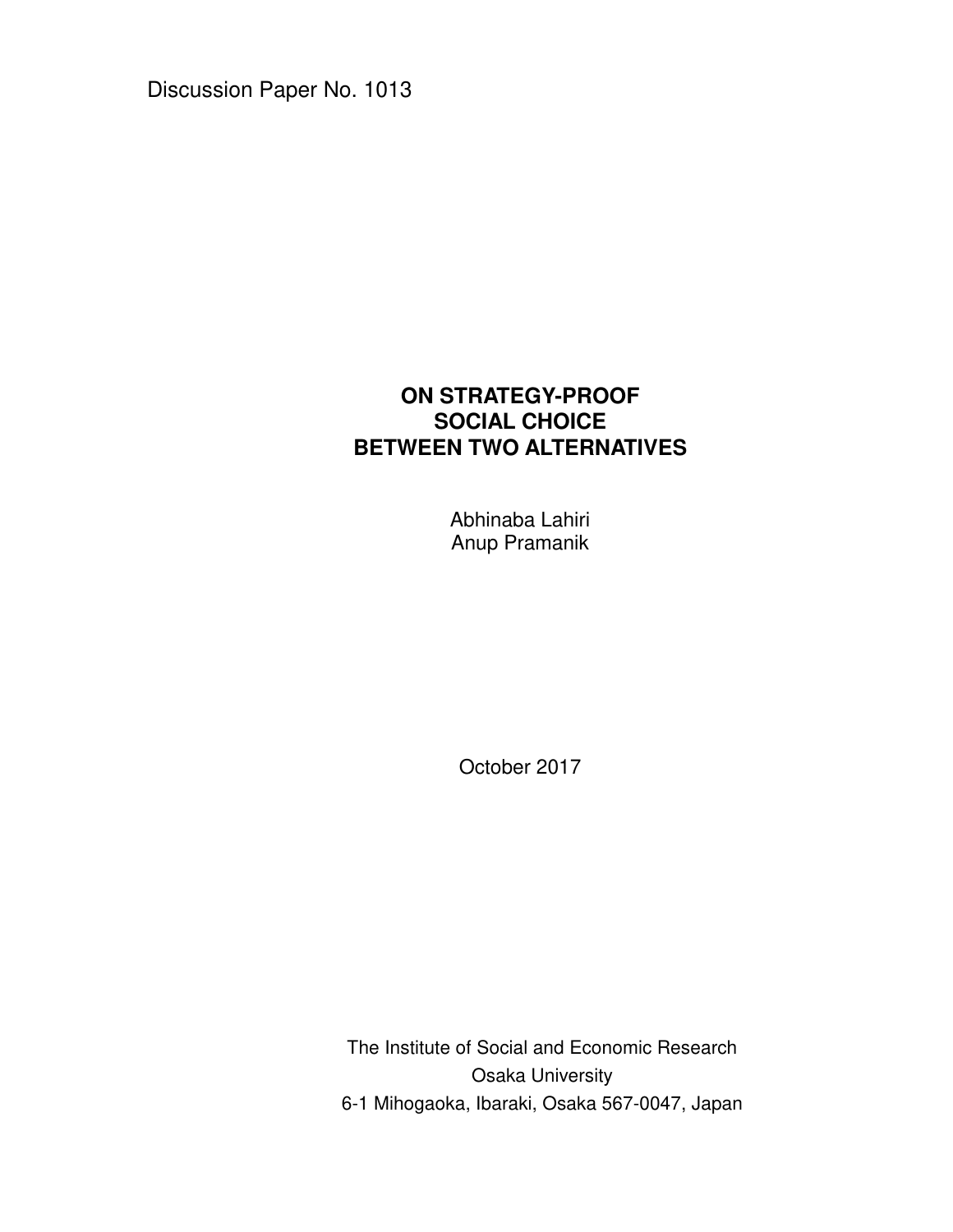Discussion Paper No. 1013

# **ON STRATEGY-PROOF SOCIAL CHOICE BETWEEN TWO ALTERNATIVES**

Abhinaba Lahiri Anup Pramanik

October 2017

The Institute of Social and Economic Research Osaka University 6-1 Mihogaoka, Ibaraki, Osaka 567-0047, Japan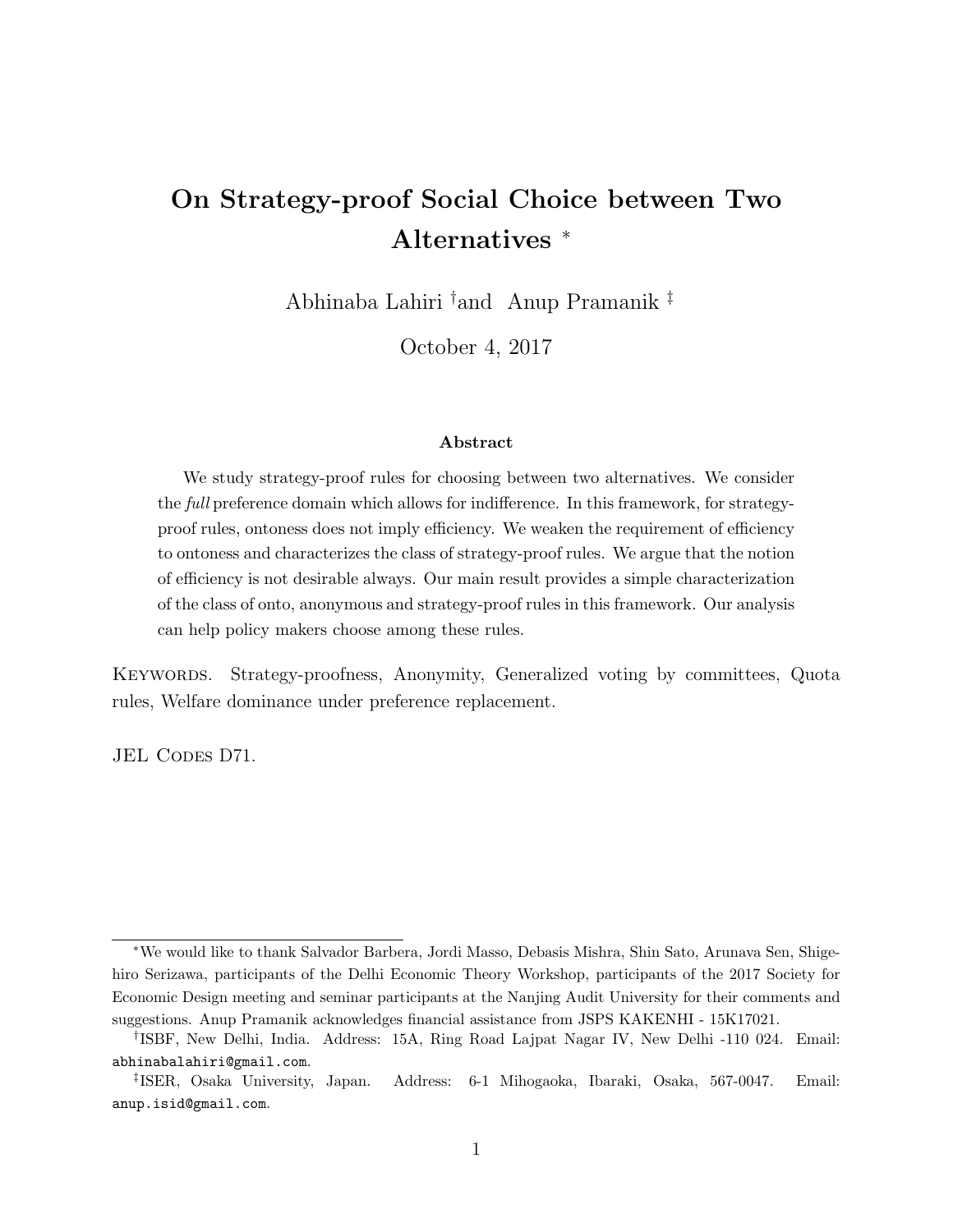# On Strategy-proof Social Choice between Two Alternatives <sup>∗</sup>

Abhinaba Lahiri †and Anup Pramanik ‡

October 4, 2017

#### Abstract

We study strategy-proof rules for choosing between two alternatives. We consider the *full* preference domain which allows for indifference. In this framework, for strategyproof rules, ontoness does not imply efficiency. We weaken the requirement of efficiency to ontoness and characterizes the class of strategy-proof rules. We argue that the notion of efficiency is not desirable always. Our main result provides a simple characterization of the class of onto, anonymous and strategy-proof rules in this framework. Our analysis can help policy makers choose among these rules.

Keywords. Strategy-proofness, Anonymity, Generalized voting by committees, Quota rules, Welfare dominance under preference replacement.

JEL CODES D71.

<sup>∗</sup>We would like to thank Salvador Barbera, Jordi Masso, Debasis Mishra, Shin Sato, Arunava Sen, Shigehiro Serizawa, participants of the Delhi Economic Theory Workshop, participants of the 2017 Society for Economic Design meeting and seminar participants at the Nanjing Audit University for their comments and suggestions. Anup Pramanik acknowledges financial assistance from JSPS KAKENHI - 15K17021.

<sup>†</sup> ISBF, New Delhi, India. Address: 15A, Ring Road Lajpat Nagar IV, New Delhi -110 024. Email: abhinabalahiri@gmail.com.

<sup>‡</sup> ISER, Osaka University, Japan. Address: 6-1 Mihogaoka, Ibaraki, Osaka, 567-0047. Email: anup.isid@gmail.com.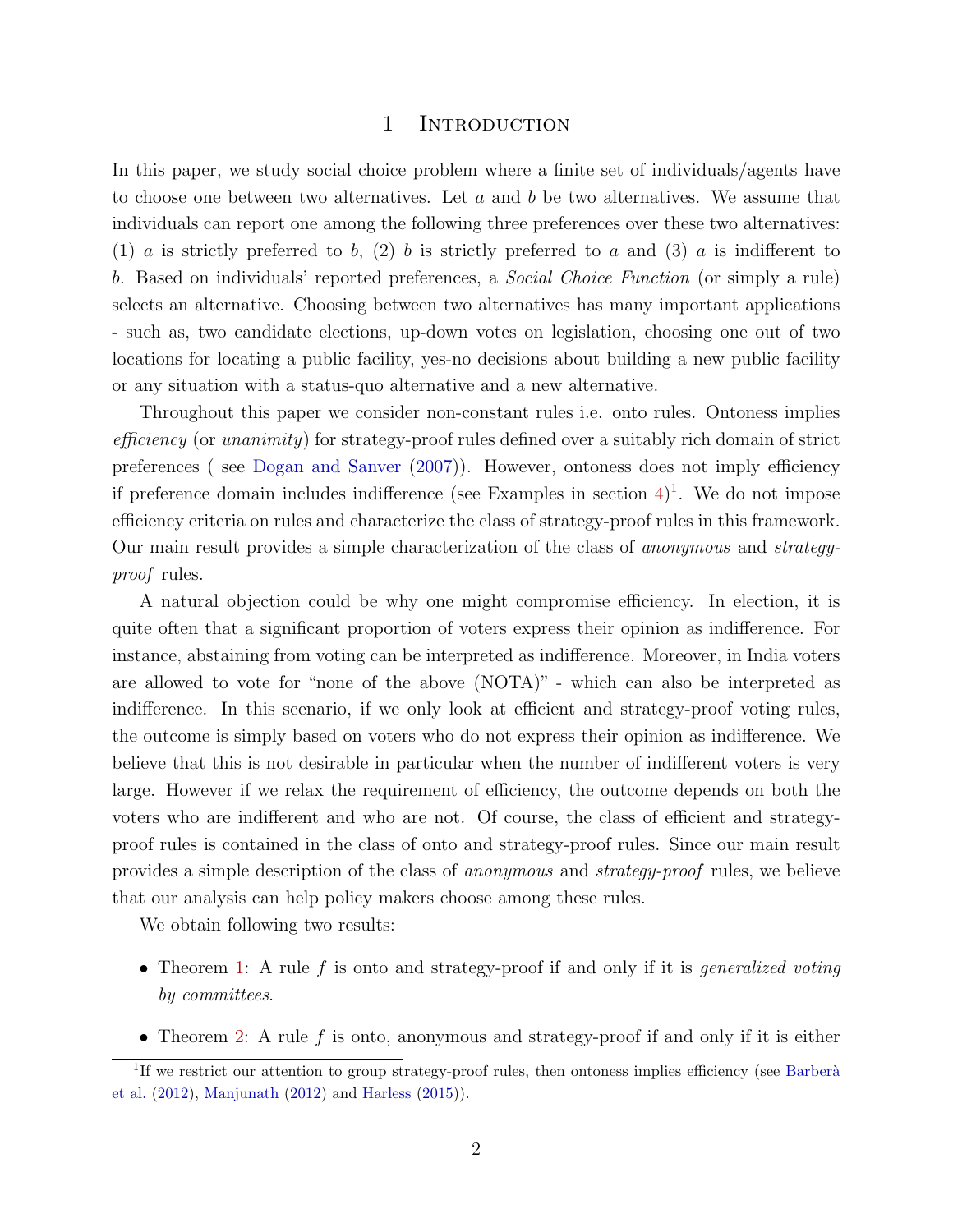#### 1 INTRODUCTION

In this paper, we study social choice problem where a finite set of individuals/agents have to choose one between two alternatives. Let  $a$  and  $b$  be two alternatives. We assume that individuals can report one among the following three preferences over these two alternatives: (1) a is strictly preferred to b, (2) b is strictly preferred to a and (3) a is indifferent to b. Based on individuals' reported preferences, a Social Choice Function (or simply a rule) selects an alternative. Choosing between two alternatives has many important applications - such as, two candidate elections, up-down votes on legislation, choosing one out of two locations for locating a public facility, yes-no decisions about building a new public facility or any situation with a status-quo alternative and a new alternative.

Throughout this paper we consider non-constant rules i.e. onto rules. Ontoness implies efficiency (or unanimity) for strategy-proof rules defined over a suitably rich domain of strict preferences ( see Dogan and Sanver (2007)). However, ontoness does not imply efficiency if preference domain includes indifference (see Examples in section  $4$ )<sup>1</sup>. We do not impose efficiency criteria on rules and characterize the class of strategy-proof rules in this framework. Our main result provides a simple characterization of the class of anonymous and strategyproof rules.

A natural objection could be why one might compromise efficiency. In election, it is quite often that a significant proportion of voters express their opinion as indifference. For instance, abstaining from voting can be interpreted as indifference. Moreover, in India voters are allowed to vote for "none of the above (NOTA)" - which can also be interpreted as indifference. In this scenario, if we only look at efficient and strategy-proof voting rules, the outcome is simply based on voters who do not express their opinion as indifference. We believe that this is not desirable in particular when the number of indifferent voters is very large. However if we relax the requirement of efficiency, the outcome depends on both the voters who are indifferent and who are not. Of course, the class of efficient and strategyproof rules is contained in the class of onto and strategy-proof rules. Since our main result provides a simple description of the class of anonymous and strategy-proof rules, we believe that our analysis can help policy makers choose among these rules.

We obtain following two results:

- Theorem 1: A rule f is onto and strategy-proof if and only if it is *generalized voting* by committees.
- Theorem 2: A rule  $f$  is onto, anonymous and strategy-proof if and only if it is either

<sup>&</sup>lt;sup>1</sup>If we restrict our attention to group strategy-proof rules, then ontoness implies efficiency (see Barberà et al. (2012), Manjunath (2012) and Harless (2015)).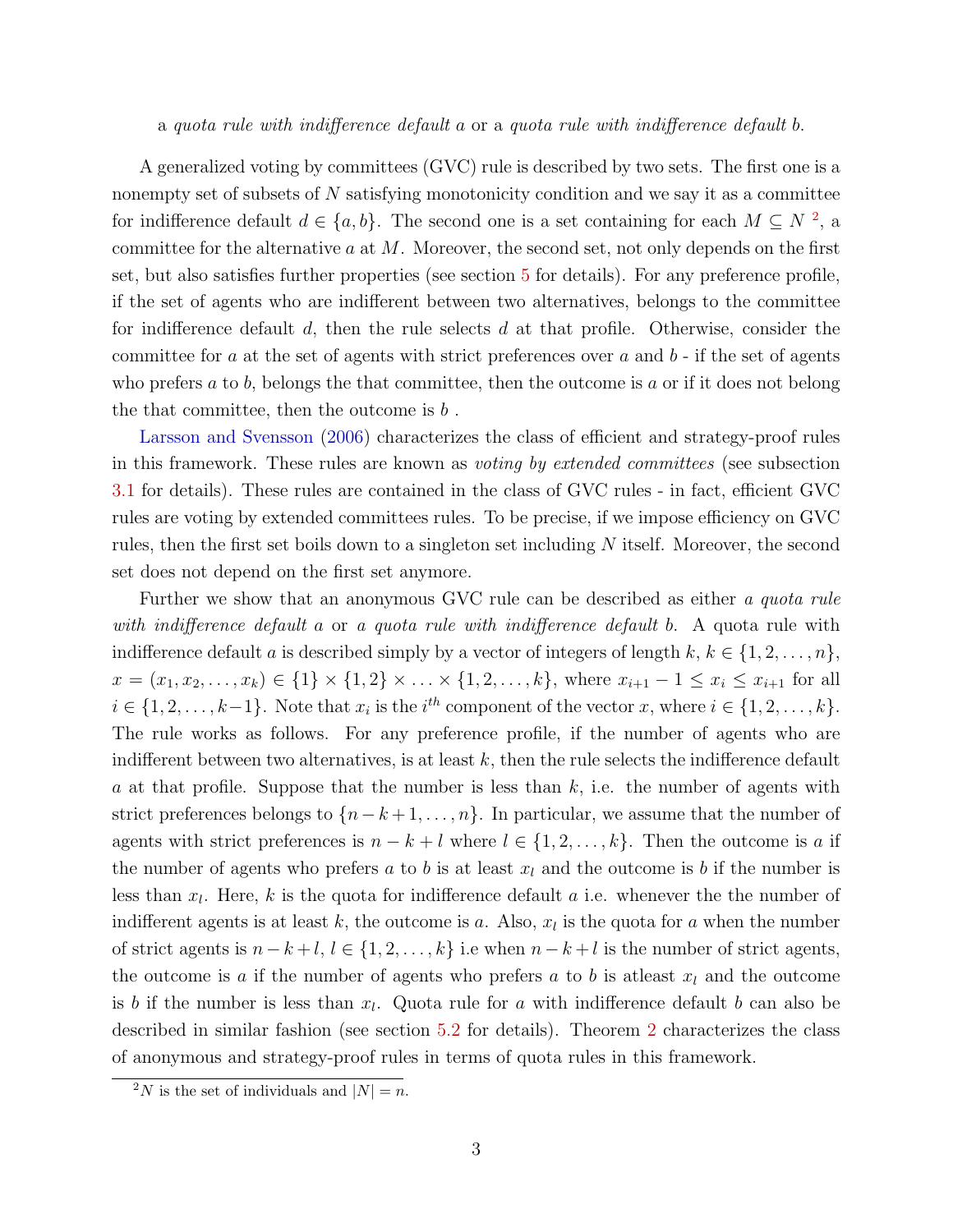#### a quota rule with indifference default a or a quota rule with indifference default b.

A generalized voting by committees (GVC) rule is described by two sets. The first one is a nonempty set of subsets of N satisfying monotonicity condition and we say it as a committee for indifference default  $d \in \{a, b\}$ . The second one is a set containing for each  $M \subseteq N^2$ , a committee for the alternative  $a$  at  $M$ . Moreover, the second set, not only depends on the first set, but also satisfies further properties (see section 5 for details). For any preference profile, if the set of agents who are indifferent between two alternatives, belongs to the committee for indifference default  $d$ , then the rule selects  $d$  at that profile. Otherwise, consider the committee for a at the set of agents with strict preferences over a and  $b$  - if the set of agents who prefers  $a$  to  $b$ , belongs the that committee, then the outcome is  $a$  or if it does not belong the that committee, then the outcome is  $b$ .

Larsson and Svensson (2006) characterizes the class of efficient and strategy-proof rules in this framework. These rules are known as voting by extended committees (see subsection 3.1 for details). These rules are contained in the class of GVC rules - in fact, efficient GVC rules are voting by extended committees rules. To be precise, if we impose efficiency on GVC rules, then the first set boils down to a singleton set including  $N$  itself. Moreover, the second set does not depend on the first set anymore.

Further we show that an anonymous GVC rule can be described as either a quota rule with indifference default a or a quota rule with indifference default b. A quota rule with indifference default a is described simply by a vector of integers of length  $k, k \in \{1, 2, \ldots, n\}$ ,  $x = (x_1, x_2, \ldots, x_k) \in \{1\} \times \{1, 2\} \times \ldots \times \{1, 2, \ldots, k\}$ , where  $x_{i+1} - 1 \le x_i \le x_{i+1}$  for all  $i \in \{1, 2, \ldots, k-1\}$ . Note that  $x_i$  is the  $i^{th}$  component of the vector x, where  $i \in \{1, 2, \ldots, k\}$ . The rule works as follows. For any preference profile, if the number of agents who are indifferent between two alternatives, is at least  $k$ , then the rule selects the indifference default a at that profile. Suppose that the number is less than  $k$ , i.e. the number of agents with strict preferences belongs to  $\{n-k+1,\ldots,n\}$ . In particular, we assume that the number of agents with strict preferences is  $n - k + l$  where  $l \in \{1, 2, ..., k\}$ . Then the outcome is a if the number of agents who prefers a to b is at least  $x_l$  and the outcome is b if the number is less than  $x_l$ . Here, k is the quota for indifference default a i.e. whenever the the number of indifferent agents is at least k, the outcome is a. Also,  $x_l$  is the quota for a when the number of strict agents is  $n - k + l$ ,  $l \in \{1, 2, ..., k\}$  i.e when  $n - k + l$  is the number of strict agents, the outcome is a if the number of agents who prefers a to b is at least  $x_l$  and the outcome is b if the number is less than  $x_l$ . Quota rule for a with indifference default b can also be described in similar fashion (see section 5.2 for details). Theorem 2 characterizes the class of anonymous and strategy-proof rules in terms of quota rules in this framework.

<sup>&</sup>lt;sup>2</sup>N is the set of individuals and  $|N| = n$ .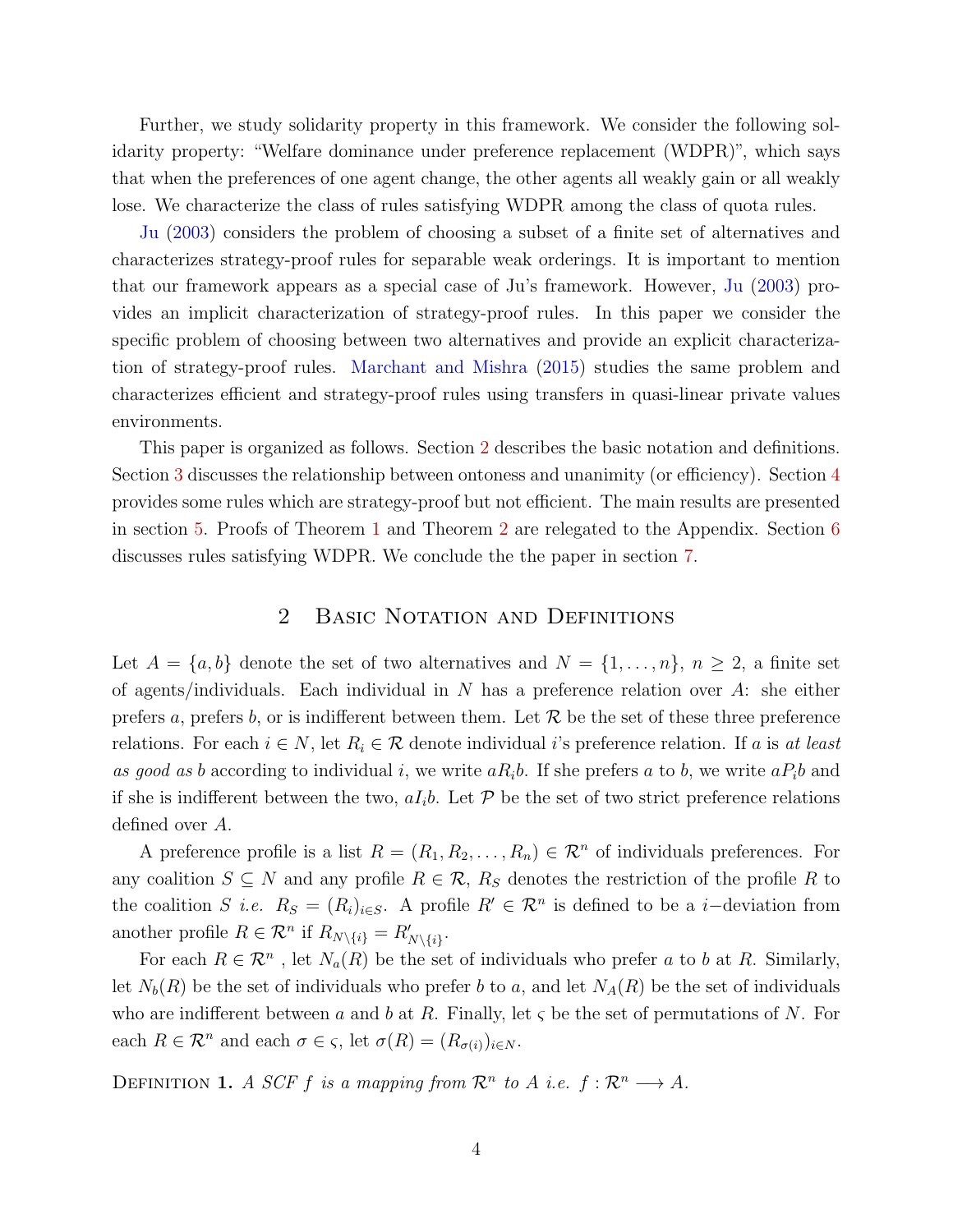Further, we study solidarity property in this framework. We consider the following solidarity property: "Welfare dominance under preference replacement (WDPR)", which says that when the preferences of one agent change, the other agents all weakly gain or all weakly lose. We characterize the class of rules satisfying WDPR among the class of quota rules.

Ju (2003) considers the problem of choosing a subset of a finite set of alternatives and characterizes strategy-proof rules for separable weak orderings. It is important to mention that our framework appears as a special case of Ju's framework. However, Ju (2003) provides an implicit characterization of strategy-proof rules. In this paper we consider the specific problem of choosing between two alternatives and provide an explicit characterization of strategy-proof rules. Marchant and Mishra (2015) studies the same problem and characterizes efficient and strategy-proof rules using transfers in quasi-linear private values environments.

This paper is organized as follows. Section 2 describes the basic notation and definitions. Section 3 discusses the relationship between ontoness and unanimity (or efficiency). Section 4 provides some rules which are strategy-proof but not efficient. The main results are presented in section 5. Proofs of Theorem 1 and Theorem 2 are relegated to the Appendix. Section 6 discusses rules satisfying WDPR. We conclude the the paper in section 7.

# 2 BASIC NOTATION AND DEFINITIONS

Let  $A = \{a, b\}$  denote the set of two alternatives and  $N = \{1, \ldots, n\}, n \geq 2$ , a finite set of agents/individuals. Each individual in N has a preference relation over A: she either prefers a, prefers b, or is indifferent between them. Let  $R$  be the set of these three preference relations. For each  $i \in N$ , let  $R_i \in \mathcal{R}$  denote individual i's preference relation. If a is at least as good as b according to individual i, we write  $aR_ib$ . If she prefers a to b, we write  $aP_ib$  and if she is indifferent between the two,  $aI_i b$ . Let  $\mathcal P$  be the set of two strict preference relations defined over A.

A preference profile is a list  $R = (R_1, R_2, \ldots, R_n) \in \mathcal{R}^n$  of individuals preferences. For any coalition  $S \subseteq N$  and any profile  $R \in \mathcal{R}$ ,  $R_S$  denotes the restriction of the profile R to the coalition S i.e.  $R_S = (R_i)_{i \in S}$ . A profile  $R' \in \mathcal{R}^n$  is defined to be a i-deviation from another profile  $R \in \mathcal{R}^n$  if  $R_{N \setminus \{i\}} = R'_{N \setminus \{i\}}$ .

For each  $R \in \mathcal{R}^n$ , let  $N_a(R)$  be the set of individuals who prefer a to b at R. Similarly, let  $N_b(R)$  be the set of individuals who prefer b to a, and let  $N_A(R)$  be the set of individuals who are indifferent between a and b at R. Finally, let  $\varsigma$  be the set of permutations of N. For each  $R \in \mathcal{R}^n$  and each  $\sigma \in \varsigma$ , let  $\sigma(R) = (R_{\sigma(i)})_{i \in N}$ .

DEFINITION 1. A SCF f is a mapping from  $\mathcal{R}^n$  to A i.e.  $f: \mathcal{R}^n \longrightarrow A$ .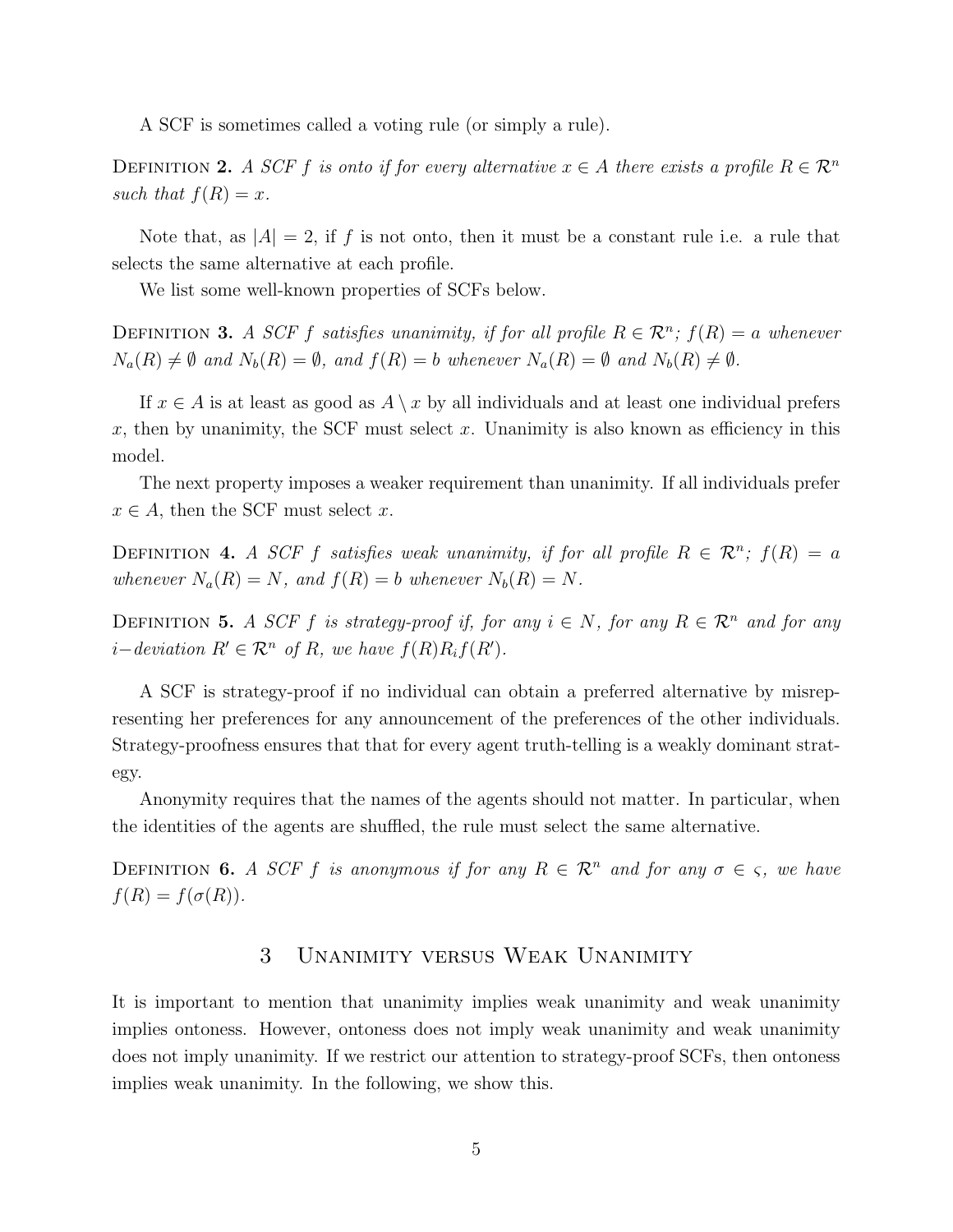A SCF is sometimes called a voting rule (or simply a rule).

DEFINITION 2. A SCF f is onto if for every alternative  $x \in A$  there exists a profile  $R \in \mathbb{R}^n$ such that  $f(R) = x$ .

Note that, as  $|A| = 2$ , if f is not onto, then it must be a constant rule i.e. a rule that selects the same alternative at each profile.

We list some well-known properties of SCFs below.

DEFINITION 3. A SCF f satisfies unanimity, if for all profile  $R \in \mathcal{R}^n$ ;  $f(R) = a$  whenever  $N_a(R) \neq \emptyset$  and  $N_b(R) = \emptyset$ , and  $f(R) = b$  whenever  $N_a(R) = \emptyset$  and  $N_b(R) \neq \emptyset$ .

If  $x \in A$  is at least as good as  $A \setminus x$  by all individuals and at least one individual prefers x, then by unanimity, the SCF must select x. Unanimity is also known as efficiency in this model.

The next property imposes a weaker requirement than unanimity. If all individuals prefer  $x \in A$ , then the SCF must select x.

DEFINITION 4. A SCF f satisfies weak unanimity, if for all profile  $R \in \mathcal{R}^n$ ;  $f(R) = a$ whenever  $N_a(R) = N$ , and  $f(R) = b$  whenever  $N_b(R) = N$ .

DEFINITION 5. A SCF f is strategy-proof if, for any  $i \in N$ , for any  $R \in \mathbb{R}^n$  and for any  $i$ −deviation  $R' \in \mathcal{R}^n$  of  $R$ , we have  $f(R)R_i f(R')$ .

A SCF is strategy-proof if no individual can obtain a preferred alternative by misrepresenting her preferences for any announcement of the preferences of the other individuals. Strategy-proofness ensures that that for every agent truth-telling is a weakly dominant strategy.

Anonymity requires that the names of the agents should not matter. In particular, when the identities of the agents are shuffled, the rule must select the same alternative.

DEFINITION 6. A SCF f is anonymous if for any  $R \in \mathbb{R}^n$  and for any  $\sigma \in \varsigma$ , we have  $f(R) = f(\sigma(R)).$ 

# 3 Unanimity versus Weak Unanimity

It is important to mention that unanimity implies weak unanimity and weak unanimity implies ontoness. However, ontoness does not imply weak unanimity and weak unanimity does not imply unanimity. If we restrict our attention to strategy-proof SCFs, then ontoness implies weak unanimity. In the following, we show this.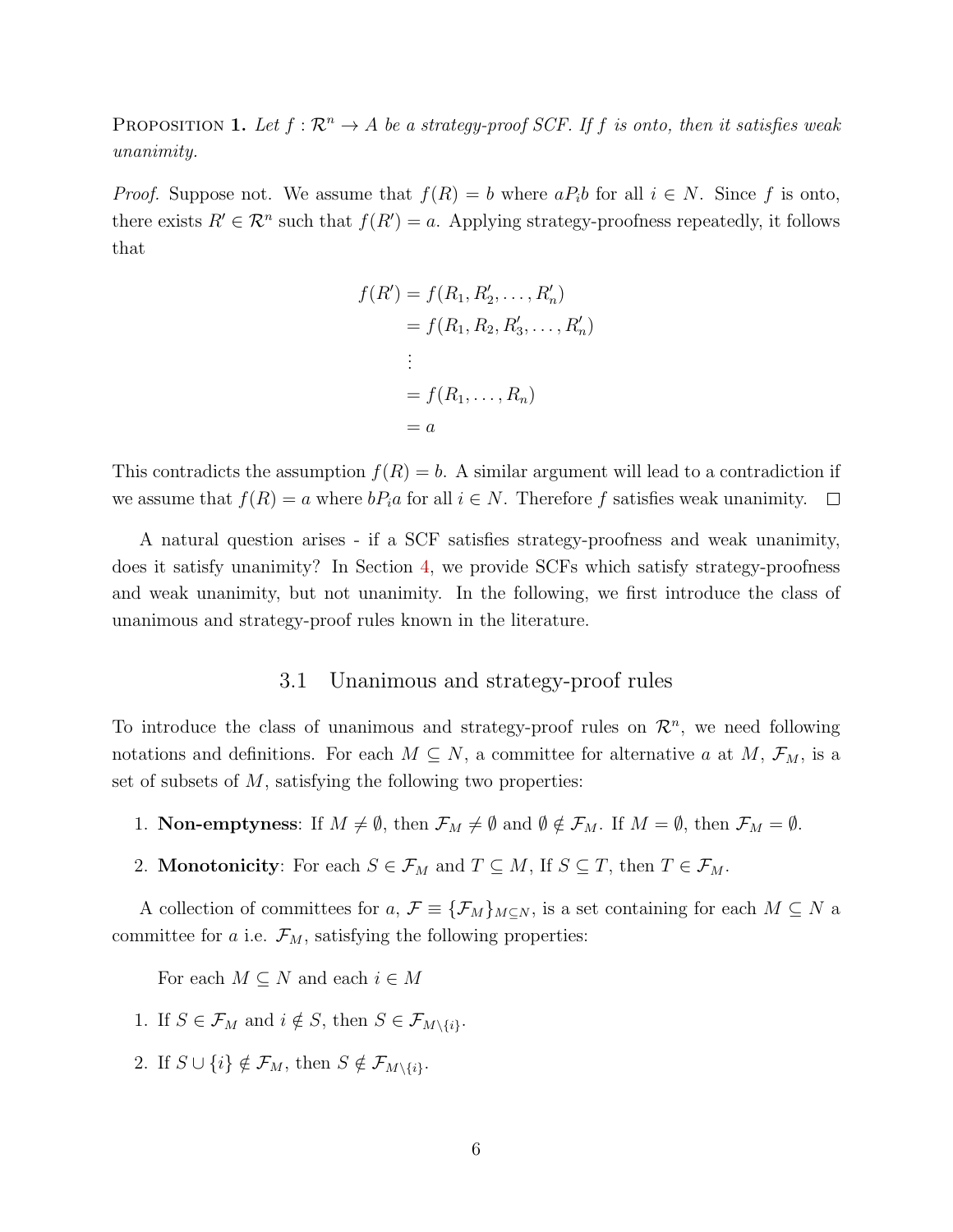PROPOSITION 1. Let  $f : \mathbb{R}^n \to A$  be a strategy-proof SCF. If f is onto, then it satisfies weak unanimity.

*Proof.* Suppose not. We assume that  $f(R) = b$  where  $aP_i b$  for all  $i \in N$ . Since f is onto, there exists  $R' \in \mathcal{R}^n$  such that  $f(R') = a$ . Applying strategy-proofness repeatedly, it follows that

$$
f(R') = f(R_1, R'_2, ..., R'_n)
$$
  
=  $f(R_1, R_2, R'_3, ..., R'_n)$   
:  
=  $f(R_1, ..., R_n)$   
=  $a$ 

This contradicts the assumption  $f(R) = b$ . A similar argument will lead to a contradiction if we assume that  $f(R) = a$  where  $bP_i a$  for all  $i \in N$ . Therefore f satisfies weak unanimity.  $\Box$ 

A natural question arises - if a SCF satisfies strategy-proofness and weak unanimity, does it satisfy unanimity? In Section 4, we provide SCFs which satisfy strategy-proofness and weak unanimity, but not unanimity. In the following, we first introduce the class of unanimous and strategy-proof rules known in the literature.

# 3.1 Unanimous and strategy-proof rules

To introduce the class of unanimous and strategy-proof rules on  $\mathcal{R}^n$ , we need following notations and definitions. For each  $M \subseteq N$ , a committee for alternative a at  $M$ ,  $\mathcal{F}_M$ , is a set of subsets of  $M$ , satisfying the following two properties:

- 1. **Non-emptyness**: If  $M \neq \emptyset$ , then  $\mathcal{F}_M \neq \emptyset$  and  $\emptyset \notin \mathcal{F}_M$ . If  $M = \emptyset$ , then  $\mathcal{F}_M = \emptyset$ .
- 2. **Monotonicity**: For each  $S \in \mathcal{F}_M$  and  $T \subseteq M$ , If  $S \subseteq T$ , then  $T \in \mathcal{F}_M$ .

A collection of committees for a,  $\mathcal{F} \equiv {\{\mathcal{F}_M\}_{M \subseteq N}}$ , is a set containing for each  $M \subseteq N$  a committee for a i.e.  $\mathcal{F}_M$ , satisfying the following properties:

For each  $M \subseteq N$  and each  $i \in M$ 

- 1. If  $S \in \mathcal{F}_M$  and  $i \notin S$ , then  $S \in \mathcal{F}_{M \setminus \{i\}}$ .
- 2. If  $S \cup \{i\} \notin \mathcal{F}_M$ , then  $S \notin \mathcal{F}_{M \setminus \{i\}}$ .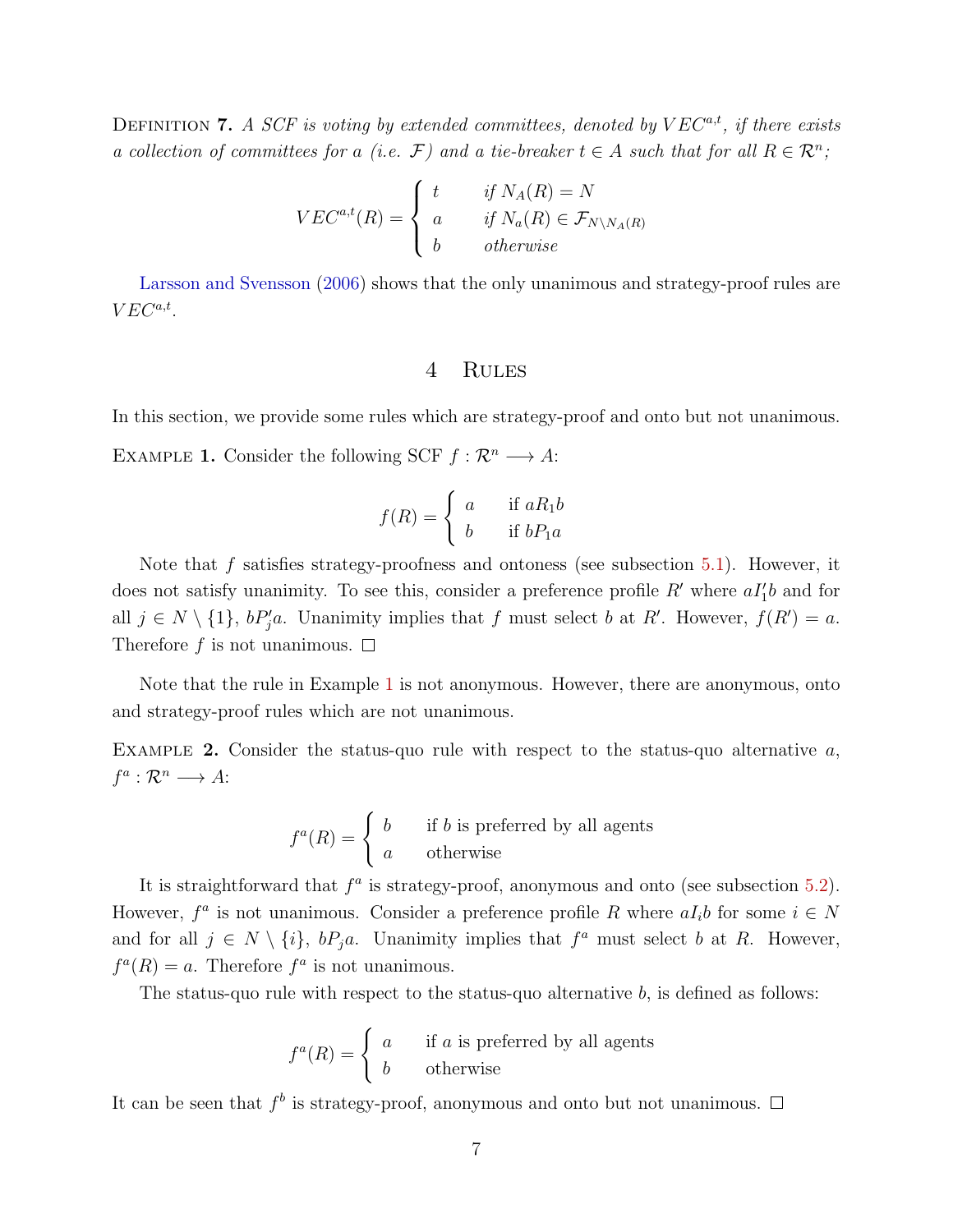DEFINITION 7. A SCF is voting by extended committees, denoted by  $VEC^{a,t}$ , if there exists a collection of committees for a (i.e.  $\mathcal{F}$ ) and a tie-breaker  $t \in A$  such that for all  $R \in \mathcal{R}^n$ ;

$$
VEC^{a,t}(R) = \begin{cases} t & \text{if } N_A(R) = N \\ a & \text{if } N_a(R) \in \mathcal{F}_{N \setminus N_A(R)} \\ b & \text{otherwise} \end{cases}
$$

Larsson and Svensson (2006) shows that the only unanimous and strategy-proof rules are  $VEC^{a,t}$ .

# 4 Rules

In this section, we provide some rules which are strategy-proof and onto but not unanimous.

EXAMPLE 1. Consider the following SCF  $f: \mathcal{R}^n \longrightarrow A$ :

$$
f(R) = \begin{cases} a & \text{if } aR_1b \\ b & \text{if } bP_1a \end{cases}
$$

Note that f satisfies strategy-proofness and ontoness (see subsection 5.1). However, it does not satisfy unanimity. To see this, consider a preference profile  $R'$  where  $aI_1'b$  and for all  $j \in N \setminus \{1\}$ ,  $bP'_j a$ . Unanimity implies that f must select b at R'. However,  $f(R') = a$ . Therefore f is not unanimous.  $\square$ 

Note that the rule in Example 1 is not anonymous. However, there are anonymous, onto and strategy-proof rules which are not unanimous.

EXAMPLE 2. Consider the status-quo rule with respect to the status-quo alternative  $a$ ,  $f^a: \mathcal{R}^n \longrightarrow A$ :

$$
f^{a}(R) = \begin{cases} b & \text{if } b \text{ is preferred by all agents} \\ a & \text{otherwise} \end{cases}
$$

It is straightforward that  $f^a$  is strategy-proof, anonymous and onto (see subsection 5.2). However,  $f^a$  is not unanimous. Consider a preference profile R where  $aI_i b$  for some  $i \in N$ and for all  $j \in N \setminus \{i\}$ ,  $bP_ja$ . Unanimity implies that  $f^a$  must select b at R. However,  $f^a(R) = a$ . Therefore  $f^a$  is not unanimous.

The status-quo rule with respect to the status-quo alternative b, is defined as follows:

$$
f^{a}(R) = \begin{cases} a & \text{if } a \text{ is preferred by all agents} \\ b & \text{otherwise} \end{cases}
$$

It can be seen that  $f^b$  is strategy-proof, anonymous and onto but not unanimous.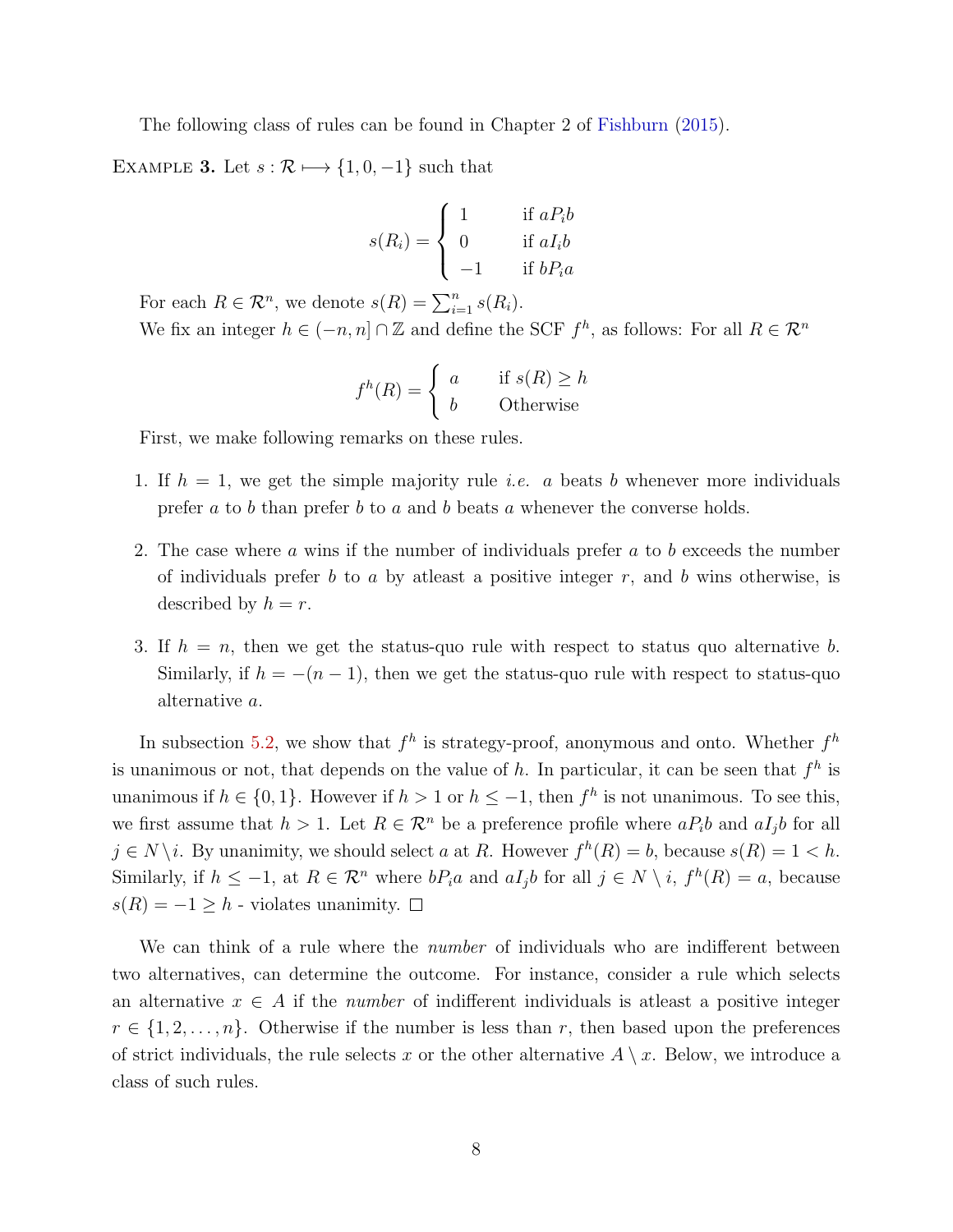The following class of rules can be found in Chapter 2 of Fishburn (2015).

EXAMPLE 3. Let  $s : \mathcal{R} \longmapsto \{1, 0, -1\}$  such that

$$
s(R_i) = \begin{cases} 1 & \text{if } aP_i b \\ 0 & \text{if } aI_i b \\ -1 & \text{if } bP_i a \end{cases}
$$

For each  $R \in \mathcal{R}^n$ , we denote  $s(R) = \sum_{i=1}^n s(R_i)$ .

We fix an integer  $h \in (-n, n] \cap \mathbb{Z}$  and define the SCF  $f^h$ , as follows: For all  $R \in \mathbb{R}^n$ 

$$
f^h(R) = \begin{cases} a & \text{if } s(R) \ge h \\ b & \text{Otherwise} \end{cases}
$$

First, we make following remarks on these rules.

- 1. If  $h = 1$ , we get the simple majority rule *i.e.* a beats b whenever more individuals prefer  $a$  to  $b$  than prefer  $b$  to  $a$  and  $b$  beats  $a$  whenever the converse holds.
- 2. The case where a wins if the number of individuals prefer a to b exceeds the number of individuals prefer b to a by at least a positive integer  $r$ , and b wins otherwise, is described by  $h = r$ .
- 3. If  $h = n$ , then we get the status-quo rule with respect to status quo alternative b. Similarly, if  $h = -(n-1)$ , then we get the status-quo rule with respect to status-quo alternative a.

In subsection 5.2, we show that  $f^h$  is strategy-proof, anonymous and onto. Whether  $f^h$ is unanimous or not, that depends on the value of h. In particular, it can be seen that  $f^h$  is unanimous if  $h \in \{0, 1\}$ . However if  $h > 1$  or  $h \leq -1$ , then  $f^h$  is not unanimous. To see this, we first assume that  $h > 1$ . Let  $R \in \mathcal{R}^n$  be a preference profile where  $aP_i b$  and  $aI_j b$  for all  $j \in N \setminus i$ . By unanimity, we should select a at R. However  $f^h(R) = b$ , because  $s(R) = 1 < h$ . Similarly, if  $h \leq -1$ , at  $R \in \mathcal{R}^n$  where  $bP_i a$  and  $aI_j b$  for all  $j \in N \setminus i$ ,  $f^h(R) = a$ , because  $s(R) = -1$  ≥ h - violates unanimity.  $□$ 

We can think of a rule where the *number* of individuals who are indifferent between two alternatives, can determine the outcome. For instance, consider a rule which selects an alternative  $x \in A$  if the *number* of indifferent individuals is at least a positive integer  $r \in \{1, 2, \ldots, n\}$ . Otherwise if the number is less than r, then based upon the preferences of strict individuals, the rule selects x or the other alternative  $A \setminus x$ . Below, we introduce a class of such rules.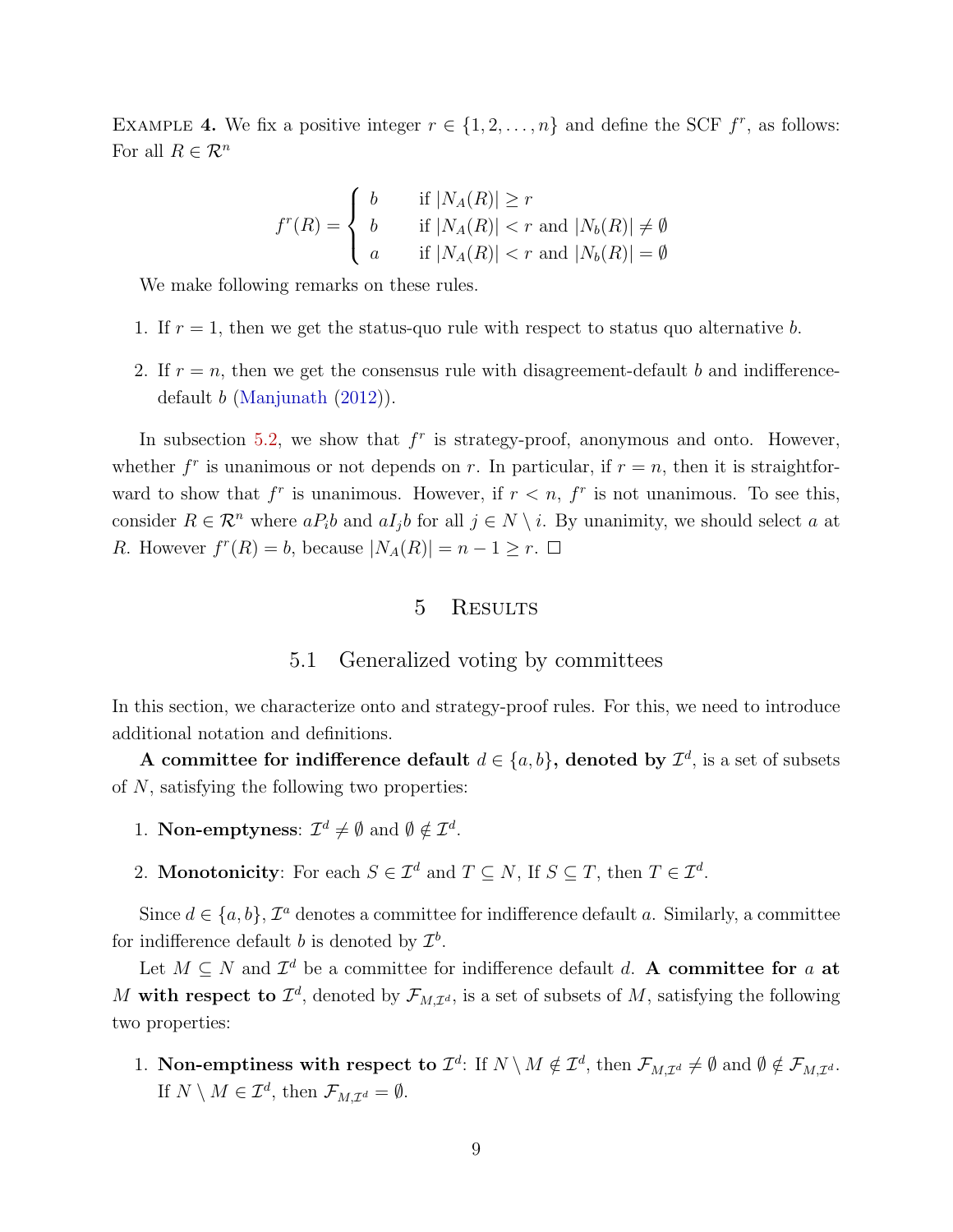EXAMPLE 4. We fix a positive integer  $r \in \{1, 2, ..., n\}$  and define the SCF  $f^r$ , as follows: For all  $R \in \mathcal{R}^n$ 

$$
f^{r}(R) = \begin{cases} b & \text{if } |N_A(R)| \ge r \\ b & \text{if } |N_A(R)| < r \text{ and } |N_b(R)| \neq \emptyset \\ a & \text{if } |N_A(R)| < r \text{ and } |N_b(R)| = \emptyset \end{cases}
$$

We make following remarks on these rules.

- 1. If  $r = 1$ , then we get the status-quo rule with respect to status quo alternative b.
- 2. If  $r = n$ , then we get the consensus rule with disagreement-default b and indifferencedefault b (Manjunath (2012)).

In subsection 5.2, we show that  $f^r$  is strategy-proof, anonymous and onto. However, whether  $f^r$  is unanimous or not depends on r. In particular, if  $r = n$ , then it is straightforward to show that  $f^r$  is unanimous. However, if  $r < n$ ,  $f^r$  is not unanimous. To see this, consider  $R \in \mathcal{R}^n$  where  $aP_i b$  and  $aI_j b$  for all  $j \in N \setminus i$ . By unanimity, we should select a at R. However  $f^{r}(R) = b$ , because  $|N_A(R)| = n - 1 \geq r$ .

# 5 RESULTS

#### 5.1 Generalized voting by committees

In this section, we characterize onto and strategy-proof rules. For this, we need to introduce additional notation and definitions.

A committee for indifference default  $d \in \{a, b\}$ , denoted by  $\mathcal{I}^d$ , is a set of subsets of N, satisfying the following two properties:

- 1. Non-emptyness:  $\mathcal{I}^d \neq \emptyset$  and  $\emptyset \notin \mathcal{I}^d$ .
- 2. **Monotonicity**: For each  $S \in \mathcal{I}^d$  and  $T \subseteq N$ , If  $S \subseteq T$ , then  $T \in \mathcal{I}^d$ .

Since  $d \in \{a, b\}$ ,  $\mathcal{I}^a$  denotes a committee for indifference default a. Similarly, a committee for indifference default *b* is denoted by  $\mathcal{I}^b$ .

Let  $M \subseteq N$  and  $\mathcal{I}^d$  be a committee for indifference default d. A committee for a at M with respect to  $\mathcal{I}^d$ , denoted by  $\mathcal{F}_{M,\mathcal{I}^d}$ , is a set of subsets of M, satisfying the following two properties:

1. Non-emptiness with respect to  $\mathcal{I}^d$ : If  $N \setminus M \notin \mathcal{I}^d$ , then  $\mathcal{F}_{M,\mathcal{I}^d} \neq \emptyset$  and  $\emptyset \notin \mathcal{F}_{M,\mathcal{I}^d}$ . If  $N \setminus M \in \mathcal{I}^d$ , then  $\mathcal{F}_{M,\mathcal{I}^d} = \emptyset$ .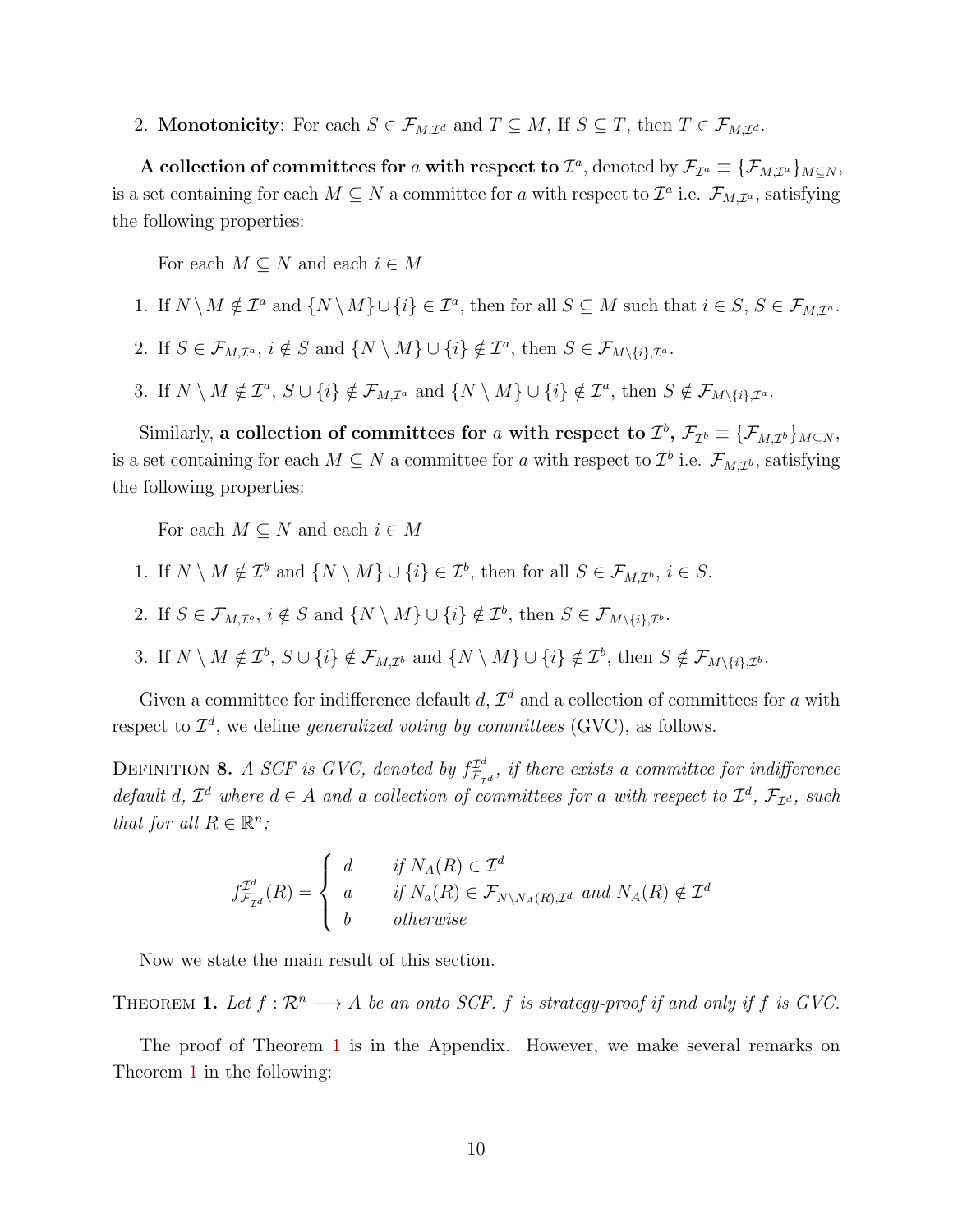2. **Monotonicity**: For each  $S \in \mathcal{F}_{M,\mathcal{I}^d}$  and  $T \subseteq M$ , If  $S \subseteq T$ , then  $T \in \mathcal{F}_{M,\mathcal{I}^d}$ .

A collection of committees for a with respect to  $\mathcal{I}^a$ , denoted by  $\mathcal{F}_{\mathcal{I}^a} \equiv {\{\mathcal{F}_{M,\mathcal{I}^a}\}_{M\subseteq N}}$ , is a set containing for each  $M \subseteq N$  a committee for a with respect to  $\mathcal{I}^a$  i.e.  $\mathcal{F}_{M,\mathcal{I}^a}$ , satisfying the following properties:

For each  $M \subseteq N$  and each  $i \in M$ 

- 1. If  $N \setminus M \notin \mathcal{I}^a$  and  $\{N \setminus M\} \cup \{i\} \in \mathcal{I}^a$ , then for all  $S \subseteq M$  such that  $i \in S, S \in \mathcal{F}_{M,\mathcal{I}^a}$ .
- 2. If  $S \in \mathcal{F}_{M,\mathcal{I}^a}$ ,  $i \notin S$  and  $\{N \setminus M\} \cup \{i\} \notin \mathcal{I}^a$ , then  $S \in \mathcal{F}_{M \setminus \{i\},\mathcal{I}^a}$ .
- 3. If  $N \setminus M \notin \mathcal{I}^a$ ,  $S \cup \{i\} \notin \mathcal{F}_{M,\mathcal{I}^a}$  and  $\{N \setminus M\} \cup \{i\} \notin \mathcal{I}^a$ , then  $S \notin \mathcal{F}_{M \setminus \{i\},\mathcal{I}^a}$ .

Similarly, a collection of committees for a with respect to  $\mathcal{I}^b$ ,  $\mathcal{F}_{\mathcal{I}^b} \equiv \{\mathcal{F}_{M,\mathcal{I}^b}\}_{M\subseteq N}$ , is a set containing for each  $M \subseteq N$  a committee for a with respect to  $\mathcal{I}^b$  i.e.  $\mathcal{F}_{M,\mathcal{I}^b}$ , satisfying the following properties:

For each  $M \subseteq N$  and each  $i \in M$ 

- 1. If  $N \setminus M \notin \mathcal{I}^b$  and  $\{N \setminus M\} \cup \{i\} \in \mathcal{I}^b$ , then for all  $S \in \mathcal{F}_{M,\mathcal{I}^b}$ ,  $i \in S$ .
- 2. If  $S \in \mathcal{F}_{M,\mathcal{I}^b}$ ,  $i \notin S$  and  $\{N \setminus M\} \cup \{i\} \notin \mathcal{I}^b$ , then  $S \in \mathcal{F}_{M \setminus \{i\},\mathcal{I}^b}$ .
- 3. If  $N \setminus M \notin \mathcal{I}^b$ ,  $S \cup \{i\} \notin \mathcal{F}_{M,\mathcal{I}^b}$  and  $\{N \setminus M\} \cup \{i\} \notin \mathcal{I}^b$ , then  $S \notin \mathcal{F}_{M \setminus \{i\},\mathcal{I}^b}$ .

Given a committee for indifference default d,  $\mathcal{I}^d$  and a collection of committees for a with respect to  $\mathcal{I}^d$ , we define *generalized voting by committees* (GVC), as follows.

DEFINITION 8. A SCF is GVC, denoted by  $f_{\mathcal{F}_{\tau}}^{T^d}$  $\frac{T^a}{\mathcal{F}_{\mathcal{I}^d}}$ , if there exists a committee for indifference default d,  $\mathcal{I}^d$  where  $d \in A$  and a collection of committees for a with respect to  $\mathcal{I}^d$ ,  $\mathcal{F}_{\mathcal{I}^d}$ , such that for all  $R \in \mathbb{R}^n$ ;

$$
f_{\mathcal{F}_{\mathcal{I}^d}}^{\mathcal{I}^d}(R) = \begin{cases} d & \text{if } N_A(R) \in \mathcal{I}^d \\ a & \text{if } N_a(R) \in \mathcal{F}_{N \setminus N_A(R), \mathcal{I}^d} \text{ and } N_A(R) \notin \mathcal{I}^d \\ b & \text{otherwise} \end{cases}
$$

Now we state the main result of this section.

THEOREM 1. Let  $f: \mathbb{R}^n \longrightarrow A$  be an onto SCF. f is strategy-proof if and only if f is GVC.

The proof of Theorem 1 is in the Appendix. However, we make several remarks on Theorem 1 in the following: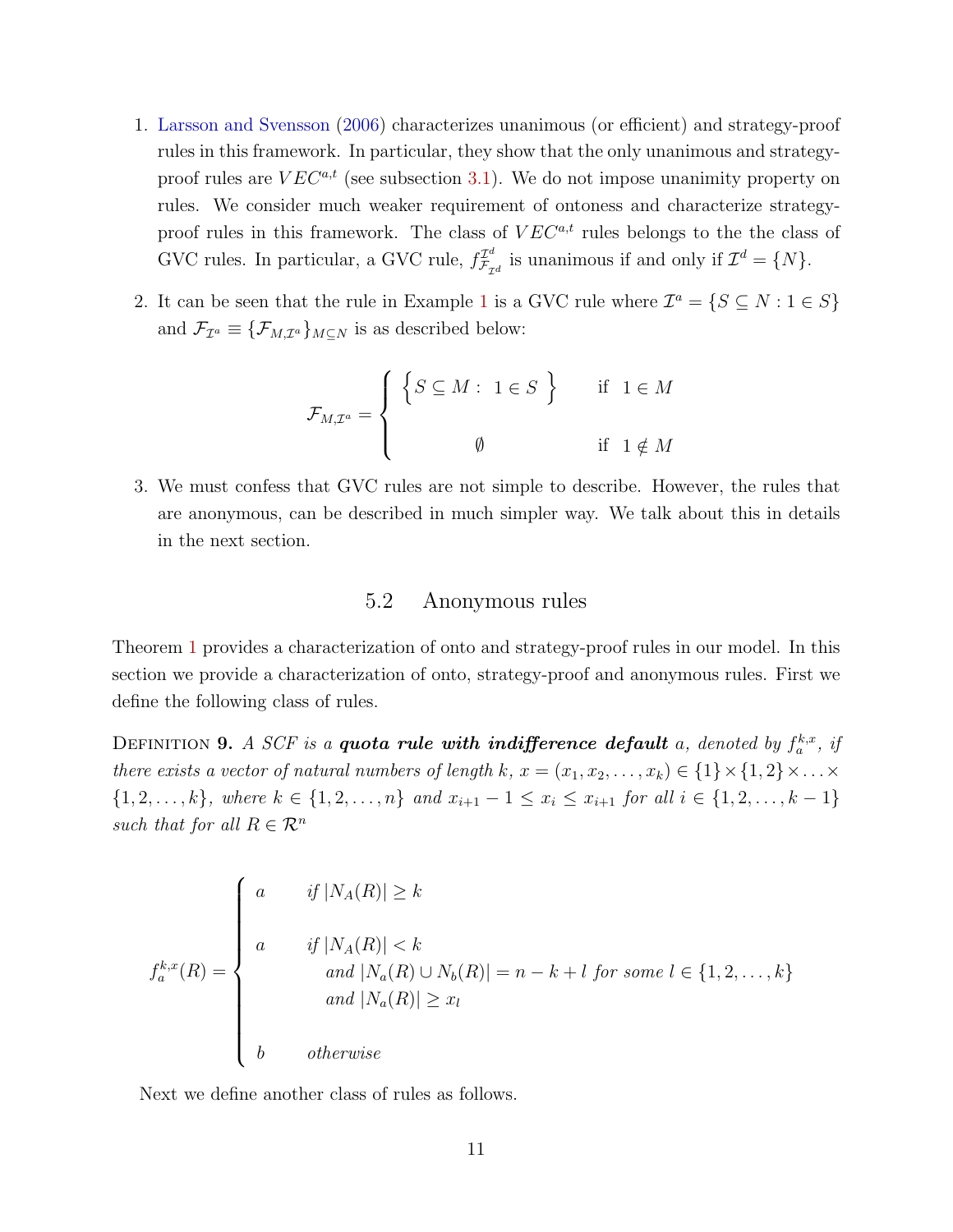- 1. Larsson and Svensson (2006) characterizes unanimous (or efficient) and strategy-proof rules in this framework. In particular, they show that the only unanimous and strategyproof rules are  $VEC^{a,t}$  (see subsection 3.1). We do not impose unanimity property on rules. We consider much weaker requirement of ontoness and characterize strategyproof rules in this framework. The class of  $VEC^{a,t}$  rules belongs to the the class of GVC rules. In particular, a GVC rule,  $f_{\mathcal{F}_{\tau}}^{\mathcal{I}^d}$  $\mathcal{I}_{\mathcal{F}_{\mathcal{I}d}}^d$  is unanimous if and only if  $\mathcal{I}^d = \{N\}.$
- 2. It can be seen that the rule in Example 1 is a GVC rule where  $\mathcal{I}^a = \{S \subseteq N : 1 \in S\}$ and  $\mathcal{F}_{\mathcal{I}^a} \equiv {\{\mathcal{F}_{M,\mathcal{I}^a}\}_{M\subseteq N}}$  is as described below:

$$
\mathcal{F}_{M,\mathcal{I}^a} = \left\{ \begin{array}{ccc} \left\{ S \subseteq M : & 1 \in S \right\} & & \text{if} & 1 \in M \\ & & & \\ & & \emptyset & & \text{if} & 1 \notin M \end{array} \right.
$$

3. We must confess that GVC rules are not simple to describe. However, the rules that are anonymous, can be described in much simpler way. We talk about this in details in the next section.

# 5.2 Anonymous rules

Theorem 1 provides a characterization of onto and strategy-proof rules in our model. In this section we provide a characterization of onto, strategy-proof and anonymous rules. First we define the following class of rules.

DEFINITION 9. A SCF is a **quota rule with indifference default** a, denoted by  $f_a^{k,x}$ , if there exists a vector of natural numbers of length k,  $x = (x_1, x_2, \ldots, x_k) \in \{1\} \times \{1, 2\} \times \ldots \times$  $\{1, 2, \ldots, k\}$ , where  $k \in \{1, 2, \ldots, n\}$  and  $x_{i+1} - 1 \le x_i \le x_{i+1}$  for all  $i \in \{1, 2, \ldots, k-1\}$ such that for all  $R \in \mathcal{R}^n$ 

$$
f_a^{k,x}(R) = \begin{cases} a & \text{if } |N_A(R)| \ge k \\ a & \text{if } |N_A(R)| < k \\ & \text{and } |N_a(R) \cup N_b(R)| = n - k + l \text{ for some } l \in \{1, 2, ..., k\} \\ and & |N_a(R)| \ge x_l \end{cases}
$$
  

$$
b \qquad \text{otherwise}
$$

Next we define another class of rules as follows.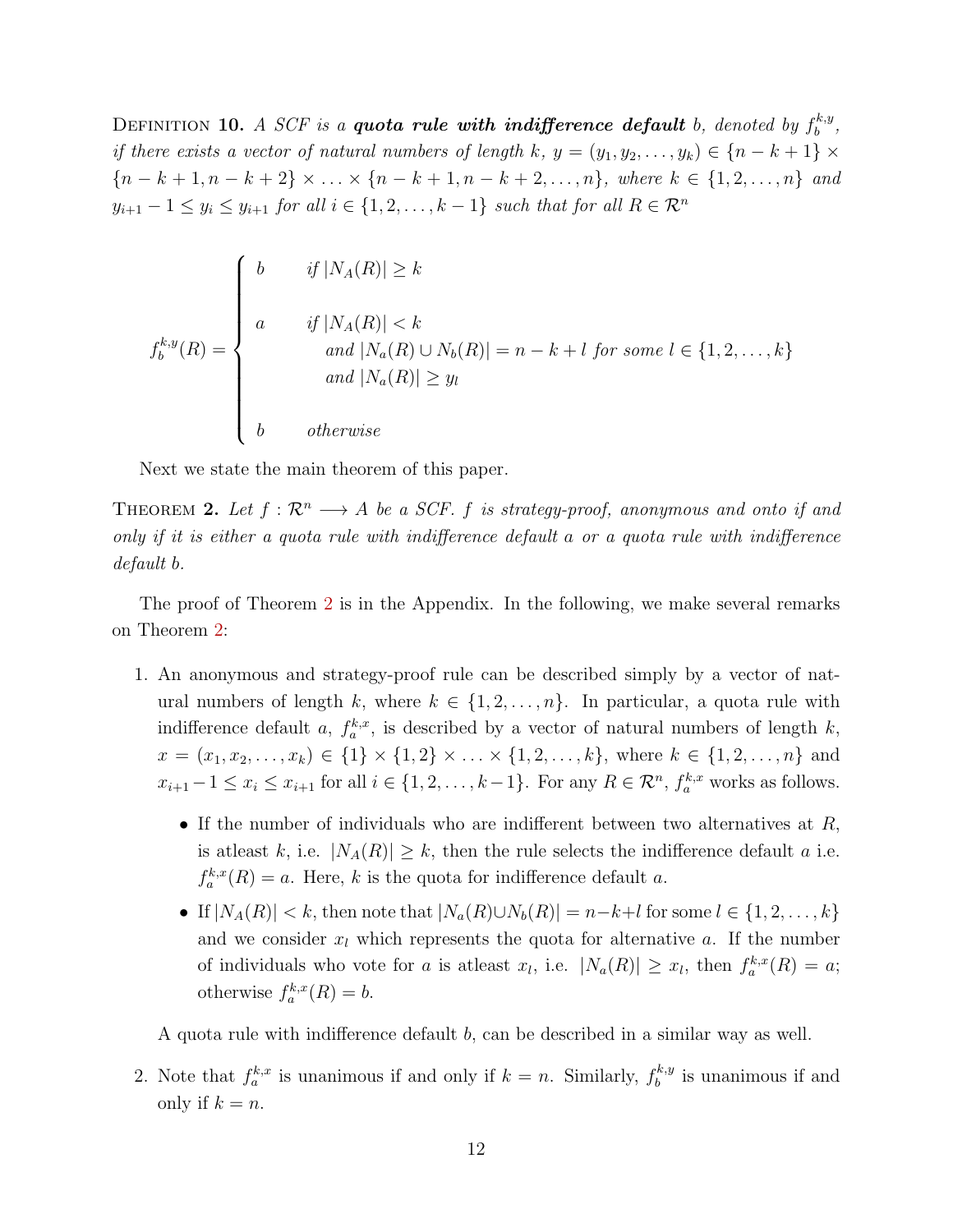DEFINITION 10. A SCF is a quota rule with indifference default b, denoted by  $f_b^{k,y}$  $\begin{array}{c} \kappa, y \\ b \end{array}$ if there exists a vector of natural numbers of length k,  $y = (y_1, y_2, \ldots, y_k) \in \{n - k + 1\} \times$  ${n-k+1, n-k+2} \times ... \times {n-k+1, n-k+2, ..., n}$ , where  $k \in \{1, 2, ..., n\}$  and  $y_{i+1} - 1 \le y_i \le y_{i+1}$  for all  $i \in \{1, 2, \ldots, k-1\}$  such that for all  $R \in \mathcal{R}^n$ 

$$
f_b^{k,y}(R) = \begin{cases} b & \text{if } |N_A(R)| \ge k \\ a & \text{if } |N_A(R)| < k \\ \text{and } |N_a(R) \cup N_b(R)| = n - k + l \text{ for some } l \in \{1, 2, \dots, k\} \\ \text{and } |N_a(R)| \ge y_l \\ b & \text{otherwise} \end{cases}
$$

Next we state the main theorem of this paper.

THEOREM 2. Let  $f : \mathbb{R}^n \longrightarrow A$  be a SCF. f is strategy-proof, anonymous and onto if and only if it is either a quota rule with indifference default a or a quota rule with indifference default b.

The proof of Theorem 2 is in the Appendix. In the following, we make several remarks on Theorem 2:

- 1. An anonymous and strategy-proof rule can be described simply by a vector of natural numbers of length k, where  $k \in \{1, 2, ..., n\}$ . In particular, a quota rule with indifference default a,  $f_a^{k,x}$ , is described by a vector of natural numbers of length k,  $x = (x_1, x_2, \ldots, x_k) \in \{1\} \times \{1, 2\} \times \ldots \times \{1, 2, \ldots, k\},\$  where  $k \in \{1, 2, \ldots, n\}$  and  $x_{i+1}-1 \leq x_i \leq x_{i+1}$  for all  $i \in \{1, 2, \ldots, k-1\}$ . For any  $R \in \mathcal{R}^n$ ,  $f_a^{k,x}$  works as follows.
	- If the number of individuals who are indifferent between two alternatives at  $R$ , is at least k, i.e.  $|N_A(R)| \geq k$ , then the rule selects the indifference default a i.e.  $f_a^{k,x}(R) = a$ . Here, k is the quota for indifference default a.
	- If  $|N_A(R)| < k$ , then note that  $|N_a(R) \cup N_b(R)| = n-k+l$  for some  $l \in \{1, 2, ..., k\}$ and we consider  $x_l$  which represents the quota for alternative a. If the number of individuals who vote for a is at least  $x_l$ , i.e.  $|N_a(R)| \ge x_l$ , then  $f_a^{k,x}(R) = a$ ; otherwise  $f_a^{k,x}(R) = b$ .

A quota rule with indifference default b, can be described in a similar way as well.

2. Note that  $f_a^{k,x}$  is unanimous if and only if  $k = n$ . Similarly,  $f_b^{k,y}$  $b<sub>b</sub><sup>k,y</sup>$  is unanimous if and only if  $k = n$ .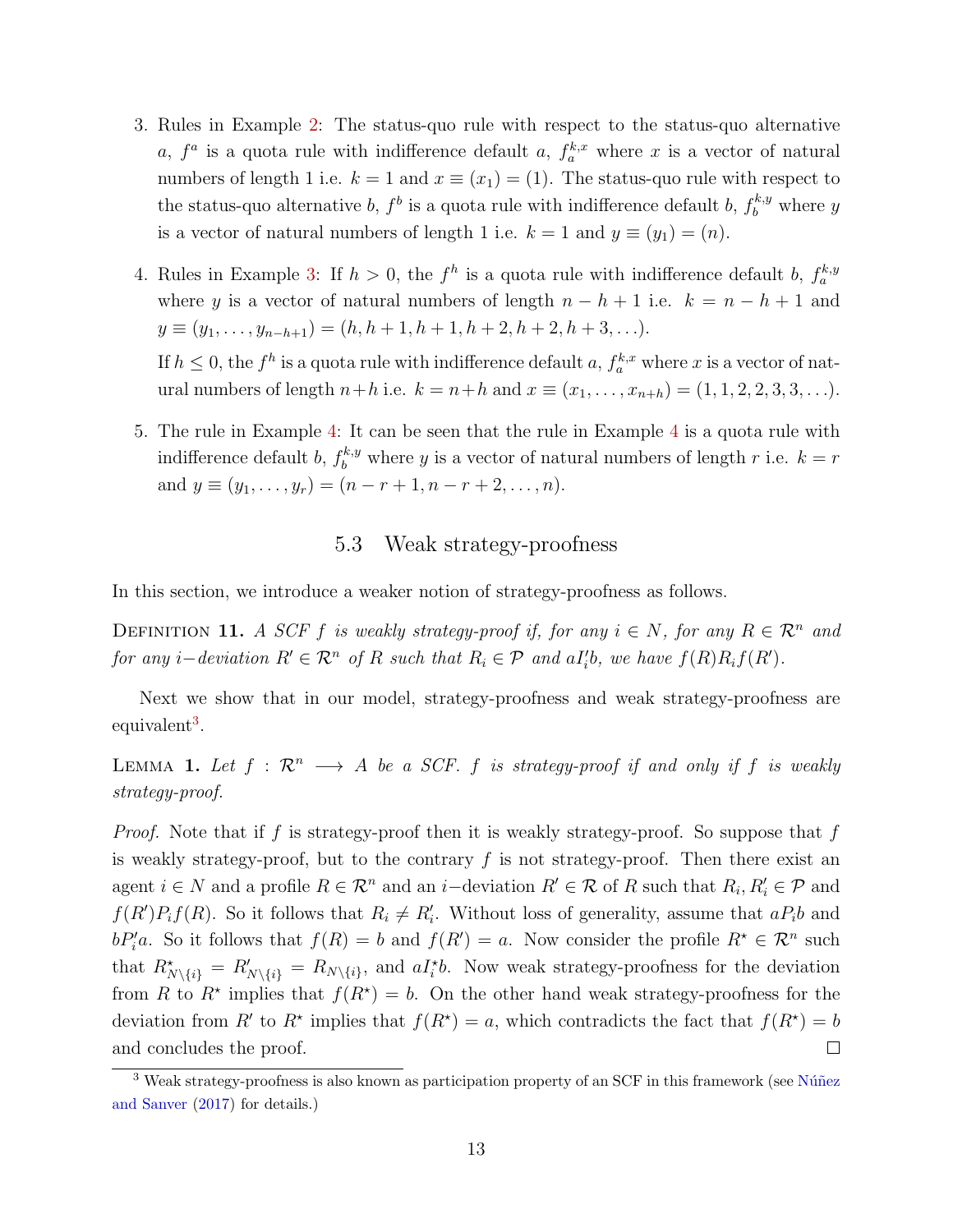- 3. Rules in Example 2: The status-quo rule with respect to the status-quo alternative a,  $f^a$  is a quota rule with indifference default a,  $f_a^{k,x}$  where x is a vector of natural numbers of length 1 i.e.  $k = 1$  and  $x \equiv (x_1) = (1)$ . The status-quo rule with respect to the status-quo alternative b,  $f^b$  is a quota rule with indifference default b,  $f_b^{k,y}$  where y is a vector of natural numbers of length 1 i.e.  $k = 1$  and  $y \equiv (y_1) = (n)$ .
- 4. Rules in Example 3: If  $h > 0$ , the  $f^h$  is a quota rule with indifference default b,  $f_a^{k,y}$ where y is a vector of natural numbers of length  $n - h + 1$  i.e.  $k = n - h + 1$  and  $y \equiv (y_1, \ldots, y_{n-h+1}) = (h, h+1, h+1, h+2, h+2, h+3, \ldots).$

If  $h \leq 0$ , the  $f^h$  is a quota rule with indifference default a,  $f_a^{k,x}$  where x is a vector of natural numbers of length  $n+h$  i.e.  $k = n+h$  and  $x \equiv (x_1, \ldots, x_{n+h}) = (1, 1, 2, 2, 3, 3, \ldots).$ 

5. The rule in Example 4: It can be seen that the rule in Example 4 is a quota rule with indifference default b,  $f_b^{k,y}$  where y is a vector of natural numbers of length r i.e.  $k = r$ and  $y \equiv (y_1, \ldots, y_r) = (n - r + 1, n - r + 2, \ldots, n).$ 

# 5.3 Weak strategy-proofness

In this section, we introduce a weaker notion of strategy-proofness as follows.

DEFINITION 11. A SCF f is weakly strategy-proof if, for any  $i \in N$ , for any  $R \in \mathbb{R}^n$  and for any i–deviation  $R' \in \mathcal{R}^n$  of R such that  $R_i \in \mathcal{P}$  and  $aI_i'b$ , we have  $f(R)R_if(R')$ .

Next we show that in our model, strategy-proofness and weak strategy-proofness are equivalent<sup>3</sup>.

LEMMA 1. Let  $f : \mathbb{R}^n \longrightarrow A$  be a SCF. f is strategy-proof if and only if f is weakly strategy-proof.

*Proof.* Note that if f is strategy-proof then it is weakly strategy-proof. So suppose that f is weakly strategy-proof, but to the contrary  $f$  is not strategy-proof. Then there exist an agent  $i \in N$  and a profile  $R \in \mathcal{R}^n$  and an  $i$ -deviation  $R' \in \mathcal{R}$  of R such that  $R_i, R'_i \in \mathcal{P}$  and  $f(R')P_i f(R)$ . So it follows that  $R_i \neq R'_i$ . Without loss of generality, assume that  $aP_i b$  and  $bP_i'a$ . So it follows that  $f(R) = b$  and  $f(R') = a$ . Now consider the profile  $R^* \in \mathcal{R}^n$  such that  $R^*_{N\setminus\{i\}} = R'_{N\setminus\{i\}} = R_{N\setminus\{i\}}$ , and  $aI_i^*b$ . Now weak strategy-proofness for the deviation from R to  $R^*$  implies that  $f(R^*) = b$ . On the other hand weak strategy-proofness for the deviation from R' to R<sup>\*</sup> implies that  $f(R^*) = a$ , which contradicts the fact that  $f(R^*) = b$ and concludes the proof.  $\Box$ 

 $3$  Weak strategy-proofness is also known as participation property of an SCF in this framework (see Núñez and Sanver (2017) for details.)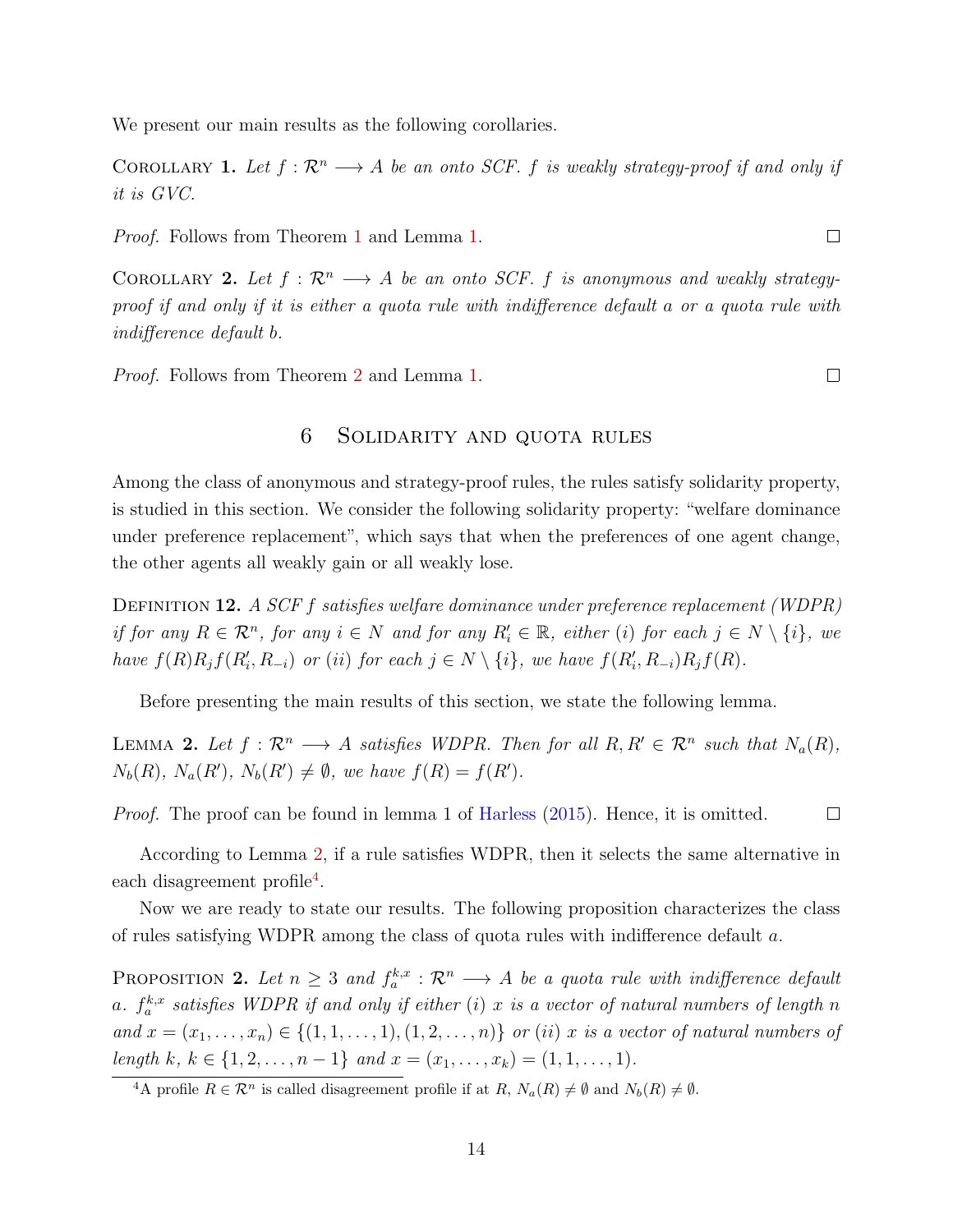We present our main results as the following corollaries.

COROLLARY 1. Let  $f: \mathcal{R}^n \longrightarrow A$  be an onto SCF. f is weakly strategy-proof if and only if it is GVC.

Proof. Follows from Theorem 1 and Lemma 1.

COROLLARY 2. Let  $f : \mathbb{R}^n \longrightarrow A$  be an onto SCF. f is anonymous and weakly strategyproof if and only if it is either a quota rule with indifference default a or a quota rule with indifference default b.

Proof. Follows from Theorem 2 and Lemma 1.

# 6 Solidarity and quota rules

Among the class of anonymous and strategy-proof rules, the rules satisfy solidarity property, is studied in this section. We consider the following solidarity property: "welfare dominance under preference replacement", which says that when the preferences of one agent change, the other agents all weakly gain or all weakly lose.

DEFINITION 12. A SCF f satisfies welfare dominance under preference replacement (WDPR) if for any  $R \in \mathcal{R}^n$ , for any  $i \in N$  and for any  $R'_i \in \mathbb{R}$ , either (i) for each  $j \in N \setminus \{i\}$ , we have  $f(R)R_jf(R'_i, R_{-i})$  or (ii) for each  $j \in N \setminus \{i\}$ , we have  $f(R'_i, R_{-i})R_jf(R)$ .

Before presenting the main results of this section, we state the following lemma.

LEMMA 2. Let  $f: \mathcal{R}^n \longrightarrow A$  satisfies WDPR. Then for all  $R, R' \in \mathcal{R}^n$  such that  $N_a(R)$ ,  $N_b(R)$ ,  $N_a(R')$ ,  $N_b(R') \neq \emptyset$ , we have  $f(R) = f(R')$ .

Proof. The proof can be found in lemma 1 of Harless (2015). Hence, it is omitted.  $\Box$ 

According to Lemma 2, if a rule satisfies WDPR, then it selects the same alternative in each disagreement profile<sup>4</sup>.

Now we are ready to state our results. The following proposition characterizes the class of rules satisfying WDPR among the class of quota rules with indifference default a.

**PROPOSITION 2.** Let  $n \geq 3$  and  $f_a^{k,x}: \mathcal{R}^n \longrightarrow A$  be a quota rule with indifference default a.  $f_a^{k,x}$  satisfies WDPR if and only if either (i) x is a vector of natural numbers of length n and  $x = (x_1, \ldots, x_n) \in \{(1, 1, \ldots, 1), (1, 2, \ldots, n)\}$  or (ii) x is a vector of natural numbers of length k,  $k \in \{1, 2, ..., n-1\}$  and  $x = (x_1, ..., x_k) = (1, 1, ..., 1)$ .

 $\Box$ 

<sup>&</sup>lt;sup>4</sup>A profile  $R \in \mathcal{R}^n$  is called disagreement profile if at  $R$ ,  $N_a(R) \neq \emptyset$  and  $N_b(R) \neq \emptyset$ .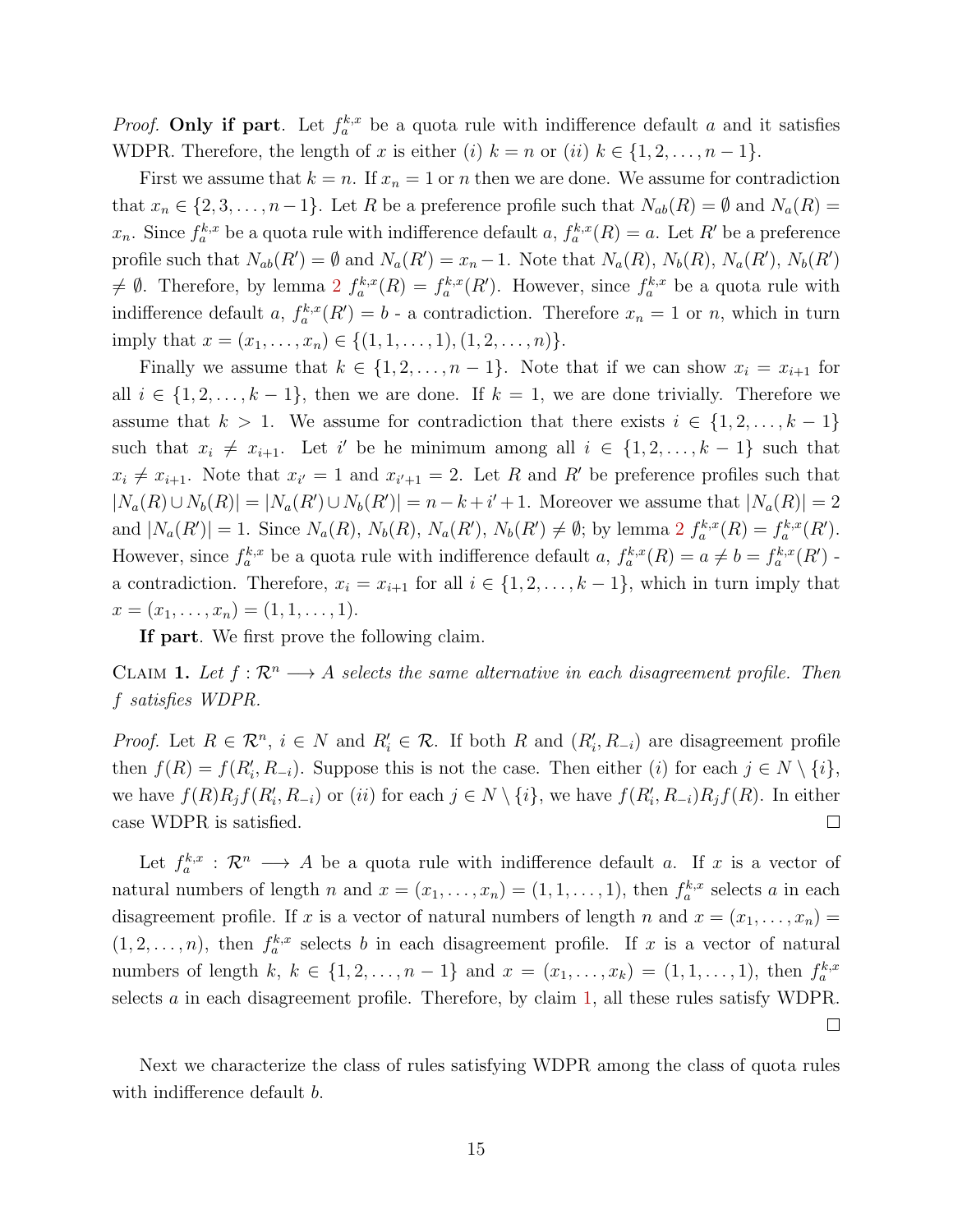*Proof.* Only if part. Let  $f_a^{k,x}$  be a quota rule with indifference default a and it satisfies WDPR. Therefore, the length of x is either (i)  $k = n$  or (ii)  $k \in \{1, 2, ..., n-1\}$ .

First we assume that  $k = n$ . If  $x_n = 1$  or n then we are done. We assume for contradiction that  $x_n \in \{2, 3, ..., n-1\}$ . Let R be a preference profile such that  $N_{ab}(R) = \emptyset$  and  $N_a(R) =$  $x_n$ . Since  $f_a^{k,x}$  be a quota rule with indifference default  $a, f_a^{k,x}(R) = a$ . Let R' be a preference profile such that  $N_{ab}(R') = \emptyset$  and  $N_a(R') = x_n - 1$ . Note that  $N_a(R)$ ,  $N_b(R)$ ,  $N_a(R')$ ,  $N_b(R')$  $\neq \emptyset$ . Therefore, by lemma 2  $f_a^{k,x}(R) = f_a^{k,x}(R')$ . However, since  $f_a^{k,x}$  be a quota rule with indifference default a,  $f_a^{k,x}(R') = b$  - a contradiction. Therefore  $x_n = 1$  or n, which in turn imply that  $x = (x_1, \ldots, x_n) \in \{(1, 1, \ldots, 1), (1, 2, \ldots, n)\}.$ 

Finally we assume that  $k \in \{1, 2, ..., n-1\}$ . Note that if we can show  $x_i = x_{i+1}$  for all  $i \in \{1, 2, \ldots, k-1\}$ , then we are done. If  $k = 1$ , we are done trivially. Therefore we assume that  $k > 1$ . We assume for contradiction that there exists  $i \in \{1, 2, ..., k-1\}$ such that  $x_i \neq x_{i+1}$ . Let i' be he minimum among all  $i \in \{1, 2, ..., k-1\}$  such that  $x_i \neq x_{i+1}$ . Note that  $x_{i'} = 1$  and  $x_{i'+1} = 2$ . Let R and R' be preference profiles such that  $|N_a(R) \cup N_b(R)| = |N_a(R') \cup N_b(R')| = n - k + i' + 1$ . Moreover we assume that  $|N_a(R)| = 2$ and  $|N_a(R')|=1$ . Since  $N_a(R)$ ,  $N_b(R)$ ,  $N_a(R')$ ,  $N_b(R') \neq \emptyset$ ; by lemma  $2 f_a^{k,x}(R) = f_a^{k,x}(R')$ . However, since  $f_a^{k,x}$  be a quota rule with indifference default  $a, f_a^{k,x}(R) = a \neq b = f_a^{k,x}(R')$ . a contradiction. Therefore,  $x_i = x_{i+1}$  for all  $i \in \{1, 2, \ldots, k-1\}$ , which in turn imply that  $x = (x_1, \ldots, x_n) = (1, 1, \ldots, 1).$ 

If part. We first prove the following claim.

CLAIM 1. Let  $f : \mathbb{R}^n \longrightarrow A$  selects the same alternative in each disagreement profile. Then f satisfies WDPR.

*Proof.* Let  $R \in \mathcal{R}^n$ ,  $i \in N$  and  $R'_i \in \mathcal{R}$ . If both R and  $(R'_i, R_{-i})$  are disagreement profile then  $f(R) = f(R'_i, R_{-i})$ . Suppose this is not the case. Then either (i) for each  $j \in N \setminus \{i\}$ , we have  $f(R)R_jf(R'_i, R_{-i})$  or  $(ii)$  for each  $j \in N \setminus \{i\}$ , we have  $f(R'_i, R_{-i})R_jf(R)$ . In either case WDPR is satisfied.  $\Box$ 

Let  $f_a^{k,x}: \mathcal{R}^n \longrightarrow A$  be a quota rule with indifference default a. If x is a vector of natural numbers of length n and  $x = (x_1, \ldots, x_n) = (1, 1, \ldots, 1)$ , then  $f_a^{k,x}$  selects a in each disagreement profile. If x is a vector of natural numbers of length n and  $x = (x_1, \ldots, x_n)$  $(1, 2, \ldots, n)$ , then  $f_a^{k,x}$  selects b in each disagreement profile. If x is a vector of natural numbers of length  $k, k \in \{1, 2, ..., n-1\}$  and  $x = (x_1, ..., x_k) = (1, 1, ..., 1)$ , then  $f_a^{k,x}$ selects a in each disagreement profile. Therefore, by claim 1, all these rules satisfy WDPR.  $\Box$ 

Next we characterize the class of rules satisfying WDPR among the class of quota rules with indifference default *b*.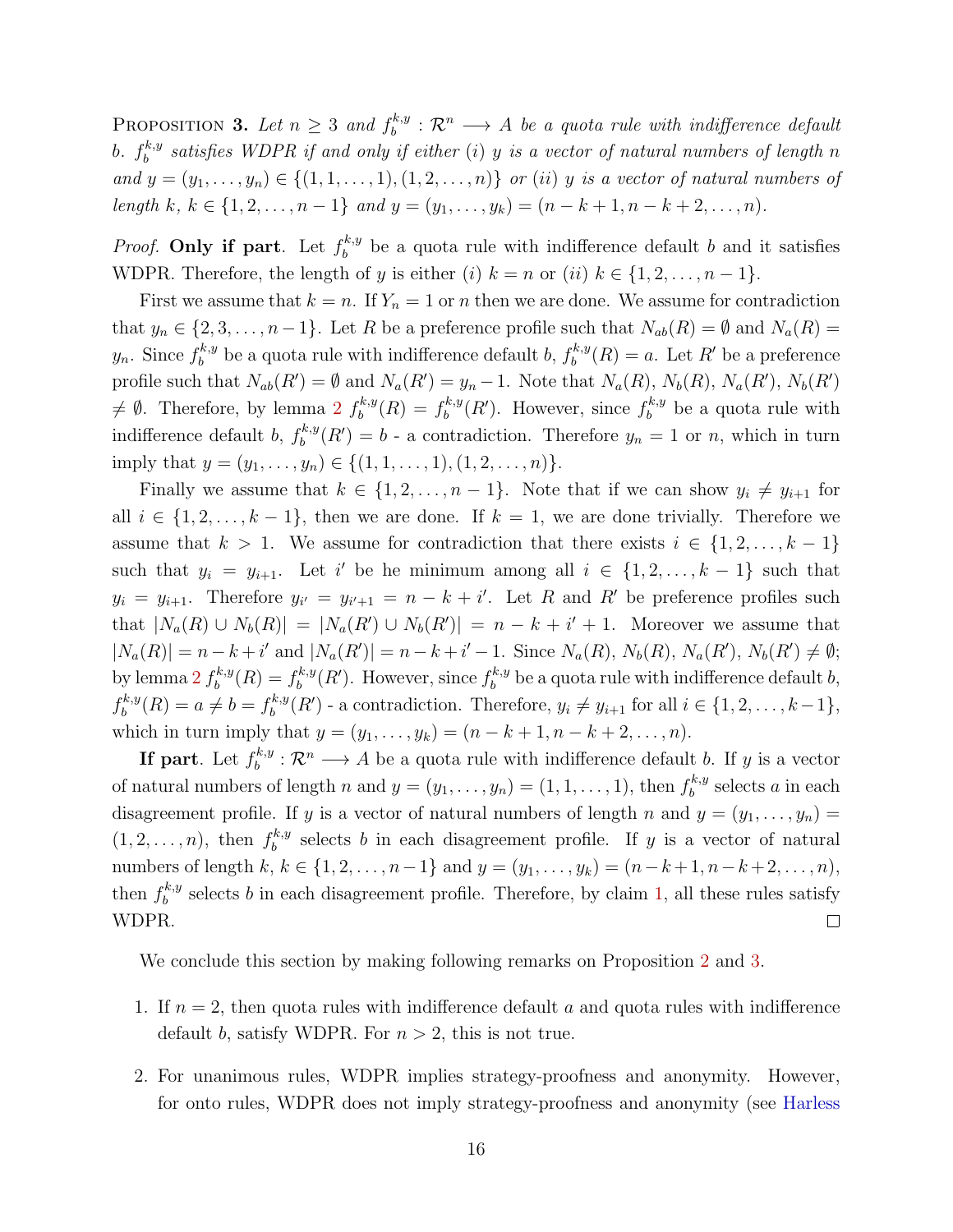PROPOSITION 3. Let  $n \geq 3$  and  $f_h^{k,y}$  $b^{k,y}_b:\mathcal{R}^n\longrightarrow A$  be a quota rule with indifference default b.  $f_b^{k,y}$  $\mathbb{R}^{k,y}_{b}$  satisfies WDPR if and only if either (i) y is a vector of natural numbers of length n and  $y = (y_1, \ldots, y_n) \in \{(1, 1, \ldots, 1), (1, 2, \ldots, n)\}\$ or (ii) y is a vector of natural numbers of length k,  $k \in \{1, 2, ..., n-1\}$  and  $y = (y_1, ..., y_k) = (n - k + 1, n - k + 2, ..., n)$ .

*Proof.* Only if part. Let  $f_b^{k,y}$  $b_b^{k,y}$  be a quota rule with indifference default b and it satisfies WDPR. Therefore, the length of y is either (i)  $k = n$  or (ii)  $k \in \{1, 2, ..., n-1\}$ .

First we assume that  $k = n$ . If  $Y_n = 1$  or n then we are done. We assume for contradiction that  $y_n \in \{2, 3, ..., n-1\}$ . Let R be a preference profile such that  $N_{ab}(R) = \emptyset$  and  $N_a(R) =$  $y_n$ . Since  $f_b^{k,y}$  $b_b^{k,y}$  be a quota rule with indifference default b,  $f_b^{k,y}$  $b^{k,y}(R) = a$ . Let R' be a preference profile such that  $N_{ab}(R') = \emptyset$  and  $N_a(R') = y_n - 1$ . Note that  $N_a(R)$ ,  $N_b(R)$ ,  $N_a(R')$ ,  $N_b(R')$  $\neq \emptyset$ . Therefore, by lemma 2  $f_b^{k,y}$  $b^{k,y}(R) = f_b^{k,y}$  $b^{k,y}(R')$ . However, since  $f^{k,y}_b$  $b<sub>b</sub><sup>k,y</sup>$  be a quota rule with indifference default b,  $f_h^{k,y}$  $b_b^{k,y}(R') = b$  - a contradiction. Therefore  $y_n = 1$  or n, which in turn imply that  $y = (y_1, \ldots, y_n) \in \{(1, 1, \ldots, 1), (1, 2, \ldots, n)\}.$ 

Finally we assume that  $k \in \{1, 2, ..., n-1\}$ . Note that if we can show  $y_i \neq y_{i+1}$  for all  $i \in \{1, 2, \ldots, k-1\}$ , then we are done. If  $k = 1$ , we are done trivially. Therefore we assume that  $k > 1$ . We assume for contradiction that there exists  $i \in \{1, 2, ..., k-1\}$ such that  $y_i = y_{i+1}$ . Let i' be he minimum among all  $i \in \{1, 2, ..., k-1\}$  such that  $y_i = y_{i+1}$ . Therefore  $y_{i'} = y_{i'+1} = n - k + i'$ . Let R and R' be preference profiles such that  $|N_a(R) \cup N_b(R)| = |N_a(R') \cup N_b(R')| = n - k + i' + 1$ . Moreover we assume that  $|N_a(R)| = n - k + i'$  and  $|N_a(R')| = n - k + i' - 1$ . Since  $N_a(R)$ ,  $N_b(R)$ ,  $N_a(R')$ ,  $N_b(R') \neq \emptyset$ ; by lemma  $2 f_h^{k,y}$  $f_b^{k,y}(R) = f_b^{k,y}$  $b^{k,y}(R')$ . However, since  $f_b^{k,y}$  $b_b^{k,y}$  be a quota rule with indifference default b,  $f_b^{k,y}$  $b_b^{k,y}(R) = a \neq b = f_b^{k,y}$  $b_b^{k,y}(R')$  - a contradiction. Therefore,  $y_i \neq y_{i+1}$  for all  $i \in \{1, 2, \ldots, k-1\}$ , which in turn imply that  $y = (y_1, \ldots, y_k) = (n - k + 1, n - k + 2, \ldots, n)$ .

If part. Let  $f_b^{k,y}$  $b_b^{k,y}: \mathcal{R}^n \longrightarrow A$  be a quota rule with indifference default b. If y is a vector of natural numbers of length n and  $y = (y_1, \ldots, y_n) = (1, 1, \ldots, 1)$ , then  $f_b^{k,y}$  $b^{k,y}$  selects a in each disagreement profile. If y is a vector of natural numbers of length n and  $y = (y_1, \ldots, y_n)$  $(1, 2, \ldots, n)$ , then  $f_b^{k,y}$  $b_b^{k,y}$  selects b in each disagreement profile. If y is a vector of natural numbers of length  $k, k \in \{1, 2, ..., n-1\}$  and  $y = (y_1, ..., y_k) = (n-k+1, n-k+2, ..., n),$ then  $f_h^{k,y}$  $b_b^{k,y}$  selects b in each disagreement profile. Therefore, by claim 1, all these rules satisfy WDPR.  $\Box$ 

We conclude this section by making following remarks on Proposition 2 and 3.

- 1. If  $n = 2$ , then quota rules with indifference default a and quota rules with indifference default b, satisfy WDPR. For  $n > 2$ , this is not true.
- 2. For unanimous rules, WDPR implies strategy-proofness and anonymity. However, for onto rules, WDPR does not imply strategy-proofness and anonymity (see Harless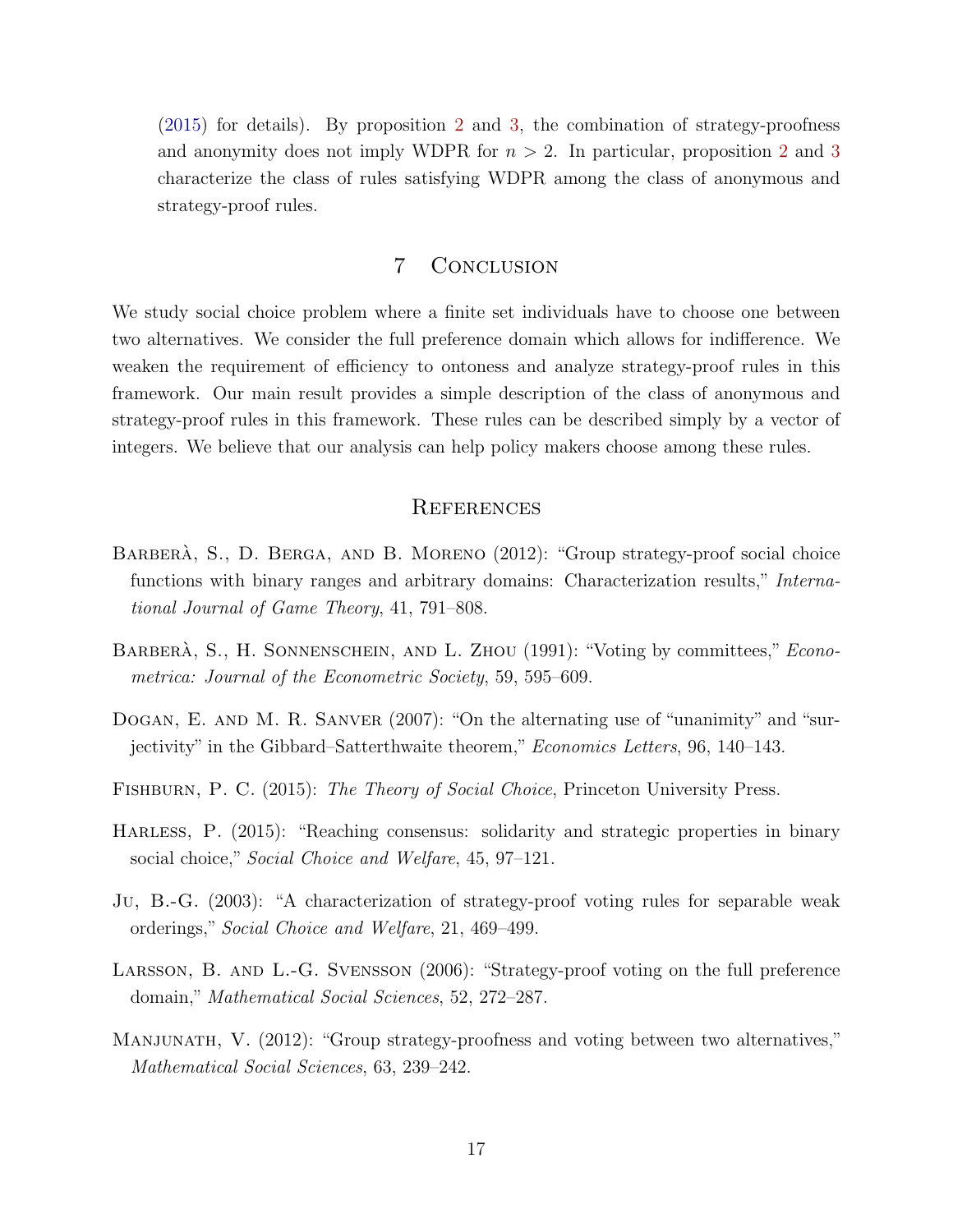(2015) for details). By proposition 2 and 3, the combination of strategy-proofness and anonymity does not imply WDPR for  $n > 2$ . In particular, proposition 2 and 3 characterize the class of rules satisfying WDPR among the class of anonymous and strategy-proof rules.

# 7 Conclusion

We study social choice problem where a finite set individuals have to choose one between two alternatives. We consider the full preference domain which allows for indifference. We weaken the requirement of efficiency to ontoness and analyze strategy-proof rules in this framework. Our main result provides a simple description of the class of anonymous and strategy-proof rules in this framework. These rules can be described simply by a vector of integers. We believe that our analysis can help policy makers choose among these rules.

# **REFERENCES**

- BARBERA, S., D. BERGA, AND B. MORENO (2012): "Group strategy-proof social choice functions with binary ranges and arbitrary domains: Characterization results," International Journal of Game Theory, 41, 791–808.
- BARBERA, S., H. SONNENSCHEIN, AND L. ZHOU (1991): "Voting by committees," Econometrica: Journal of the Econometric Society, 59, 595–609.
- DOGAN, E. AND M. R. SANVER (2007): "On the alternating use of "unanimity" and "surjectivity" in the Gibbard–Satterthwaite theorem," Economics Letters, 96, 140–143.
- FISHBURN, P. C. (2015): The Theory of Social Choice, Princeton University Press.
- HARLESS, P.  $(2015)$ : "Reaching consensus: solidarity and strategic properties in binary social choice," Social Choice and Welfare, 45, 97–121.
- Ju, B.-G. (2003): "A characterization of strategy-proof voting rules for separable weak orderings," Social Choice and Welfare, 21, 469–499.
- Larsson, B. and L.-G. Svensson (2006): "Strategy-proof voting on the full preference domain," Mathematical Social Sciences, 52, 272–287.
- MANJUNATH, V. (2012): "Group strategy-proofness and voting between two alternatives," Mathematical Social Sciences, 63, 239–242.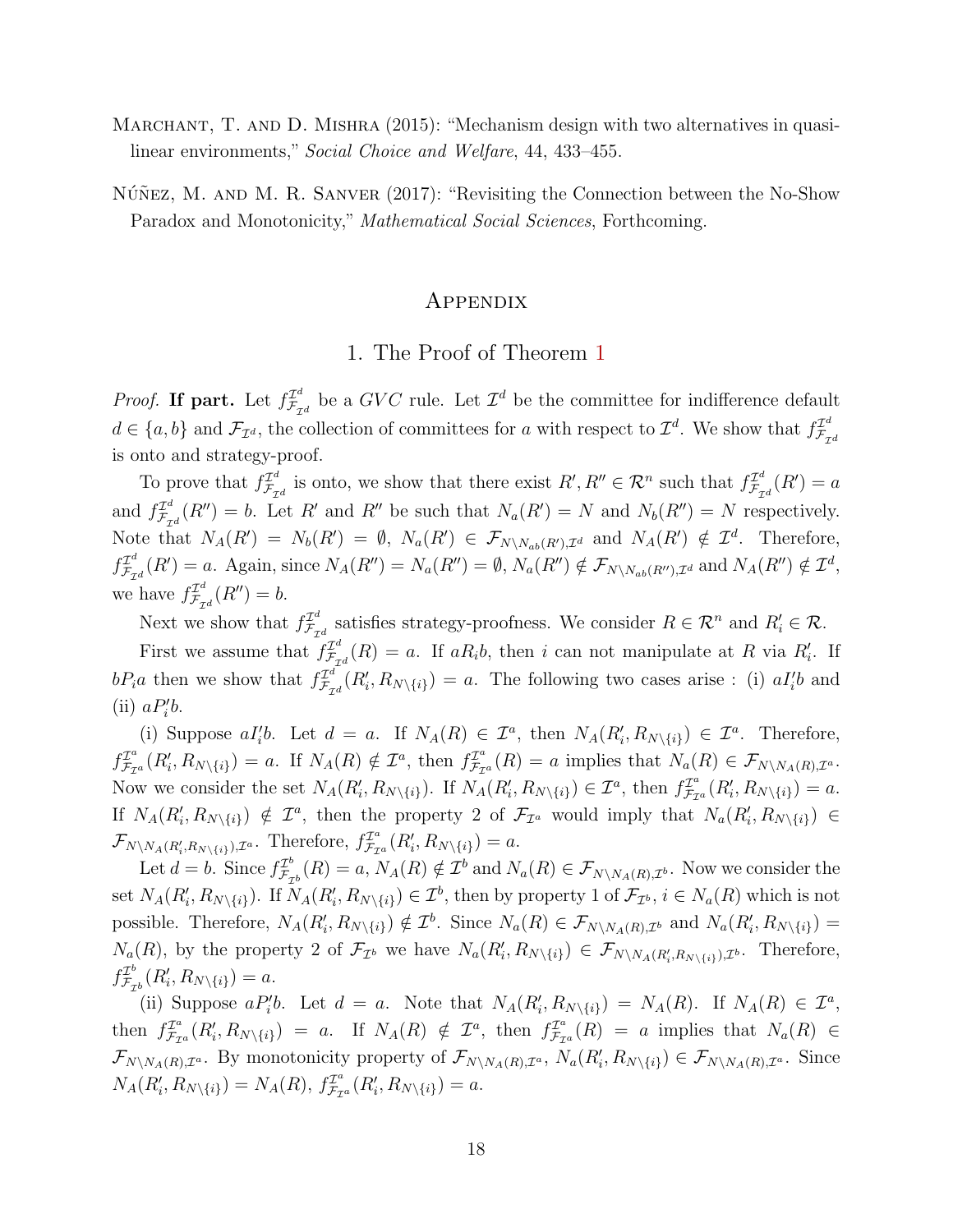- MARCHANT, T. AND D. MISHRA (2015): "Mechanism design with two alternatives in quasilinear environments," Social Choice and Welfare, 44, 433–455.
- $N\acute{u}$ Nez, M. AND M. R. SANVER  $(2017)$ : "Revisiting the Connection between the No-Show Paradox and Monotonicity," *Mathematical Social Sciences*, Forthcoming.

## Appendix

# 1. The Proof of Theorem 1

*Proof.* If part. Let  $f_{\mathcal{F}_{\tau}}^{\mathcal{I}^d}$  $\mathcal{I}_{\mathcal{F}_{\mathcal{I}d}}^d$  be a GVC rule. Let  $\mathcal{I}^d$  be the committee for indifference default  $d \in \{a, b\}$  and  $\mathcal{F}_{\mathcal{I}^d}$ , the collection of committees for a with respect to  $\mathcal{I}^d$ . We show that  $f_{\mathcal{F}_{\tau}}^{\mathcal{I}^d}$  $\mathcal{F}_{\mathcal{I}^d}$ is onto and strategy-proof.

To prove that  $f_{\mathcal{F}_{\tau}}^{\mathcal{I}^d}$  $\mathcal{I}_{\mathcal{F}_{\mathcal{I}}d}^{\mathcal{I}^d}$  is onto, we show that there exist  $R', R'' \in \mathcal{R}^n$  such that  $f_{\mathcal{F}_{\mathcal{I}}d}^{\mathcal{I}^d}$  $\mathcal{F}_{\mathcal{I}^d}^{T^d}(R')=a$ and  $f_{\mathcal{F}_{\tau}}^{\mathcal{I}^d}$  $\mathcal{F}_{\mathcal{F}_{\mathcal{A}}}^{T^d}(R'')=b$ . Let R' and R'' be such that  $N_a(R')=N$  and  $N_b(R'')=N$  respectively. Note that  $N_A(R') = N_b(R') = \emptyset$ ,  $N_a(R') \in \mathcal{F}_{N \setminus N_{ab}(R'),\mathcal{I}^d}$  and  $N_A(R') \notin \mathcal{I}^d$ . Therefore,  $f_{\mathcal{F}_{-}}^{\mathcal{I}^d}$  $\mathcal{I}_{\mathcal{F}_{\mathcal{I}d}}^{d}(R')=a.$  Again, since  $N_A(R'')=N_a(R'')=\emptyset$ ,  $N_a(R'')\notin\mathcal{F}_{N\setminus N_{ab}(R''),\mathcal{I}^d}$  and  $N_A(R'')\notin\mathcal{I}^d$ , we have  $f_{\mathcal{F}_{\alpha}}^{\mathcal{I}^d}$  $\mathcal{F}_{\mathcal{I}^d}^{T^d}(R'')=b.$ 

Next we show that  $f_{\mathcal{F}_{\alpha}}^{\mathcal{I}^d}$  $\mathcal{I}_{\mathcal{F}_{\mathcal{I}^d}}^d$  satisfies strategy-proofness. We consider  $R \in \mathcal{R}^n$  and  $R'_i \in \mathcal{R}$ .

First we assume that  $f_{\mathcal{F}_{\alpha}}^{\mathcal{I}^d}$  $\mathcal{I}_{\tau_d}^{d}(R) = a$ . If  $aR_ib$ , then i can not manipulate at R via  $R'_i$ . If  $bP_i a$  then we show that  $f_{\mathcal{F}_{\tau}}^{\mathcal{I}^d}$  $\mathcal{I}_{\tau_{\mathcal{I}}d}^{d}(R'_{i}, R_{N\setminus\{i\}}) = a$ . The following two cases arise : (i)  $aI'_{i}b$  and (ii)  $aP_i'b$ .

(i) Suppose  $aI_i'b$ . Let  $d = a$ . If  $N_A(R) \in \mathcal{I}^a$ , then  $N_A(R_i', R_{N \setminus \{i\}}) \in \mathcal{I}^a$ . Therefore,  $f_{\mathcal{F}_{\tau}}^{\mathcal{I}^a}$  $\mathcal{I}_{\mathcal{F}_{\mathcal{I}^a}}^{\mathcal{I}^a}(R'_i,R_{N\setminus\{i\}})=a.$  If  $N_A(R)\notin\mathcal{I}^a$ , then  $f_{\mathcal{F}_{\mathcal{I}}}^{\mathcal{I}^a}$  $\mathcal{F}_{\mathcal{F}_{\mathcal{I}}a}^{2^a}(R) = a$  implies that  $N_a(R) \in \mathcal{F}_{N \setminus N_A(R),\mathcal{I}^a}$ . Now we consider the set  $N_A(R'_i, R_{N\setminus\{i\}})$ . If  $N_A(R'_i, R_{N\setminus\{i\}}) \in \mathcal{I}^a$ , then  $f_{\mathcal{F}_{\mathcal{I}}}^{\mathcal{I}^a}$  $\mathcal{F}_{\mathcal{F}_{\mathcal{I}^a}}^{\mathcal{I}^a}(R_i',R_{N\setminus\{i\}})=a.$ If  $N_A(R'_i, R_{N\setminus\{i\}}) \notin \mathcal{I}^a$ , then the property 2 of  $\mathcal{F}_{\mathcal{I}^a}$  would imply that  $N_a(R'_i, R_{N\setminus\{i\}}) \in$  $\mathcal{F}_{N\setminus N_A(R'_i,R_{N\setminus\{i\}}),\mathcal{I}^a}$ . Therefore,  $f_{\mathcal{F}_{\mathcal{I}}}^{\mathcal{I}^a}$  $\mathcal{F}_{\mathcal{F}_{\mathcal{I}^a}}^{\mathcal{I}^a}(R_i',R_{N\setminus\{i\}})=a.$ 

Let  $d = b$ . Since  $f_{\mathcal{F}_{a}}^{T^{b}}$  $\mathcal{I}_{\mathcal{F}_{\mathcal{D}}^{b}}^{p}(R) = a, N_A(R) \notin \mathcal{I}^{b}$  and  $N_a(R) \in \mathcal{F}_{N \setminus N_A(R),\mathcal{I}^{b}}$ . Now we consider the set  $N_A(R'_i, R_{N\setminus\{i\}})$ . If  $N_A(R'_i, R_{N\setminus\{i\}}) \in \mathcal{I}^b$ , then by property 1 of  $\mathcal{F}_{\mathcal{I}^b}, i \in N_a(R)$  which is not possible. Therefore,  $N_A(R'_i, R_{N\setminus\{i\}}) \notin \mathcal{I}^b$ . Since  $N_a(R) \in \mathcal{F}_{N\setminus N_A(R),\mathcal{I}^b}$  and  $N_a(R'_i, R_{N\setminus\{i\}})$  =  $N_a(R)$ , by the property 2 of  $\mathcal{F}_{\mathcal{I}^b}$  we have  $N_a(R'_i,R_{N\setminus\{i\}}) \in \mathcal{F}_{N\setminus N_A(R'_i,R_{N\setminus\{i\}}),\mathcal{I}^b}$ . Therefore,  $f_{\mathcal{F}_{-}}^{\mathcal{I}^{b}}$  $\mathcal{F}_{\mathcal{F}_{\mathcal{I}^b}}^{L^b}(R'_i,R_{N\setminus\{i\}})=a.$ 

(ii) Suppose  $aP_i'b$ . Let  $d = a$ . Note that  $N_A(R_i', R_{N\setminus\{i\}}) = N_A(R)$ . If  $N_A(R) \in \mathcal{I}^a$ , then  $f_{\mathcal{F}_{\tau}}^{\mathcal{I}^a}$  $\mathcal{I}_{\mathcal{F}_{\mathcal{I}^a}}^{\mathcal{I}^a}(R'_i, R_{N\setminus\{i\}}) = a$ . If  $N_A(R) \notin \mathcal{I}^a$ , then  $f_{\mathcal{F}_{\mathcal{I}}}^{\mathcal{I}^a}$  $\mathcal{F}_{\mathcal{F}_{\mathcal{I}^a}}^{L^a}(R) = a$  implies that  $N_a(R) \in$  $\mathcal{F}_{N\setminus N_A(R),\mathcal{I}^a}$ . By monotonicity property of  $\mathcal{F}_{N\setminus N_A(R),\mathcal{I}^a}$ ,  $N_a(R'_i,R_{N\setminus\{i\}}) \in \mathcal{F}_{N\setminus N_A(R),\mathcal{I}^a}$ . Since  $N_A(R'_i, R_{N\setminus\{i\}}) = N_A(R), f_{\mathcal{F}_{\mathcal{I}}}^{\mathcal{I}^a}$  $\mathcal{F}_{\mathcal{F}_{\mathcal{I}^a}}^{\mathcal{I}^a}(R_i',R_{N\setminus\{i\}})=a.$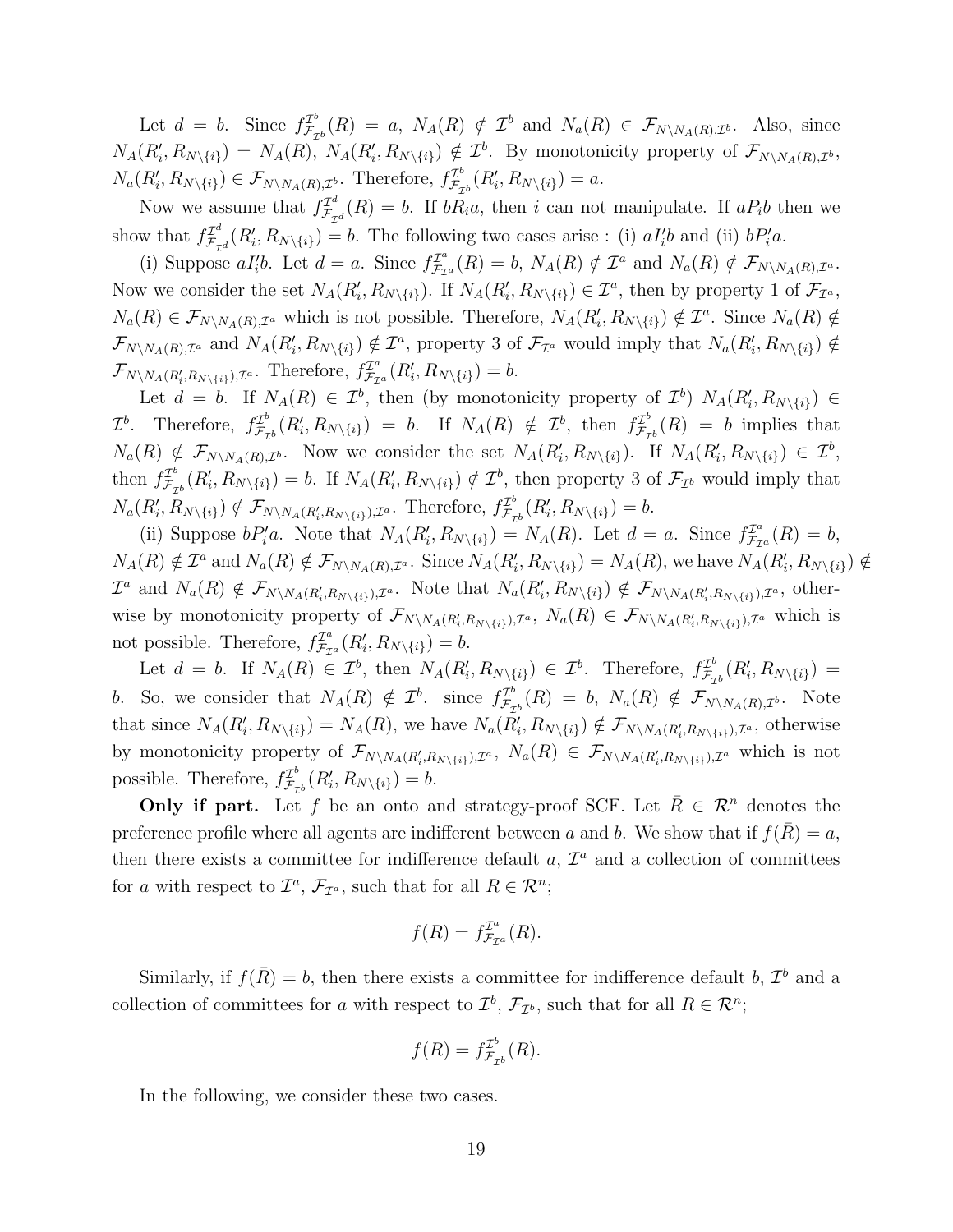Let  $d = b$ . Since  $f_{\mathcal{F}_a}^{\mathcal{I}^b}$  $\mathcal{I}_{\mathcal{F}_{\mathcal{D}}^{b}}^{L}(R) = a, N_A(R) \notin \mathcal{I}^{b}$  and  $N_a(R) \in \mathcal{F}_{N \setminus N_A(R),\mathcal{I}^{b}}$ . Also, since  $N_A(R'_i, R_{N\setminus\{i\}}) = N_A(R), N_A(R'_i, R_{N\setminus\{i\}}) \notin \mathcal{I}^b$ . By monotonicity property of  $\mathcal{F}_{N\setminus N_A(R),\mathcal{I}^b}$ ,  $N_a(R'_i, R_{N\setminus\{i\}}) \in \mathcal{F}_{N\setminus N_A(R),\mathcal{I}^b}$ . Therefore,  $f_{\mathcal{F}_7}^{\mathcal{I}^b}$  $\mathcal{F}_{\mathcal{F}_{\mathcal{I}^b}}^{L^b}(R'_i,R_{N\setminus\{i\}})=a.$ 

Now we assume that  $f_{\mathcal{F}_{\alpha}}^{\mathcal{I}^d}$  $\mathcal{F}_{\mathcal{F}_{\mathcal{I}}d}^{T^a}(R) = b$ . If  $bR_ia$ , then i can not manipulate. If  $aP_ib$  then we show that  $f_{\mathcal{F}_{\tau}}^{\mathcal{I}^d}$  $\mathcal{I}_{\tau_{\mathcal{I}}d}^{d}(R'_{i}, R_{N\setminus\{i\}}) = b.$  The following two cases arise : (i)  $aI'_{i}b$  and (ii)  $bP'_{i}a$ .

(i) Suppose  $aI_i'b$ . Let  $d = a$ . Since  $f_{\mathcal{F}_{\mathcal{I}}}^{T^a}$  $\mathcal{I}_{\mathcal{F}_{\mathcal{I}^a}}^a(R) = b$ ,  $N_A(R) \notin \mathcal{I}^a$  and  $N_a(R) \notin \mathcal{F}_{N \setminus N_A(R),\mathcal{I}^a}$ . Now we consider the set  $N_A(R'_i, R_{N\setminus\{i\}})$ . If  $N_A(R'_i, R_{N\setminus\{i\}}) \in \mathcal{I}^a$ , then by property 1 of  $\mathcal{F}_{\mathcal{I}^a}$ ,  $N_a(R) \in \mathcal{F}_{N \setminus N_A(R),\mathcal{I}^a}$  which is not possible. Therefore,  $N_A(R'_i,R_{N \setminus \{i\}}) \notin \mathcal{I}^a$ . Since  $N_a(R) \notin$  $\mathcal{F}_{N\setminus N_A(R),\mathcal{I}^a}$  and  $N_A(R'_i,R_{N\setminus\{i\}}) \notin \mathcal{I}^a$ , property 3 of  $\mathcal{F}_{\mathcal{I}^a}$  would imply that  $N_a(R'_i,R_{N\setminus\{i\}}) \notin$  $\mathcal{F}_{N\setminus N_A(R'_i,R_{N\setminus\{i\}}),\mathcal{I}^a}$ . Therefore,  $f_{\mathcal{F}_{\mathcal{I}}}^{\mathcal{I}^a}$  $\mathcal{F}_{\mathcal{F}_{\mathcal{I}^a}}^{\mathcal{I}^a}(R_i',R_{N\setminus\{i\}})=b.$ 

Let  $d = b$ . If  $N_A(R) \in \mathcal{I}^b$ , then (by monotonicity property of  $\mathcal{I}^b$ )  $N_A(R'_i, R_{N\setminus\{i\}}) \in$  $\mathcal{I}^b$ . Therefore,  $f_{\mathcal{F}_a}^{\mathcal{I}^b}$  $\mathcal{I}_{\mathcal{F}_{\mathcal{D}}^{b}}^{L}(R'_{i}, R_{N\setminus\{i\}}) = b$ . If  $N_A(R) \notin \mathcal{I}^{b}$ , then  $f_{\mathcal{F}_{\mathcal{I}}}^{L^{b}}$  $\mathcal{F}_{\mathcal{F}_{\mathcal{I}^b}}^{2^o}(R) = b$  implies that  $N_a(R) \notin \mathcal{F}_{N \setminus N_A(R),\mathcal{I}^b}$ . Now we consider the set  $N_A(R'_i,R_{N \setminus \{i\}})$ . If  $N_A(R'_i,R_{N \setminus \{i\}}) \in \mathcal{I}^b$ , then  $f_{\mathcal{F}_a}^{\mathcal{I}^b}$  $\mathcal{I}_{\mathcal{F}_{\mathcal{D}}^{b}}^{L}(R'_{i}, R_{N\setminus\{i\}}) = b$ . If  $N_{A}(R'_{i}, R_{N\setminus\{i\}}) \notin \mathcal{I}^{b}$ , then property 3 of  $\mathcal{F}_{\mathcal{I}^{b}}$  would imply that  $N_a(R'_i, R_{N\setminus\{i\}}) \notin \mathcal{F}_{N\setminus N_A(R'_i, R_{N\setminus\{i\}}),\mathcal{I}^a}$ . Therefore,  $f_{\mathcal{F}_\mathcal{I}}^{\mathcal{I}^b}$  $\mathcal{F}_{\mathcal{F}_{\mathcal{I}^b}}^{L^b}(R'_i,R_{N\setminus\{i\}})=b.$ 

(ii) Suppose  $bP_i'a$ . Note that  $N_A(R_i,R_{N\setminus\{i\}}) = N_A(R)$ . Let  $d = a$ . Since  $f_{\mathcal{F}_{\mathcal{I}}}^{T^a}$  $\mathcal{F}_{\mathcal{I}^a}^{T^a}(R) = b,$  $N_A(R) \notin \mathcal{I}^a$  and  $N_a(R) \notin \mathcal{F}_{N \setminus N_A(R),\mathcal{I}^a}$ . Since  $N_A(R'_i,R_{N \setminus \{i\}}) = N_A(R)$ , we have  $N_A(R'_i,R_{N \setminus \{i\}}) \notin$  $\mathcal{I}^a$  and  $N_a(R) \notin \mathcal{F}_{N \setminus N_A(R'_i,R_{N \setminus \{i\}}),\mathcal{I}^a}$ . Note that  $N_a(R'_i,R_{N \setminus \{i\}}) \notin \mathcal{F}_{N \setminus N_A(R'_i,R_{N \setminus \{i\}}),\mathcal{I}^a}$ , otherwise by monotonicity property of  $\mathcal{F}_{N\setminus N_A(R'_i,R_{N\setminus\{i\}}),\mathcal{I}^a}$ ,  $N_a(R) \in \mathcal{F}_{N\setminus N_A(R'_i,R_{N\setminus\{i\}}),\mathcal{I}^a}$  which is not possible. Therefore,  $f_{\mathcal{F}_{\tau}}^{I^a}$  $\mathcal{F}_{\mathcal{F}_{\mathcal{I}^a}}^{\mathcal{I}^a}(R_i',R_{N\setminus\{i\}})=b.$ 

Let  $d = b$ . If  $N_A(R) \in \mathcal{I}^b$ , then  $N_A(R'_i, R_{N\setminus\{i\}}) \in \mathcal{I}^b$ . Therefore,  $f_{\mathcal{F}_\tau}^{\mathcal{I}^b}$  $\mathcal{F}^b_{\mathcal{F}_{\mathcal{I}^b}}(R'_i,R_{N\setminus\{i\}})$  = b. So, we consider that  $N_A(R) \notin \mathcal{I}^b$ . since  $f_{\mathcal{F}_a}^{\mathcal{I}^b}$  $\mathcal{F}_{\mathcal{F}_{\mathcal{D}}^{b}}^{T^{b}}(R) = b, N_{a}(R) \notin \mathcal{F}_{N \setminus N_{A}(R),\mathcal{I}^{b}}$ . Note that since  $N_A(R'_i, R_{N\setminus\{i\}}) = N_A(R)$ , we have  $N_a(R'_i, R_{N\setminus\{i\}}) \notin \mathcal{F}_{N\setminus N_A(R'_i, R_{N\setminus\{i\}}),\mathcal{I}^a}$ , otherwise by monotonicity property of  $\mathcal{F}_{N\setminus N_A(R'_i,R_{N\setminus\{i\}}),\mathcal{I}^a}$ ,  $N_a(R) \in \mathcal{F}_{N\setminus N_A(R'_i,R_{N\setminus\{i\}}),\mathcal{I}^a}$  which is not possible. Therefore,  $f_{\mathcal{F}_a}^{\mathcal{I}^b}$  $\mathcal{F}_{\mathcal{F}_{\mathcal{I}^b}}^{L^b}(R'_i,R_{N\setminus\{i\}})=b.$ 

Only if part. Let f be an onto and strategy-proof SCF. Let  $\overline{R} \in \mathcal{R}^n$  denotes the preference profile where all agents are indifferent between a and b. We show that if  $f(R) = a$ , then there exists a committee for indifference default  $a, \mathcal{I}^a$  and a collection of committees for a with respect to  $\mathcal{I}^a$ ,  $\mathcal{F}_{\mathcal{I}^a}$ , such that for all  $R \in \mathcal{R}^n$ ;

$$
f(R) = f_{\mathcal{F}_{\mathcal{I}^a}}^{\mathcal{I}^a}(R).
$$

Similarly, if  $f(\bar{R}) = b$ , then there exists a committee for indifference default b,  $\mathcal{I}^b$  and a collection of committees for a with respect to  $\mathcal{I}^b$ ,  $\mathcal{F}_{\mathcal{I}^b}$ , such that for all  $R \in \mathcal{R}^n$ ;

$$
f(R) = f_{\mathcal{F}_{\mathcal{I}^b}}^{\mathcal{I}^b}(R).
$$

In the following, we consider these two cases.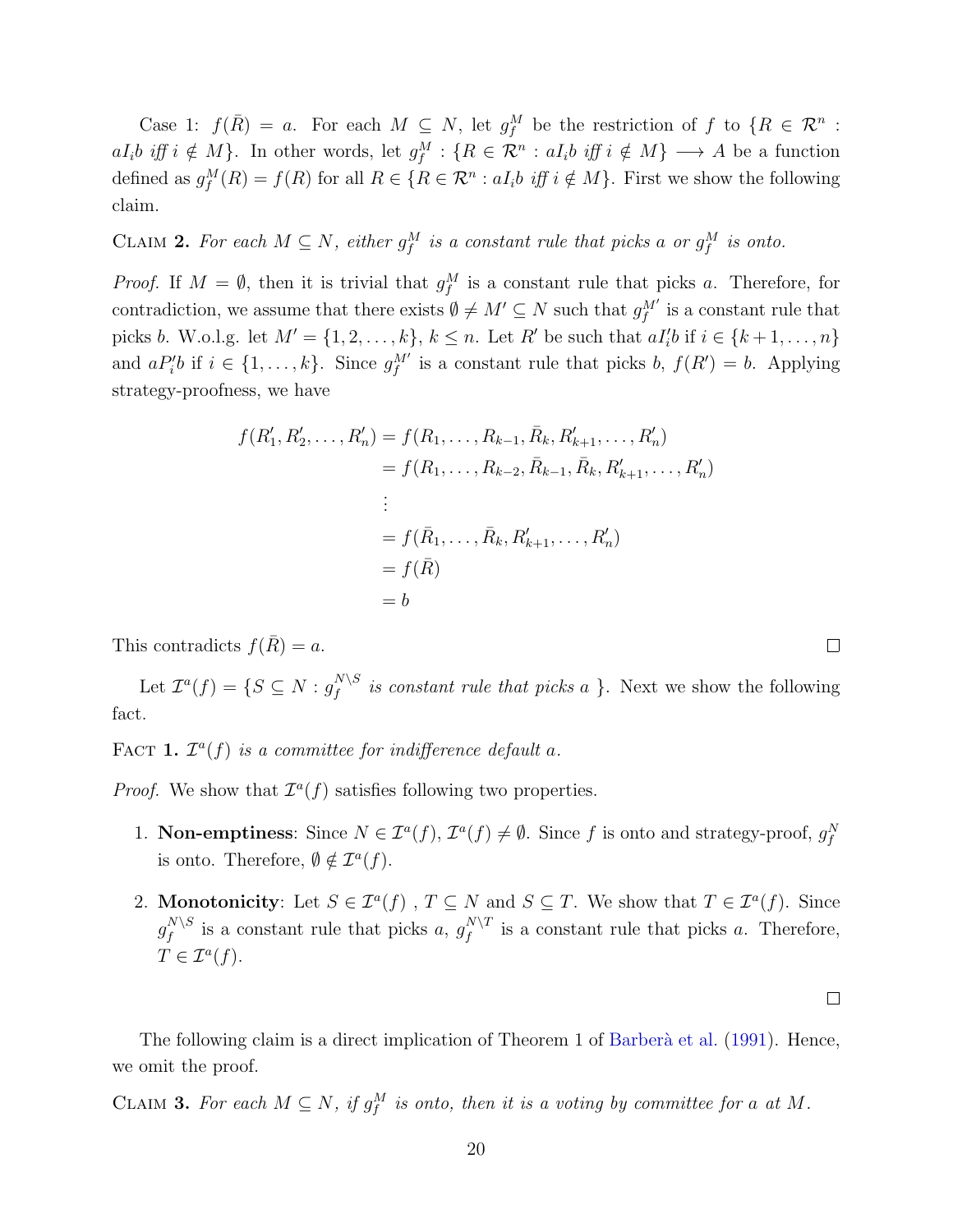Case 1:  $f(\overline{R}) = a$ . For each  $M \subseteq N$ , let  $g_f^M$  be the restriction of f to  $\{R \in \mathcal{R}^n :$  $aI_i b \text{ iff } i \notin M$ }. In other words, let  $g_f^M: \{R \in \mathcal{R}^n : aI_i b \text{ iff } i \notin M\} \longrightarrow A$  be a function defined as  $g_f^M(R) = f(R)$  for all  $R \in \{R \in \mathcal{R}^n : aI_i b \text{ iff } i \notin M\}$ . First we show the following claim.

CLAIM 2. For each  $M \subseteq N$ , either  $g_f^M$  is a constant rule that picks a or  $g_f^M$  is onto.

*Proof.* If  $M = \emptyset$ , then it is trivial that  $g_f^M$  is a constant rule that picks a. Therefore, for contradiction, we assume that there exists  $\emptyset \neq M' \subseteq N$  such that  $g_f^{M'}$  is a constant rule that picks b. W.o.l.g. let  $M' = \{1, 2, ..., k\}, k \leq n$ . Let R' be such that  $aI_i'b$  if  $i \in \{k+1, ..., n\}$ and  $aP_i'b$  if  $i \in \{1,\ldots,k\}$ . Since  $g_f^{M'}$  is a constant rule that picks b,  $f(R') = b$ . Applying strategy-proofness, we have

$$
f(R'_1, R'_2, \dots, R'_n) = f(R_1, \dots, R_{k-1}, \bar{R}_k, R'_{k+1}, \dots, R'_n)
$$
  
=  $f(R_1, \dots, R_{k-2}, \bar{R}_{k-1}, \bar{R}_k, R'_{k+1}, \dots, R'_n)$   
:  
=  $f(\bar{R}_1, \dots, \bar{R}_k, R'_{k+1}, \dots, R'_n)$   
=  $f(\bar{R})$   
=  $b$ 

This contradicts  $f(R) = a$ .

Let  $\mathcal{I}^a(f) = \{S \subseteq N : g_f^{N \setminus S}\}$  $\int_{f}^{N\setminus S}$  is constant rule that picks a }. Next we show the following fact.

FACT 1.  $\mathcal{I}^a(f)$  is a committee for indifference default a.

*Proof.* We show that  $\mathcal{I}^a(f)$  satisfies following two properties.

- 1. **Non-emptiness**: Since  $N \in \mathcal{I}^a(f)$ ,  $\mathcal{I}^a(f) \neq \emptyset$ . Since f is onto and strategy-proof,  $g_f^N$ is onto. Therefore,  $\emptyset \notin \mathcal{I}^a(f)$ .
- 2. **Monotonicity**: Let  $S \in \mathcal{I}^a(f)$ ,  $T \subseteq N$  and  $S \subseteq T$ . We show that  $T \in \mathcal{I}^a(f)$ . Since  $g^{N\setminus S}_f$  $f_f^{N\setminus S}$  is a constant rule that picks a,  $g_f^{N\setminus T}$  $\int_{f}^{N\setminus I}$  is a constant rule that picks a. Therefore,  $T \in \mathcal{I}^a(f).$

 $\Box$ 

The following claim is a direct implication of Theorem 1 of Barberà et al. (1991). Hence, we omit the proof.

CLAIM 3. For each  $M \subseteq N$ , if  $g_f^M$  is onto, then it is a voting by committee for a at M.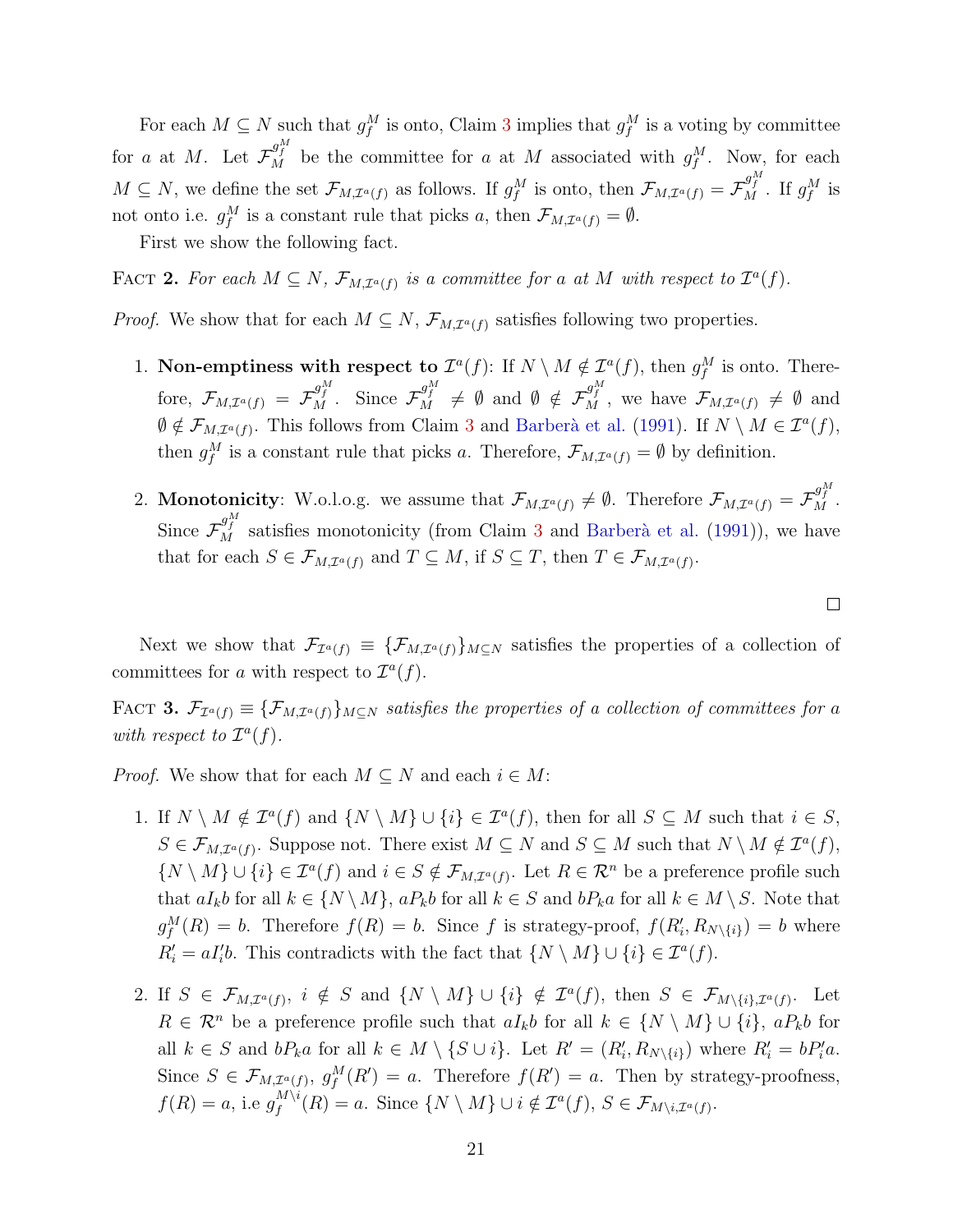For each  $M \subseteq N$  such that  $g_f^M$  is onto, Claim 3 implies that  $g_f^M$  is a voting by committee for a at M. Let  $\mathcal{F}_{M}^{g_{f}^{M}}$  be the committee for a at M associated with  $g_{f}^{M}$ . Now, for each  $M \subseteq N$ , we define the set  $\mathcal{F}_{M,\mathcal{I}^{a}(f)}$  as follows. If  $g_{f}^{M}$  is onto, then  $\mathcal{F}_{M,\mathcal{I}^{a}(f)} = \mathcal{F}_{M}^{g_{f}^{M}}$ . If  $g_{f}^{M}$  is not onto i.e.  $g_f^M$  is a constant rule that picks a, then  $\mathcal{F}_{M,\mathcal{I}^a(f)} = \emptyset$ .

First we show the following fact.

FACT 2. For each  $M \subseteq N$ ,  $\mathcal{F}_{M,\mathcal{I}^{a}(f)}$  is a committee for a at M with respect to  $\mathcal{I}^{a}(f)$ .

*Proof.* We show that for each  $M \subseteq N$ ,  $\mathcal{F}_{M,\mathcal{I}^{a}(f)}$  satisfies following two properties.

- 1. Non-emptiness with respect to  $\mathcal{I}^a(f)$ : If  $N \setminus M \notin \mathcal{I}^a(f)$ , then  $g_f^M$  is onto. Therefore,  $\mathcal{F}_{M,\mathcal{I}^{a}(f)} = \mathcal{F}_{M}^{g_{f}^{M}}$ . Since  $\mathcal{F}_{M}^{g_{f}^{M}} \neq \emptyset$  and  $\emptyset \notin \mathcal{F}_{M}^{g_{f}^{M}}$ , we have  $\mathcal{F}_{M,\mathcal{I}^{a}(f)} \neq \emptyset$  and  $\emptyset \notin \mathcal{F}_{M,\mathcal{I}^{a}(f)}$ . This follows from Claim 3 and Barberà et al. (1991). If  $N \setminus M \in \mathcal{I}^{a}(f)$ , then  $g_f^M$  is a constant rule that picks a. Therefore,  $\mathcal{F}_{M,\mathcal{I}^a(f)} = \emptyset$  by definition.
- 2. Monotonicity: W.o.l.o.g. we assume that  $\mathcal{F}_{M,\mathcal{I}^{a}(f)}\neq\emptyset$ . Therefore  $\mathcal{F}_{M,\mathcal{I}^{a}(f)}=\mathcal{F}_{M}^{g_{f}^{M}}$ . Since  $\mathcal{F}_{M}^{g_{f}^{M}}$  satisfies monotonicity (from Claim 3 and Barberà et al. (1991)), we have that for each  $S \in \mathcal{F}_{M,\mathcal{I}^{a}(f)}$  and  $T \subseteq M$ , if  $S \subseteq T$ , then  $T \in \mathcal{F}_{M,\mathcal{I}^{a}(f)}$ .

Next we show that  $\mathcal{F}_{\mathcal{I}^{a}(f)} \equiv {\{\mathcal{F}_{M,\mathcal{I}^{a}(f)}\}_{M\subseteq N}}$  satisfies the properties of a collection of committees for a with respect to  $\mathcal{I}^a(f)$ .

FACT 3.  $\mathcal{F}_{\mathcal{I}^{a}(f)} \equiv {\{\mathcal{F}_{M,\mathcal{I}^{a}(f)\}_{M\subseteq N}}$  satisfies the properties of a collection of committees for a with respect to  $\mathcal{I}^a(f)$ .

*Proof.* We show that for each  $M \subseteq N$  and each  $i \in M$ :

- 1. If  $N \setminus M \notin \mathcal{I}^a(f)$  and  $\{N \setminus M\} \cup \{i\} \in \mathcal{I}^a(f)$ , then for all  $S \subseteq M$  such that  $i \in S$ ,  $S \in \mathcal{F}_{M,\mathcal{I}^{a}(f)}$ . Suppose not. There exist  $M \subseteq N$  and  $S \subseteq M$  such that  $N \setminus M \notin \mathcal{I}^{a}(f)$ ,  $\{N \setminus M\} \cup \{i\} \in \mathcal{I}^a(f)$  and  $i \in S \notin \mathcal{F}_{M,\mathcal{I}^a(f)}$ . Let  $R \in \mathcal{R}^n$  be a preference profile such that  $aI_kb$  for all  $k \in \{N \setminus M\}$ ,  $aP_kb$  for all  $k \in S$  and  $bP_ka$  for all  $k \in M \setminus S$ . Note that  $g_f^M(R) = b$ . Therefore  $f(R) = b$ . Since f is strategy-proof,  $f(R'_i, R_{N\setminus\{i\}}) = b$  where  $R'_i = aI'_i b$ . This contradicts with the fact that  $\{N \setminus M\} \cup \{i\} \in \mathcal{I}^a(f)$ .
- 2. If  $S \in \mathcal{F}_{M,\mathcal{I}^{a}(f)}, i \notin S$  and  $\{N \setminus M\} \cup \{i\} \notin \mathcal{I}^{a}(f)$ , then  $S \in \mathcal{F}_{M \setminus \{i\},\mathcal{I}^{a}(f)}$ . Let  $R \in \mathcal{R}^n$  be a preference profile such that  $aI_kb$  for all  $k \in \{N \setminus M\} \cup \{i\}, aP_kb$  for all  $k \in S$  and  $bP_k a$  for all  $k \in M \setminus \{S \cup i\}$ . Let  $R' = (R'_i, R_{N \setminus \{i\}})$  where  $R'_i = bP'_i a$ . Since  $S \in \mathcal{F}_{M,\mathcal{I}^{a}(f)}, g_{f}^{M}(R') = a$ . Therefore  $f(R') = a$ . Then by strategy-proofness,  $f(R) = a$ , i.e  $g_f^{M \setminus i}$  $f_f^{M\setminus i}(R) = a.$  Since  $\{N \setminus M\} \cup i \notin \mathcal{I}^a(f), S \in \mathcal{F}_{M\setminus i, \mathcal{I}^a(f)}.$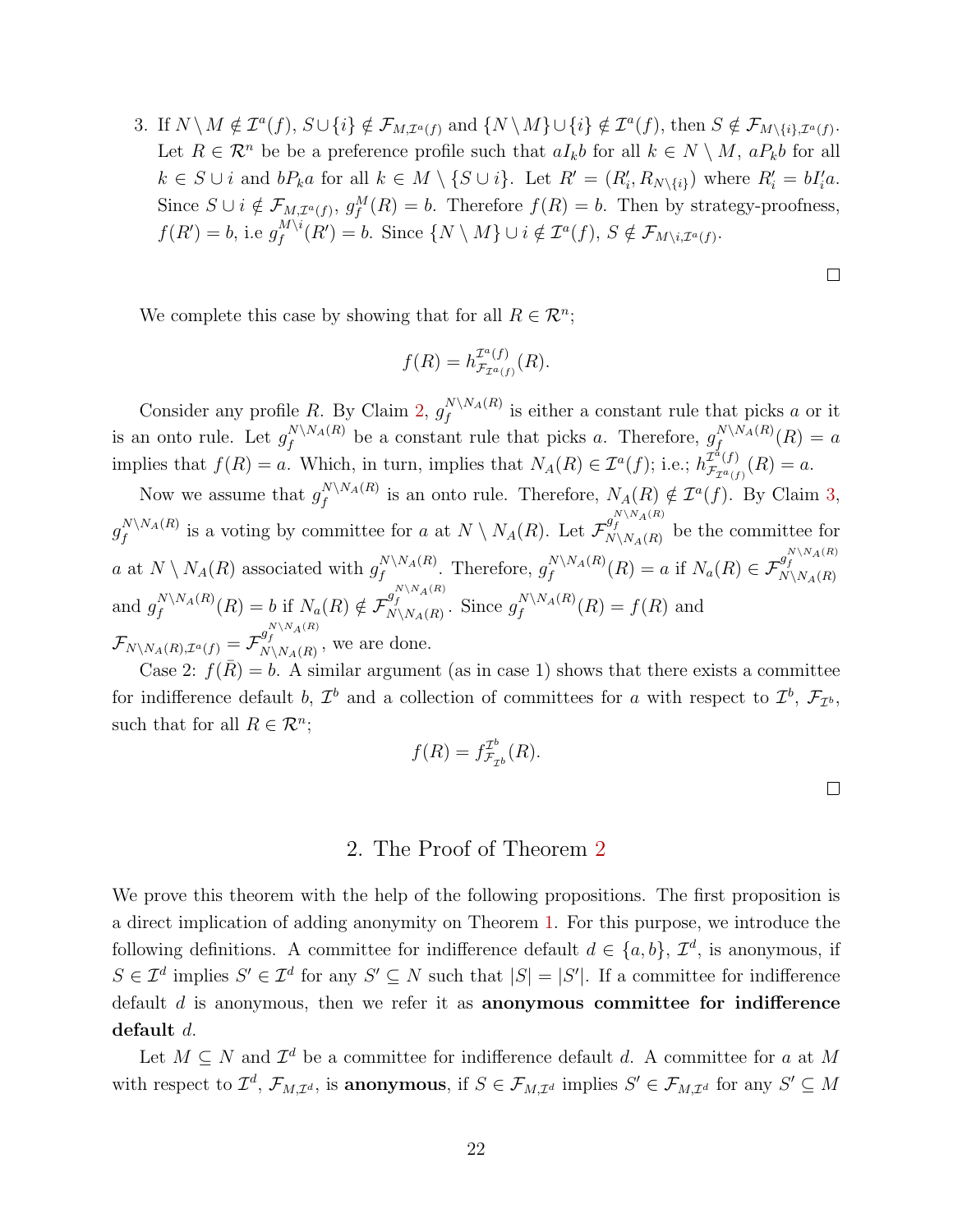3. If  $N \setminus M \notin \mathcal{I}^a(f)$ ,  $S \cup \{i\} \notin \mathcal{F}_{M,\mathcal{I}^a(f)}$  and  $\{N \setminus M\} \cup \{i\} \notin \mathcal{I}^a(f)$ , then  $S \notin \mathcal{F}_{M \setminus \{i\},\mathcal{I}^a(f)}$ . Let  $R \in \mathcal{R}^n$  be be a preference profile such that  $aI_kb$  for all  $k \in N \setminus M$ ,  $aP_kb$  for all  $k \in S \cup i$  and  $bP_k a$  for all  $k \in M \setminus \{S \cup i\}$ . Let  $R' = (R'_i, R_{N \setminus \{i\}})$  where  $R'_i = bI'_i a$ . Since  $S \cup i \notin \mathcal{F}_{M,\mathcal{I}^{a}(f)}, g_{f}^{M}(R) = b$ . Therefore  $f(R) = b$ . Then by strategy-proofness,  $f(R') = b$ , i.e  $g_f^{M \setminus i}$  $f_f^{M\setminus i}(R')=b.$  Since  $\{N\setminus M\}\cup i\notin \mathcal{I}^a(f), S\notin \mathcal{F}_{M\setminus i,\mathcal{I}^a(f)}.$ 

We complete this case by showing that for all  $R \in \mathcal{R}^n$ ;

$$
f(R) = h_{\mathcal{F}_{\mathcal{I}^a(f)}}^{\mathcal{I}^a(f)}(R).
$$

Consider any profile R. By Claim 2,  $g_f^{N\setminus N_A(R)}$  $\int_{f}^{N\setminus N_A(R)}$  is either a constant rule that picks a or it is an onto rule. Let  $g_f^{N\setminus N_A(R)}$  $f_f^{N\setminus N_A(R)}$  be a constant rule that picks a. Therefore,  $g_f^{N\setminus N_A(R)}$  $f^{I\!V\setminus I\!V\!A}(R)=a$ implies that  $f(R) = a$ . Which, in turn, implies that  $N_A(R) \in \mathcal{I}^a(f)$ ; i.e.;  $h_{\mathcal{F}_{T}^{a}(f)}^{\mathcal{I}^a(f)}$  $\frac{L^{2}(J)}{\mathcal{F}_{\mathcal{I}^{a}(f)}}(R) = a.$ 

Now we assume that  $g_f^{N\setminus N_A(R)}$  $f_f^{N\setminus N_A(R)}$  is an onto rule. Therefore,  $N_A(R) \notin \mathcal{I}^a(f)$ . By Claim 3,  $g^{N\setminus N_A(R)}_f$  $f_f^{N\setminus N_A(R)}$  is a voting by committee for a at  $N\setminus N_A(R)$ . Let  $\mathcal{F}_{N\setminus N_A(R)}^{g_f^{N\setminus N_A(R)}}$  be the committee for a at  $N \setminus N_A(R)$  associated with  $g_f^{N \setminus N_A(R)}$  $f_f^{N\setminus N_A(R)}$ . Therefore,  $g_f^{N\setminus N_A(R)}$  $f_f^{N\setminus N_A(R)}(R) = a$  if  $N_a(R) \in \mathcal{F}_{N\setminus N_A(R)}^{g_f^{N\setminus N_A(R)}}$ and  $g_f^{N\setminus N_A(R)}$  $f_f^{N\setminus N_A(R)}(R) = b$  if  $N_a(R) \notin \mathcal{F}_{N\setminus N_A(R)}^{g_f^{N\setminus N_A(R)}}$ . Since  $g_f^{N\setminus N_A(R)}$  $f^{N\setminus N_A(N)}(R) = f(R)$  and  $\mathcal{F}_{N\setminus N_A(R),\mathcal{I}^a(f)} = \mathcal{F}_{N\setminus N_A(R)}^{g_f^{N\setminus N_A(R)}},$  we are done.

Case 2:  $f(\overline{R}) = b$ . A similar argument (as in case 1) shows that there exists a committee for indifference default b,  $\mathcal{I}^b$  and a collection of committees for a with respect to  $\mathcal{I}^b$ ,  $\mathcal{F}_{\mathcal{I}^b}$ , such that for all  $R \in \mathcal{R}^n$ ;

$$
f(R) = f_{\mathcal{F}_{\mathcal{I}^b}}^{\mathcal{I}^b}(R).
$$

#### 2. The Proof of Theorem 2

We prove this theorem with the help of the following propositions. The first proposition is a direct implication of adding anonymity on Theorem 1. For this purpose, we introduce the following definitions. A committee for indifference default  $d \in \{a, b\}, \mathcal{I}^d$ , is anonymous, if  $S \in \mathcal{I}^d$  implies  $S' \in \mathcal{I}^d$  for any  $S' \subseteq N$  such that  $|S| = |S'|$ . If a committee for indifference default  $d$  is anonymous, then we refer it as **anonymous committee for indifference** default d.

Let  $M \subseteq N$  and  $\mathcal{I}^d$  be a committee for indifference default d. A committee for a at M with respect to  $\mathcal{I}^d$ ,  $\mathcal{F}_{M,\mathcal{I}^d}$ , is anonymous, if  $S \in \mathcal{F}_{M,\mathcal{I}^d}$  implies  $S' \in \mathcal{F}_{M,\mathcal{I}^d}$  for any  $S' \subseteq M$ 

 $\Box$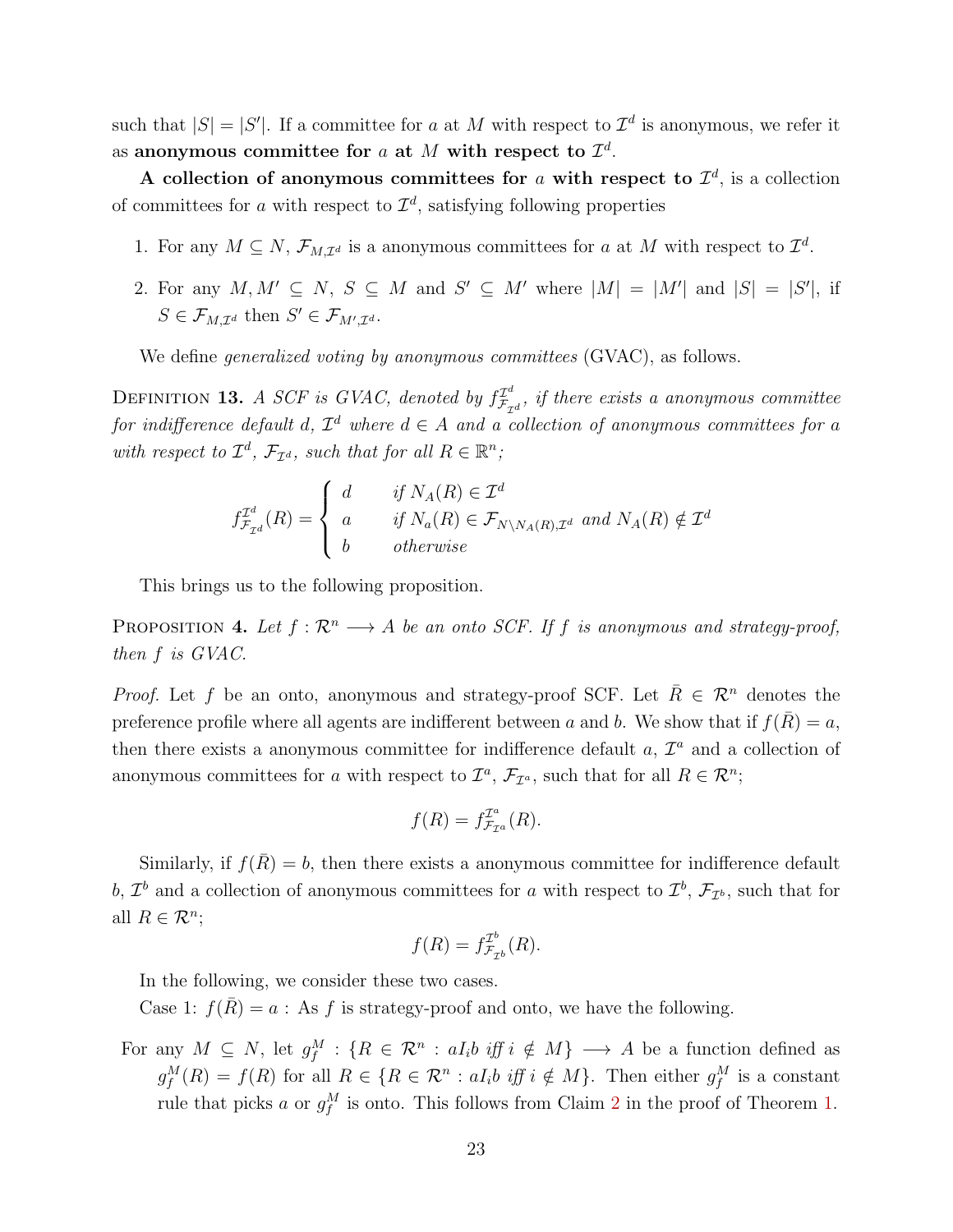such that  $|S| = |S'|$ . If a committee for a at M with respect to  $\mathcal{I}^d$  is anonymous, we refer it as anonymous committee for  $a$  at  $M$  with respect to  $\mathcal{I}^d$ .

A collection of anonymous committees for a with respect to  $\mathcal{I}^d$ , is a collection of committees for a with respect to  $\mathcal{I}^d$ , satisfying following properties

- 1. For any  $M \subseteq N$ ,  $\mathcal{F}_{M,\mathcal{I}^d}$  is a anonymous committees for a at M with respect to  $\mathcal{I}^d$ .
- 2. For any  $M, M' \subseteq N$ ,  $S \subseteq M$  and  $S' \subseteq M'$  where  $|M| = |M'|$  and  $|S| = |S'|$ , if  $S \in \mathcal{F}_{M,\mathcal{I}^d}$  then  $S' \in \mathcal{F}_{M',\mathcal{I}^d}$ .

We define *generalized voting by anonymous committees* (GVAC), as follows.

DEFINITION 13. A SCF is GVAC, denoted by  $f_{\mathcal{F}_{\tau}}^{T^d}$  $\mathcal{F}_{\mathcal{F}_{\mathcal{I}^d}}^{T^a}$ , if there exists a anonymous committee for indifference default d,  $\mathcal{I}^d$  where  $d \in A$  and a collection of anonymous committees for a with respect to  $\mathcal{I}^d$ ,  $\mathcal{F}_{\mathcal{I}^d}$ , such that for all  $R \in \mathbb{R}^n$ ;

$$
f_{\mathcal{F}_{\mathcal{I}^d}}^{\mathcal{I}^d}(R) = \begin{cases} d & \text{if } N_A(R) \in \mathcal{I}^d \\ a & \text{if } N_a(R) \in \mathcal{F}_{N \setminus N_A(R), \mathcal{I}^d} \text{ and } N_A(R) \notin \mathcal{I}^d \\ b & \text{otherwise} \end{cases}
$$

This brings us to the following proposition.

PROPOSITION 4. Let  $f : \mathbb{R}^n \longrightarrow A$  be an onto SCF. If f is anonymous and strategy-proof, then f is GVAC.

*Proof.* Let f be an onto, anonymous and strategy-proof SCF. Let  $\overline{R} \in \mathcal{R}^n$  denotes the preference profile where all agents are indifferent between a and b. We show that if  $f(\overline{R}) = a$ , then there exists a anonymous committee for indifference default  $a, \mathcal{I}^a$  and a collection of anonymous committees for a with respect to  $\mathcal{I}^a$ ,  $\mathcal{F}_{\mathcal{I}^a}$ , such that for all  $R \in \mathcal{R}^n$ ;

$$
f(R) = f_{\mathcal{F}_{\mathcal{I}^a}}^{\mathcal{I}^a}(R).
$$

Similarly, if  $f(\bar{R}) = b$ , then there exists a anonymous committee for indifference default b,  $\mathcal{I}^b$  and a collection of anonymous committees for a with respect to  $\mathcal{I}^b$ ,  $\mathcal{F}_{\mathcal{I}^b}$ , such that for all  $R \in \mathcal{R}^n$ ;

$$
f(R) = f_{\mathcal{F}_{\mathcal{I}^b}}^{\mathcal{I}^b}(R).
$$

In the following, we consider these two cases.

Case 1:  $f(\overline{R}) = a$ : As f is strategy-proof and onto, we have the following.

For any  $M \subseteq N$ , let  $g_f^M$ :  $\{R \in \mathcal{R}^n : aI_i b \text{ iff } i \notin M\} \longrightarrow A$  be a function defined as  $g_f^M(R) = f(R)$  for all  $R \in \{R \in \mathcal{R}^n : aI_i b \text{ iff } i \notin M\}$ . Then either  $g_f^M$  is a constant rule that picks a or  $g_f^M$  is onto. This follows from Claim 2 in the proof of Theorem 1.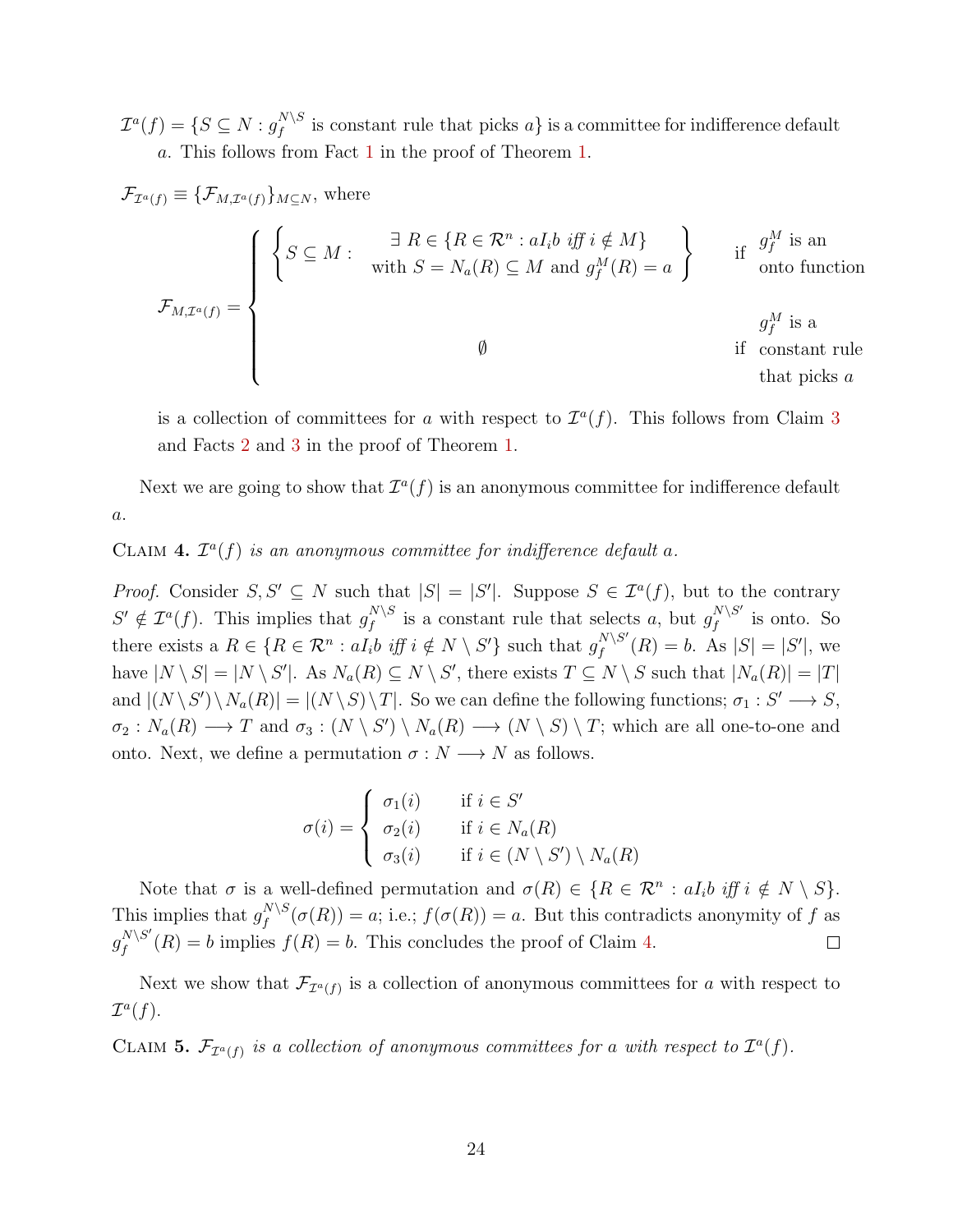$\mathcal{I}^a(f)=\{S\subseteq N: g_f^{N\setminus S}$  $\int_{f}^{N\setminus S}$  is constant rule that picks  $a\}$  is a committee for indifference default a. This follows from Fact 1 in the proof of Theorem 1.

$$
\mathcal{F}_{\mathcal{I}^{a}(f)} \equiv \{ \mathcal{F}_{M,\mathcal{I}^{a}(f)} \}_{M \subseteq N}, \text{ where}
$$
\n
$$
\mathcal{F}_{M,\mathcal{I}^{a}(f)} \equiv \begin{cases}\n\left\{ S \subseteq M : & \exists R \in \{ R \in \mathcal{R}^{n} : aI_{i}b \text{ iff } i \notin M \} \\
\text{with } S = N_{a}(R) \subseteq M \text{ and } g_{f}^{M}(R) = a\n\end{cases}
$$
\nif  $\begin{aligned}\ng_{f}^{M} \text{ is an} \\
\text{onto function} \\
g_{f}^{M} \text{ is a} \\
\text{if} \quad \text{constant rule} \\
\text{that picks } a\n\end{aligned}$ \nif  $\begin{aligned}\ng_{f}^{M} \text{ is an} \\
\text{if} \quad \text{constant rule} \\
\text{that picks } a\n\end{aligned}$ 

is a collection of committees for a with respect to  $\mathcal{I}^a(f)$ . This follows from Claim 3 and Facts 2 and 3 in the proof of Theorem 1.

Next we are going to show that  $\mathcal{I}^a(f)$  is an anonymous committee for indifference default a.

CLAIM 4.  $\mathcal{I}^a(f)$  is an anonymous committee for indifference default a.

*Proof.* Consider  $S, S' \subseteq N$  such that  $|S| = |S'|$ . Suppose  $S \in \mathcal{I}^a(f)$ , but to the contrary  $S' \notin \mathcal{I}^a(f)$ . This implies that  $g_f^{N \setminus S}$  $f_f^{N\setminus S}$  is a constant rule that selects a, but  $g_f^{N\setminus S'}$  $\int_{f}^{N\setminus S}$  is onto. So there exists a  $R \in \{R \in \mathcal{R}^n : aI_i b \text{ iff } i \notin N \setminus S'\}$  such that  $g_f^{N \setminus S'}$  $f^{N\setminus S'}(R) = b.$  As  $|S| = |S'|$ , we have  $|N \setminus S| = |N \setminus S'|$ . As  $N_a(R) \subseteq N \setminus S'$ , there exists  $T \subseteq N \setminus S$  such that  $|N_a(R)| = |T|$ and  $|(N \setminus S') \setminus N_a(R)| = |(N \setminus S) \setminus T|$ . So we can define the following functions;  $\sigma_1 : S' \longrightarrow S$ ,  $\sigma_2: N_a(R) \longrightarrow T$  and  $\sigma_3: (N \setminus S') \setminus N_a(R) \longrightarrow (N \setminus S) \setminus T$ ; which are all one-to-one and onto. Next, we define a permutation  $\sigma : N \longrightarrow N$  as follows.

$$
\sigma(i) = \begin{cases} \sigma_1(i) & \text{if } i \in S' \\ \sigma_2(i) & \text{if } i \in N_a(R) \\ \sigma_3(i) & \text{if } i \in (N \setminus S') \setminus N_a(R) \end{cases}
$$

Note that  $\sigma$  is a well-defined permutation and  $\sigma(R) \in \{R \in \mathbb{R}^n : aI_i b \text{ iff } i \notin N \setminus S\}.$ This implies that  $g_f^{N\setminus S}$  $f_f^{(N,S)}(\sigma(R)) = a$ ; i.e.;  $f(\sigma(R)) = a$ . But this contradicts anonymity of f as  $g^{N\setminus S'}_f$  $f_f^{N \setminus S}(R) = b$  implies  $f(R) = b$ . This concludes the proof of Claim 4.  $\Box$ 

Next we show that  $\mathcal{F}_{\mathcal{I}^{a}(f)}$  is a collection of anonymous committees for a with respect to  $\mathcal{I}^a(f)$ .

CLAIM 5.  $\mathcal{F}_{\mathcal{I}^{a}(f)}$  is a collection of anonymous committees for a with respect to  $\mathcal{I}^{a}(f)$ .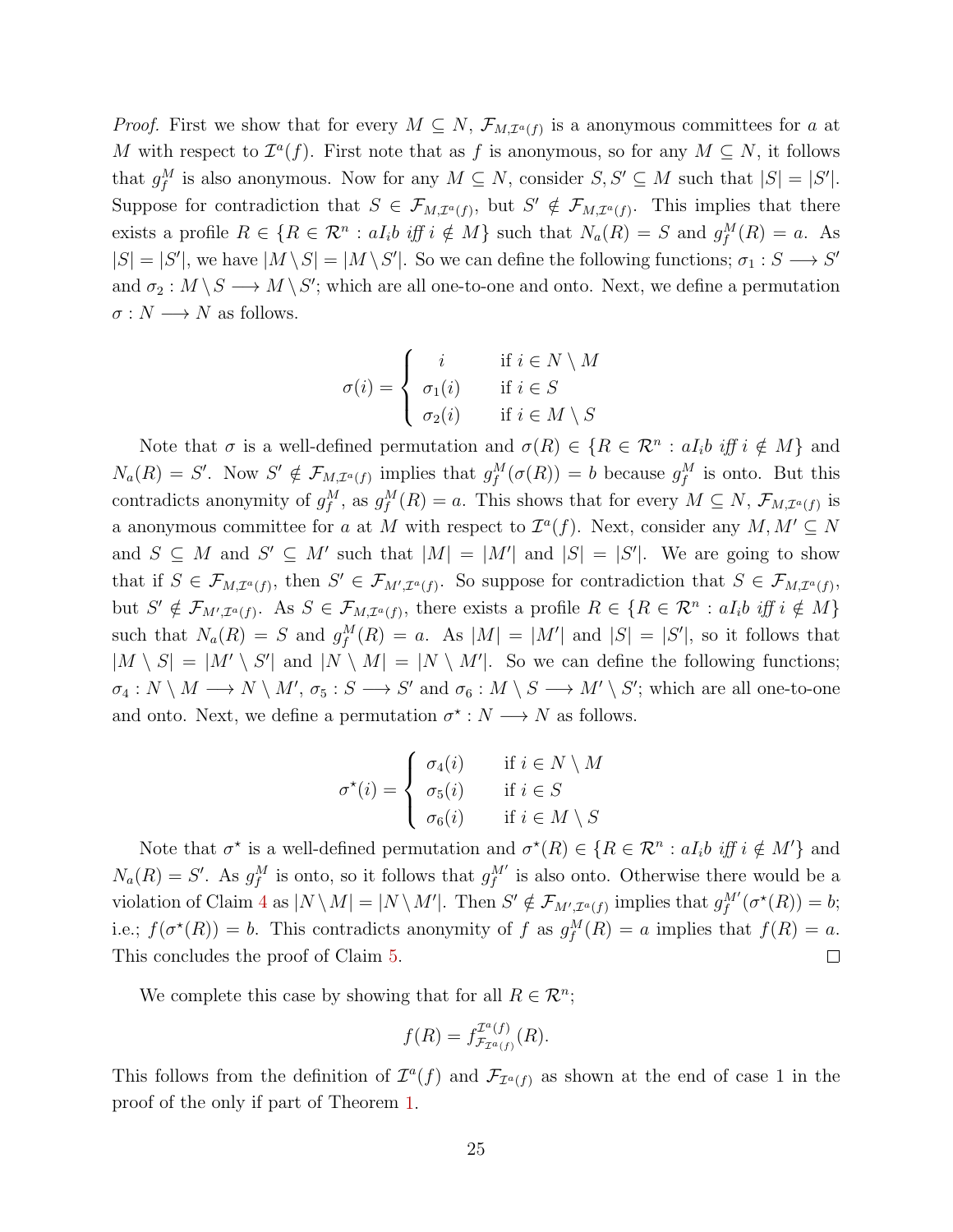*Proof.* First we show that for every  $M \subseteq N$ ,  $\mathcal{F}_{M,\mathcal{I}^{a}(f)}$  is a anonymous committees for a at M with respect to  $\mathcal{I}^a(f)$ . First note that as f is anonymous, so for any  $M \subseteq N$ , it follows that  $g_f^M$  is also anonymous. Now for any  $M \subseteq N$ , consider  $S, S' \subseteq M$  such that  $|S| = |S'|$ . Suppose for contradiction that  $S \in \mathcal{F}_{M,\mathcal{I}^{a}(f)}$ , but  $S' \notin \mathcal{F}_{M,\mathcal{I}^{a}(f)}$ . This implies that there exists a profile  $R \in \{R \in \mathbb{R}^n : aI_i b \text{ iff } i \notin M\}$  such that  $N_a(R) = S$  and  $g_f^M(R) = a$ . As  $|S| = |S'|$ , we have  $|M \setminus S| = |M \setminus S'|$ . So we can define the following functions;  $\sigma_1 : S \longrightarrow S'$ and  $\sigma_2: M \setminus S \longrightarrow M \setminus S'$ ; which are all one-to-one and onto. Next, we define a permutation  $\sigma : N \longrightarrow N$  as follows.

$$
\sigma(i) = \begin{cases} i & \text{if } i \in N \setminus M \\ \sigma_1(i) & \text{if } i \in S \\ \sigma_2(i) & \text{if } i \in M \setminus S \end{cases}
$$

Note that  $\sigma$  is a well-defined permutation and  $\sigma(R) \in \{R \in \mathcal{R}^n : aI_i b \text{ iff } i \notin M\}$  and  $N_a(R) = S'$ . Now  $S' \notin \mathcal{F}_{M,\mathcal{I}^a(f)}$  implies that  $g_f^M(\sigma(R)) = b$  because  $g_f^M$  is onto. But this contradicts anonymity of  $g_f^M$ , as  $g_f^M(R) = a$ . This shows that for every  $M \subseteq N$ ,  $\mathcal{F}_{M,\mathcal{I}^a(f)}$  is a anonymous committee for a at M with respect to  $\mathcal{I}^a(f)$ . Next, consider any  $M, M' \subseteq N$ and  $S \subseteq M$  and  $S' \subseteq M'$  such that  $|M| = |M'|$  and  $|S| = |S'|$ . We are going to show that if  $S \in \mathcal{F}_{M,\mathcal{I}^{a}(f)}$ , then  $S' \in \mathcal{F}_{M',\mathcal{I}^{a}(f)}$ . So suppose for contradiction that  $S \in \mathcal{F}_{M,\mathcal{I}^{a}(f)}$ , but  $S' \notin \mathcal{F}_{M',\mathcal{I}^a(f)}$ . As  $S \in \mathcal{F}_{M,\mathcal{I}^a(f)}$ , there exists a profile  $R \in \{R \in \mathcal{R}^n : aI_i b \text{ iff } i \notin M\}$ such that  $N_a(R) = S$  and  $g_f^M(R) = a$ . As  $|M| = |M'|$  and  $|S| = |S'|$ , so it follows that  $|M \setminus S| = |M' \setminus S'|$  and  $|N \setminus M| = |N \setminus M'|$ . So we can define the following functions;  $\sigma_4: N \setminus M \longrightarrow N \setminus M'$ ,  $\sigma_5: S \longrightarrow S'$  and  $\sigma_6: M \setminus S \longrightarrow M' \setminus S'$ ; which are all one-to-one and onto. Next, we define a permutation  $\sigma^* : N \longrightarrow N$  as follows.

$$
\sigma^{\star}(i) = \begin{cases} \sigma_4(i) & \text{if } i \in N \setminus M \\ \sigma_5(i) & \text{if } i \in S \\ \sigma_6(i) & \text{if } i \in M \setminus S \end{cases}
$$

Note that  $\sigma^*$  is a well-defined permutation and  $\sigma^*(R) \in \{R \in \mathcal{R}^n : aI_i b \text{ iff } i \notin M'\}$  and  $N_a(R) = S'$ . As  $g_f^M$  is onto, so it follows that  $g_f^{M'}$  is also onto. Otherwise there would be a violation of Claim 4 as  $|N \setminus M| = |N \setminus M'|$ . Then  $S' \notin \mathcal{F}_{M',\mathcal{I}^a(f)}$  implies that  $g_f^{M'}(\sigma^{\star}(R)) = b$ ; i.e.;  $f(\sigma^*(R)) = b$ . This contradicts anonymity of f as  $g_f^M(R) = a$  implies that  $f(R) = a$ . This concludes the proof of Claim 5.  $\Box$ 

We complete this case by showing that for all  $R \in \mathcal{R}^n$ ;

$$
f(R) = f_{\mathcal{F}_{\mathcal{I}^a(f)}}^{\mathcal{I}^a(f)}(R).
$$

This follows from the definition of  $\mathcal{I}^a(f)$  and  $\mathcal{F}_{\mathcal{I}^a(f)}$  as shown at the end of case 1 in the proof of the only if part of Theorem 1.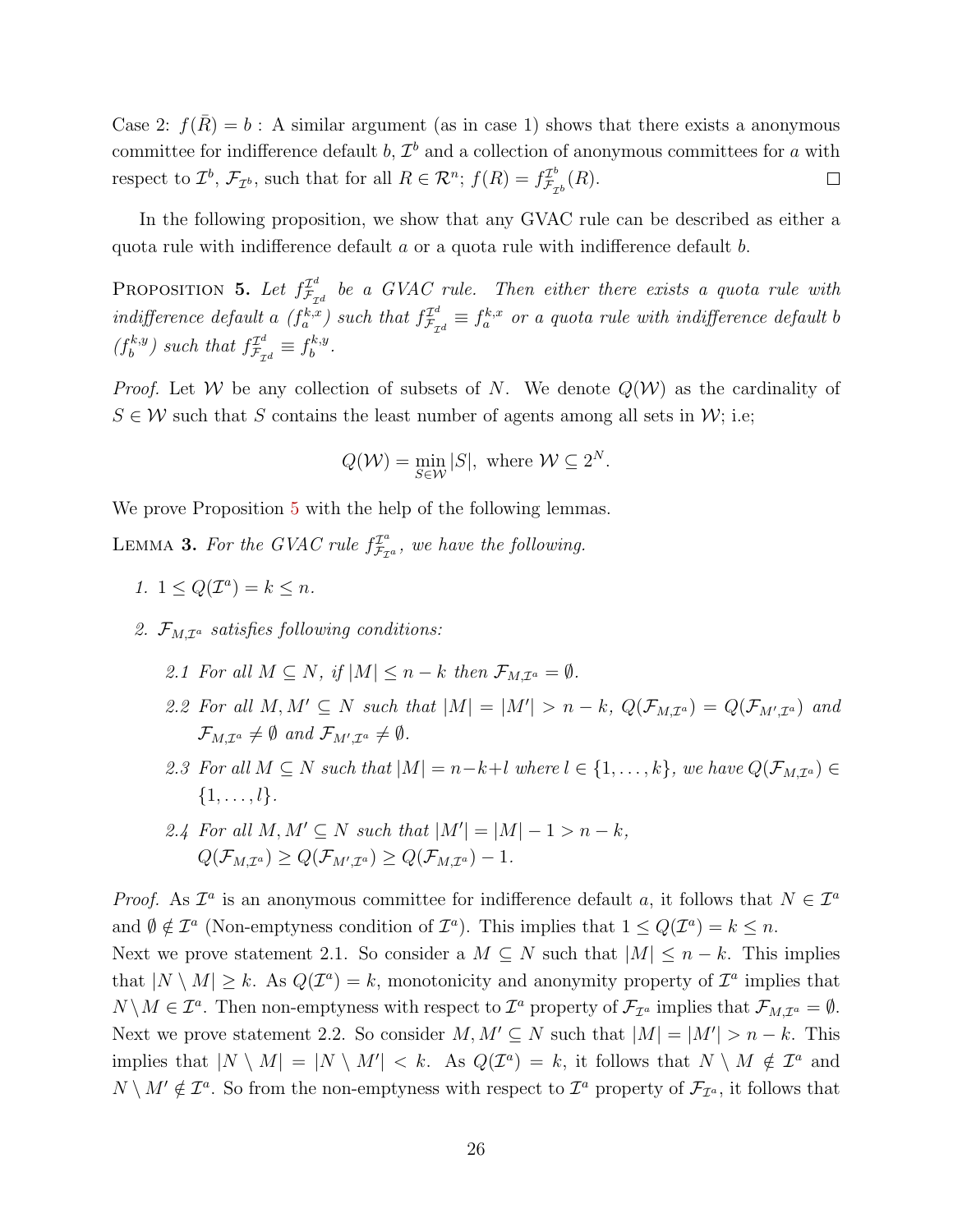Case 2:  $f(\bar{R}) = b$ : A similar argument (as in case 1) shows that there exists a anonymous committee for indifference default  $b, \mathcal{I}^b$  and a collection of anonymous committees for a with respect to  $\mathcal{I}^b$ ,  $\mathcal{F}_{\mathcal{I}^b}$ , such that for all  $R \in \mathcal{R}^n$ ;  $f(R) = f_{\mathcal{F}_q}^{\mathcal{I}^b}$  $\mathcal{F}^{\scriptscriptstyle{L^o}}_{\scriptscriptstyle{\mathcal{F}_{\mathcal{I}^b}}}(R).$  $\Box$ 

In the following proposition, we show that any GVAC rule can be described as either a quota rule with indifference default a or a quota rule with indifference default b.

PROPOSITION 5. Let  $f_{\mathcal{F}_{\tau}}^{I^d}$  $\mathcal{F}^u_{\mathcal{F}_{\mathcal{I}^d}}$  be a GVAC rule. Then either there exists a quota rule with indifference default a  $(f_a^{k,x})$  such that  $f_{\mathcal{F}_{\mathcal{I}}d}^{\mathcal{I}^d} \equiv f_a^{k,x}$  or a quota rule with indifference default b  $(f_h^{k,y})$  $\binom{f^{k,y}}{b}$  such that  $f^{\mathcal{I}^d}_{\mathcal{F}_{\mathcal{I}^d}} \equiv f^{k,y}_{b}$  $b^{k,y}$ .

*Proof.* Let W be any collection of subsets of N. We denote  $Q(W)$  as the cardinality of  $S \in \mathcal{W}$  such that S contains the least number of agents among all sets in  $\mathcal{W}$ ; i.e;

$$
Q(\mathcal{W}) = \min_{S \in \mathcal{W}} |S|, \text{ where } \mathcal{W} \subseteq 2^N.
$$

We prove Proposition 5 with the help of the following lemmas.

LEMMA 3. For the GVAC rule  $f_{\mathcal{F}_{\tau}}^{T^a}$  $\mathcal{F}_{\mathcal{F}_{\mathcal{I}^a}}^{T^a}$ , we have the following.

- 1.  $1 \leq Q(\mathcal{I}^a) = k \leq n$ .
- 2.  $\mathcal{F}_{M,\mathcal{I}^a}$  satisfies following conditions:
	- 2.1 For all  $M \subseteq N$ , if  $|M| \leq n k$  then  $\mathcal{F}_{M,\mathcal{I}^a} = \emptyset$ .
	- 2.2 For all  $M, M' \subseteq N$  such that  $|M| = |M'| > n k$ ,  $Q(\mathcal{F}_{M,\mathcal{I}^a}) = Q(\mathcal{F}_{M',\mathcal{I}^a})$  and  $\mathcal{F}_{M,\mathcal{I}^a}\neq \emptyset$  and  $\mathcal{F}_{M',\mathcal{I}^a}\neq \emptyset$ .
	- 2.3 For all  $M \subseteq N$  such that  $|M| = n-k+l$  where  $l \in \{1, ..., k\}$ , we have  $Q(\mathcal{F}_{M,\mathcal{I}^a}) \in$  $\{1, \ldots, l\}.$
	- 2.4 For all  $M, M' \subseteq N$  such that  $|M'| = |M| 1 > n k$ ,  $Q(\mathcal{F}_{M,\mathcal{I}^{a}})\geq Q(\mathcal{F}_{M',\mathcal{I}^{a}})\geq Q(\mathcal{F}_{M,\mathcal{I}^{a}})-1.$

*Proof.* As  $\mathcal{I}^a$  is an anonymous committee for indifference default a, it follows that  $N \in \mathcal{I}^a$ and  $\emptyset \notin \mathcal{I}^a$  (Non-emptyness condition of  $\mathcal{I}^a$ ). This implies that  $1 \leq Q(\mathcal{I}^a) = k \leq n$ .

Next we prove statement 2.1. So consider a  $M \subseteq N$  such that  $|M| \leq n - k$ . This implies that  $|N \setminus M| \geq k$ . As  $Q(\mathcal{I}^a) = k$ , monotonicity and anonymity property of  $\mathcal{I}^a$  implies that  $N \setminus M \in \mathcal{I}^a$ . Then non-emptyness with respect to  $\mathcal{I}^a$  property of  $\mathcal{F}_{\mathcal{I}^a}$  implies that  $\mathcal{F}_{M,\mathcal{I}^a} = \emptyset$ . Next we prove statement 2.2. So consider  $M, M' \subseteq N$  such that  $|M| = |M'| > n - k$ . This implies that  $|N \setminus M| = |N \setminus M'| < k$ . As  $Q(\mathcal{I}^a) = k$ , it follows that  $N \setminus M \notin \mathcal{I}^a$  and  $N \setminus M' \notin \mathcal{I}^a$ . So from the non-emptyness with respect to  $\mathcal{I}^a$  property of  $\mathcal{F}_{\mathcal{I}^a}$ , it follows that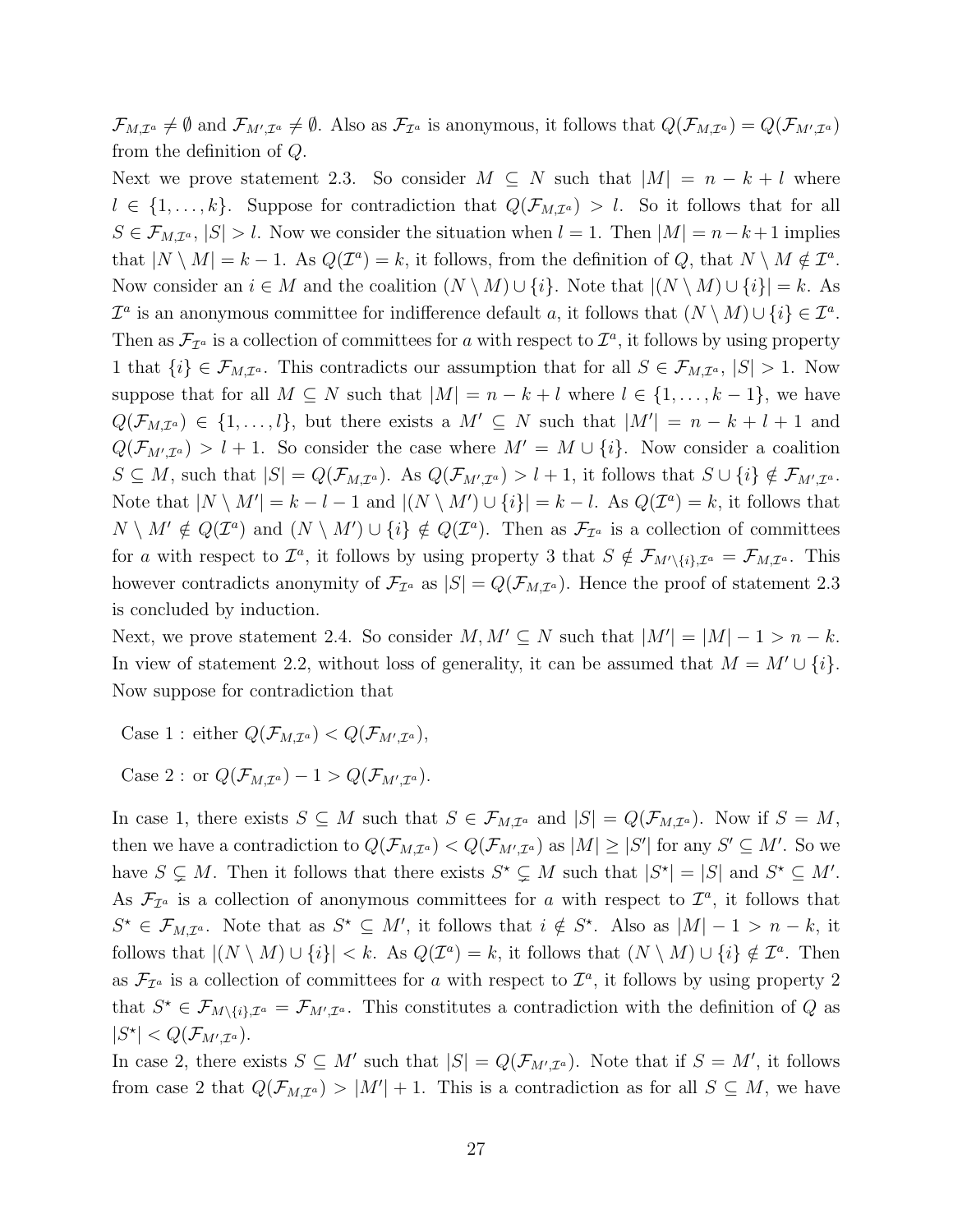$\mathcal{F}_{M,\mathcal{I}^a} \neq \emptyset$  and  $\mathcal{F}_{M',\mathcal{I}^a} \neq \emptyset$ . Also as  $\mathcal{F}_{\mathcal{I}^a}$  is anonymous, it follows that  $Q(\mathcal{F}_{M,\mathcal{I}^a}) = Q(\mathcal{F}_{M',\mathcal{I}^a})$ from the definition of Q.

Next we prove statement 2.3. So consider  $M \subseteq N$  such that  $|M| = n - k + l$  where  $l \in \{1,\ldots,k\}$ . Suppose for contradiction that  $Q(\mathcal{F}_{M,\mathcal{I}^a}) > l$ . So it follows that for all  $S \in \mathcal{F}_{M,\mathcal{I}^a}$ ,  $|S| > l$ . Now we consider the situation when  $l = 1$ . Then  $|M| = n - k + 1$  implies that  $|N \setminus M| = k - 1$ . As  $Q(\mathcal{I}^a) = k$ , it follows, from the definition of Q, that  $N \setminus M \notin \mathcal{I}^a$ . Now consider an  $i \in M$  and the coalition  $(N \setminus M) \cup \{i\}$ . Note that  $|(N \setminus M) \cup \{i\}| = k$ . As  $\mathcal{I}^a$  is an anonymous committee for indifference default a, it follows that  $(N \setminus M) \cup \{i\} \in \mathcal{I}^a$ . Then as  $\mathcal{F}_{\mathcal{I}^a}$  is a collection of committees for a with respect to  $\mathcal{I}^a$ , it follows by using property 1 that  $\{i\} \in \mathcal{F}_{M,\mathcal{I}^a}$ . This contradicts our assumption that for all  $S \in \mathcal{F}_{M,\mathcal{I}^a}$ ,  $|S| > 1$ . Now suppose that for all  $M \subseteq N$  such that  $|M| = n - k + l$  where  $l \in \{1, ..., k - 1\}$ , we have  $Q(\mathcal{F}_{M,\mathcal{I}^a}) \in \{1,\ldots,l\},\$  but there exists a  $M' \subseteq N$  such that  $|M'| = n - k + l + 1$  and  $Q(\mathcal{F}_{M',\mathcal{I}^a}) > l+1$ . So consider the case where  $M' = M \cup \{i\}$ . Now consider a coalition  $S \subseteq M$ , such that  $|S| = Q(\mathcal{F}_{M,\mathcal{I}^a})$ . As  $Q(\mathcal{F}_{M',\mathcal{I}^a}) > l+1$ , it follows that  $S \cup \{i\} \notin \mathcal{F}_{M',\mathcal{I}^a}$ . Note that  $|N \setminus M'| = k - l - 1$  and  $|(N \setminus M') \cup \{i\}| = k - l$ . As  $Q(\mathcal{I}^a) = k$ , it follows that  $N \setminus M' \notin Q(\mathcal{I}^a)$  and  $(N \setminus M') \cup \{i\} \notin Q(\mathcal{I}^a)$ . Then as  $\mathcal{F}_{\mathcal{I}^a}$  is a collection of committees for a with respect to  $\mathcal{I}^a$ , it follows by using property 3 that  $S \notin \mathcal{F}_{M' \setminus \{i\},\mathcal{I}^a} = \mathcal{F}_{M,\mathcal{I}^a}$ . This however contradicts anonymity of  $\mathcal{F}_{\mathcal{I}^a}$  as  $|S| = Q(\mathcal{F}_{M,\mathcal{I}^a})$ . Hence the proof of statement 2.3 is concluded by induction.

Next, we prove statement 2.4. So consider  $M, M' \subseteq N$  such that  $|M'| = |M| - 1 > n - k$ . In view of statement 2.2, without loss of generality, it can be assumed that  $M = M' \cup \{i\}$ . Now suppose for contradiction that

Case 1 : either  $Q(\mathcal{F}_{M,\mathcal{I}^a}) < Q(\mathcal{F}_{M',\mathcal{I}^a})$ ,

Case 2 : or  $Q(\mathcal{F}_{M,\mathcal{I}^a}) - 1 > Q(\mathcal{F}_{M',\mathcal{I}^a}).$ 

In case 1, there exists  $S \subseteq M$  such that  $S \in \mathcal{F}_{M,\mathcal{I}^a}$  and  $|S| = Q(\mathcal{F}_{M,\mathcal{I}^a})$ . Now if  $S = M$ , then we have a contradiction to  $Q(\mathcal{F}_{M,\mathcal{I}^a}) < Q(\mathcal{F}_{M',\mathcal{I}^a})$  as  $|M| \geq |S'|$  for any  $S' \subseteq M'$ . So we have  $S \subsetneq M$ . Then it follows that there exists  $S^* \subsetneq M$  such that  $|S^*| = |S|$  and  $S^* \subseteq M'$ . As  $\mathcal{F}_{\mathcal{I}^a}$  is a collection of anonymous committees for a with respect to  $\mathcal{I}^a$ , it follows that  $S^* \in \mathcal{F}_{M,\mathcal{I}^a}$ . Note that as  $S^* \subseteq M'$ , it follows that  $i \notin S^*$ . Also as  $|M| - 1 > n - k$ , it follows that  $|(N \setminus M) \cup \{i\}| < k$ . As  $Q(\mathcal{I}^a) = k$ , it follows that  $(N \setminus M) \cup \{i\} \notin \mathcal{I}^a$ . Then as  $\mathcal{F}_{\mathcal{I}^a}$  is a collection of committees for a with respect to  $\mathcal{I}^a$ , it follows by using property 2 that  $S^* \in \mathcal{F}_{M \setminus \{i\},\mathcal{I}^a} = \mathcal{F}_{M',\mathcal{I}^a}$ . This constitutes a contradiction with the definition of Q as  $|S^{\star}| < Q(\mathcal{F}_{M',\mathcal{I}^a}).$ 

In case 2, there exists  $S \subseteq M'$  such that  $|S| = Q(\mathcal{F}_{M',\mathcal{I}^a})$ . Note that if  $S = M'$ , it follows from case 2 that  $Q(\mathcal{F}_{M,\mathcal{I}^a}) > |M'| + 1$ . This is a contradiction as for all  $S \subseteq M$ , we have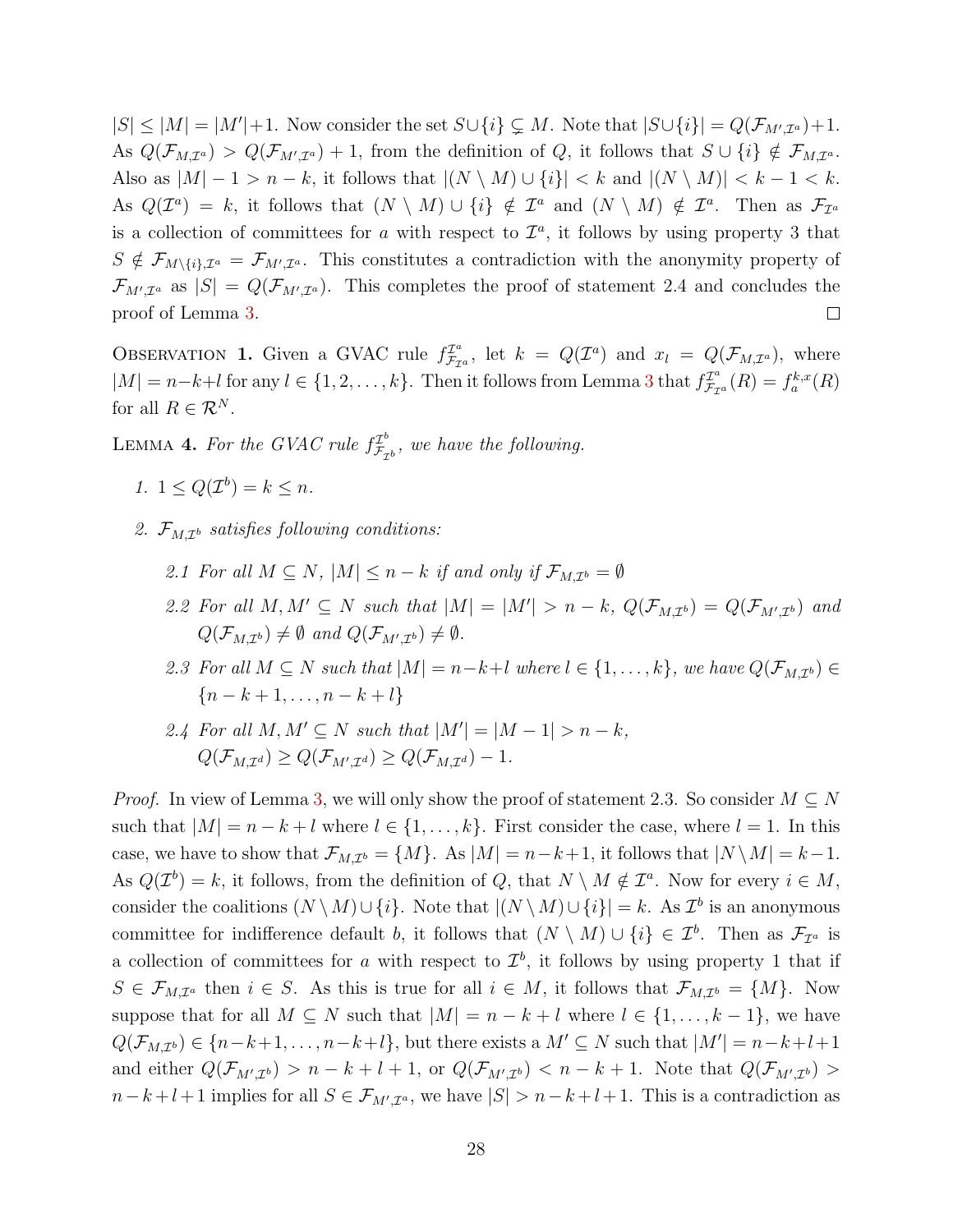$|S| \leq |M| = |M'| + 1$ . Now consider the set  $S \cup \{i\} \subsetneq M$ . Note that  $|S \cup \{i\}| = Q(\mathcal{F}_{M',\mathcal{I}^a}) + 1$ . As  $Q(\mathcal{F}_{M,\mathcal{I}^a}) > Q(\mathcal{F}_{M',\mathcal{I}^a}) + 1$ , from the definition of Q, it follows that  $S \cup \{i\} \notin \mathcal{F}_{M,\mathcal{I}^a}$ . Also as  $|M| - 1 > n - k$ , it follows that  $|(N \setminus M) \cup \{i\}| < k$  and  $|(N \setminus M)| < k - 1 < k$ . As  $Q(\mathcal{I}^a) = k$ , it follows that  $(N \setminus M) \cup \{i\} \notin \mathcal{I}^a$  and  $(N \setminus M) \notin \mathcal{I}^a$ . Then as  $\mathcal{F}_{\mathcal{I}^a}$ is a collection of committees for a with respect to  $\mathcal{I}^a$ , it follows by using property 3 that  $S \notin \mathcal{F}_{M \setminus \{i\},\mathcal{I}^a} = \mathcal{F}_{M',\mathcal{I}^a}$ . This constitutes a contradiction with the anonymity property of  $\mathcal{F}_{M',\mathcal{I}^a}$  as  $|S| = Q(\mathcal{F}_{M',\mathcal{I}^a})$ . This completes the proof of statement 2.4 and concludes the proof of Lemma 3.  $\Box$ 

OBSERVATION 1. Given a GVAC rule  $f_{\mathcal{F}_{\tau}}^{T^a}$  $\mathcal{I}_{\mathcal{F}_{\mathcal{I}}^{a}}^{x^{a}}$ , let  $k = Q(\mathcal{I}^{a})$  and  $x_{l} = Q(\mathcal{F}_{M,\mathcal{I}^{a}})$ , where  $|M| = n-k+l$  for any  $l \in \{1, 2, ..., k\}$ . Then it follows from Lemma 3 that  $f_{\mathcal{F}_{\tau}}^{T_a}$  $f_{\mathcal{F}_{\mathcal{I}^a}}^{x^{\mathcal{I}^a}}(R) = f_a^{k,x}(R)$ for all  $R \in \mathcal{R}^N$ .

LEMMA 4. For the GVAC rule  $f_{\mathcal{F}_{\sigma}}^{T^b}$  $\mathcal{F}_{\mathcal{F}_{\mathcal{I}^b}}^{T^o}$ , we have the following.

- 1.  $1 \leq Q(\mathcal{I}^b) = k \leq n$ .
- 2.  $\mathcal{F}_{M,\mathcal{I}^b}$  satisfies following conditions:
	- 2.1 For all  $M \subseteq N$ ,  $|M| \leq n k$  if and only if  $\mathcal{F}_{M,\mathcal{I}^b} = \emptyset$
	- 2.2 For all  $M, M' \subseteq N$  such that  $|M| = |M'| > n k$ ,  $Q(\mathcal{F}_{M,\mathcal{I}^b}) = Q(\mathcal{F}_{M',\mathcal{I}^b})$  and  $Q(\mathcal{F}_{M,\mathcal{I}^b}) \neq \emptyset$  and  $Q(\mathcal{F}_{M',\mathcal{I}^b}) \neq \emptyset$ .
	- 2.3 For all  $M \subseteq N$  such that  $|M| = n-k+l$  where  $l \in \{1,\ldots,k\}$ , we have  $Q(\mathcal{F}_{M,\mathcal{I}^b}) \in$  ${n-k+1,...,n-k+l}$
	- 2.4 For all  $M, M' \subseteq N$  such that  $|M'| = |M 1| > n k$ ,  $Q(\mathcal{F}_{M,\mathcal{I}^d}) \geq Q(\mathcal{F}_{M',\mathcal{I}^d}) \geq Q(\mathcal{F}_{M,\mathcal{I}^d}) - 1.$

*Proof.* In view of Lemma 3, we will only show the proof of statement 2.3. So consider  $M \subseteq N$ such that  $|M| = n - k + l$  where  $l \in \{1, ..., k\}$ . First consider the case, where  $l = 1$ . In this case, we have to show that  $\mathcal{F}_{M,\mathcal{I}^b} = \{M\}$ . As  $|M| = n-k+1$ , it follows that  $|N \setminus M| = k-1$ . As  $Q(\mathcal{I}^b) = k$ , it follows, from the definition of Q, that  $N \setminus M \notin \mathcal{I}^a$ . Now for every  $i \in M$ , consider the coalitions  $(N \setminus M) \cup \{i\}$ . Note that  $|(N \setminus M) \cup \{i\}| = k$ . As  $\mathcal{I}^b$  is an anonymous committee for indifference default b, it follows that  $(N \setminus M) \cup \{i\} \in \mathcal{I}^b$ . Then as  $\mathcal{F}_{\mathcal{I}^a}$  is a collection of committees for a with respect to  $\mathcal{I}^b$ , it follows by using property 1 that if  $S \in \mathcal{F}_{M,\mathcal{I}^a}$  then  $i \in S$ . As this is true for all  $i \in M$ , it follows that  $\mathcal{F}_{M,\mathcal{I}^b} = \{M\}$ . Now suppose that for all  $M \subseteq N$  such that  $|M| = n - k + l$  where  $l \in \{1, ..., k - 1\}$ , we have  $Q(\mathcal{F}_{M,\mathcal{I}^b}) \in \{n-k+1,\ldots,n-k+l\},\$  but there exists a  $M' \subseteq N$  such that  $|M'| = n-k+l+1$ and either  $Q(\mathcal{F}_{M',\mathcal{I}^b}) > n - k + l + 1$ , or  $Q(\mathcal{F}_{M',\mathcal{I}^b}) < n - k + 1$ . Note that  $Q(\mathcal{F}_{M',\mathcal{I}^b}) >$  $n-k+l+1$  implies for all  $S \in \mathcal{F}_{M',\mathcal{I}^a}$ , we have  $|S| > n-k+l+1$ . This is a contradiction as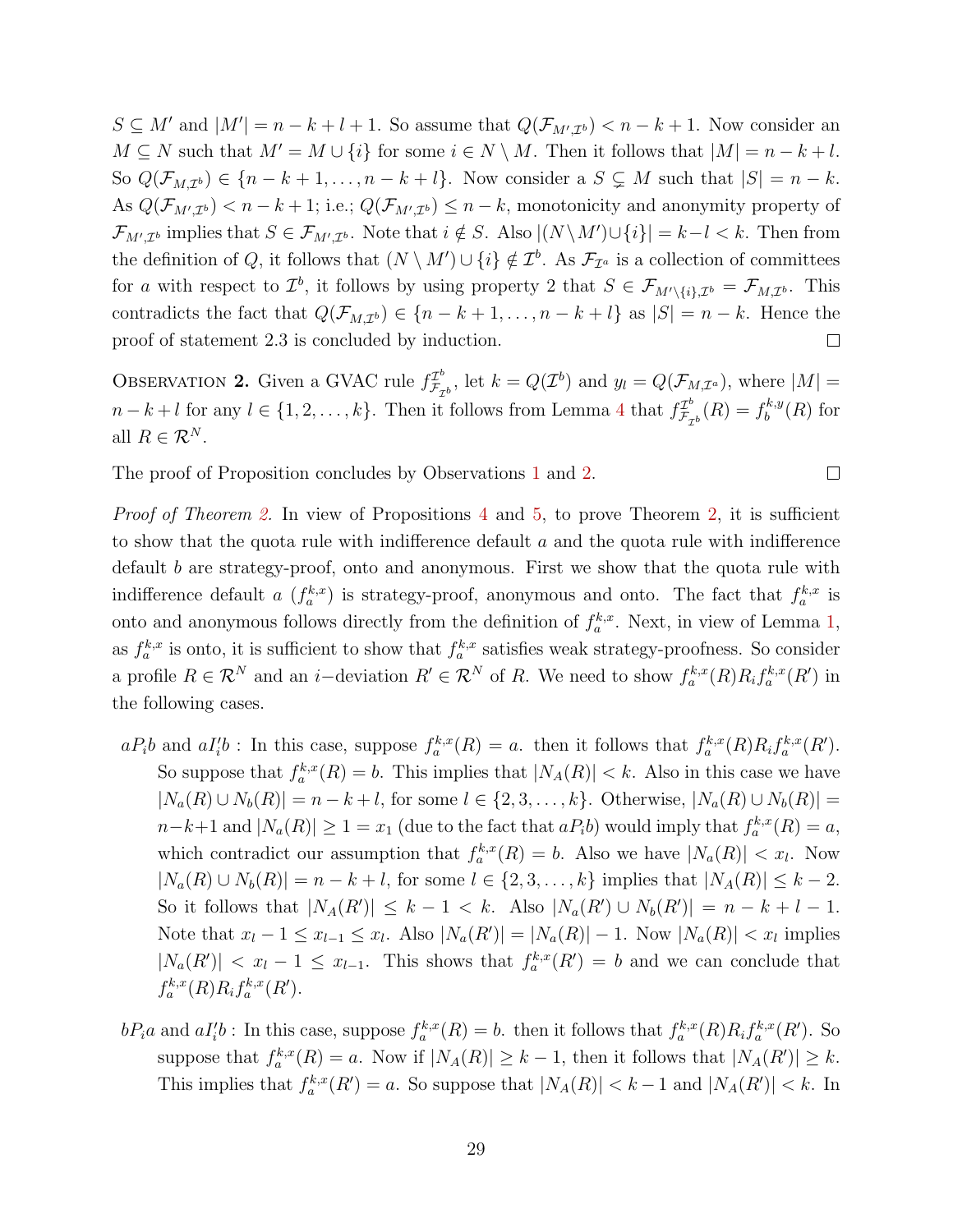$S \subseteq M'$  and  $|M'| = n - k + l + 1$ . So assume that  $Q(\mathcal{F}_{M',\mathcal{I}^b}) < n - k + 1$ . Now consider an  $M \subseteq N$  such that  $M' = M \cup \{i\}$  for some  $i \in N \setminus M$ . Then it follows that  $|M| = n - k + l$ . So  $Q(\mathcal{F}_{M,\mathcal{I}^b}) \in \{n-k+1,\ldots,n-k+l\}$ . Now consider a  $S \subsetneq M$  such that  $|S|=n-k$ . As  $Q(\mathcal{F}_{M',\mathcal{I}^b}) < n-k+1$ ; i.e.;  $Q(\mathcal{F}_{M',\mathcal{I}^b}) \leq n-k$ , monotonicity and anonymity property of  $\mathcal{F}_{M',\mathcal{I}^b}$  implies that  $S \in \mathcal{F}_{M',\mathcal{I}^b}$ . Note that  $i \notin S$ . Also  $|(N \setminus M') \cup \{i\}| = k - l < k$ . Then from the definition of Q, it follows that  $(N \setminus M') \cup \{i\} \notin \mathcal{I}^b$ . As  $\mathcal{F}_{\mathcal{I}^a}$  is a collection of committees for a with respect to  $\mathcal{I}^b$ , it follows by using property 2 that  $S \in \mathcal{F}_{M' \setminus \{i\},\mathcal{I}^b} = \mathcal{F}_{M,\mathcal{I}^b}$ . This contradicts the fact that  $Q(\mathcal{F}_{M,\mathcal{I}^b}) \in \{n-k+1,\ldots,n-k+l\}$  as  $|S|=n-k$ . Hence the proof of statement 2.3 is concluded by induction.  $\Box$ 

OBSERVATION 2. Given a GVAC rule  $f_{\mathcal{F}_{\alpha}}^{T^b}$  $\mathcal{I}_{\mathcal{F}_{\mathcal{D}}^{b}}^{t}$ , let  $k = Q(\mathcal{I}^{b})$  and  $y_{l} = Q(\mathcal{F}_{M,\mathcal{I}^{a}})$ , where  $|M| =$  $n-k+l$  for any  $l \in \{1,2,\ldots,k\}$ . Then it follows from Lemma 4 that  $f_{\mathcal{F}_{\sigma}}^{T^b}$  $f_{\mathcal{F}_{\mathcal{I}^b}}^{L^b}(R) = f_b^{k,y}$  $b^{k,y}(R)$  for all  $R \in \mathcal{R}^N$ .

 $\Box$ 

The proof of Proposition concludes by Observations 1 and 2.

Proof of Theorem 2. In view of Propositions 4 and 5, to prove Theorem 2, it is sufficient to show that the quota rule with indifference default  $a$  and the quota rule with indifference default b are strategy-proof, onto and anonymous. First we show that the quota rule with indifference default a  $(f_a^{k,x})$  is strategy-proof, anonymous and onto. The fact that  $f_a^{k,x}$  is onto and anonymous follows directly from the definition of  $f_a^{k,x}$ . Next, in view of Lemma 1, as  $f_a^{k,x}$  is onto, it is sufficient to show that  $f_a^{k,x}$  satisfies weak strategy-proofness. So consider a profile  $R \in \mathcal{R}^N$  and an *i*-deviation  $R' \in \mathcal{R}^N$  of R. We need to show  $f_a^{k,x}(R)R_i f_a^{k,x}(R')$  in the following cases.

- $aP_i b$  and  $aI'_i b$ : In this case, suppose  $f_a^{k,x}(R) = a$ , then it follows that  $f_a^{k,x}(R)R_i f_a^{k,x}(R')$ . So suppose that  $f_a^{k,x}(R) = b$ . This implies that  $|N_A(R)| < k$ . Also in this case we have  $|N_a(R) \cup N_b(R)| = n - k + l$ , for some  $l \in \{2, 3, ..., k\}$ . Otherwise,  $|N_a(R) \cup N_b(R)| =$  $n-k+1$  and  $|N_a(R)| \geq 1 = x_1$  (due to the fact that  $aP_i b$ ) would imply that  $f_a^{k,x}(R) = a$ , which contradict our assumption that  $f_a^{k,x}(R) = b$ . Also we have  $|N_a(R)| < x_l$ . Now  $|N_a(R) \cup N_b(R)| = n - k + l$ , for some  $l \in \{2, 3, ..., k\}$  implies that  $|N_A(R)| \leq k - 2$ . So it follows that  $|N_A(R')| \leq k - 1 < k$ . Also  $|N_a(R') \cup N_b(R')| = n - k + l - 1$ . Note that  $x_l - 1 \le x_{l-1} \le x_l$ . Also  $|N_a(R')| = |N_a(R)| - 1$ . Now  $|N_a(R)| < x_l$  implies  $|N_a(R')| < x_l - 1 \leq x_{l-1}$ . This shows that  $f_a^{k,x}(R') = b$  and we can conclude that  $f_a^{k,x}(R)R_i f_a^{k,x}(R').$
- $bP_ia$  and  $aI'_ib$ : In this case, suppose  $f_a^{k,x}(R) = b$ . then it follows that  $f_a^{k,x}(R)R_if_a^{k,x}(R')$ . So suppose that  $f_a^{k,x}(R) = a$ . Now if  $|N_A(R)| \geq k-1$ , then it follows that  $|N_A(R')| \geq k$ . This implies that  $f_a^{k,x}(R') = a$ . So suppose that  $|N_A(R)| < k - 1$  and  $|N_A(R')| < k$ . In